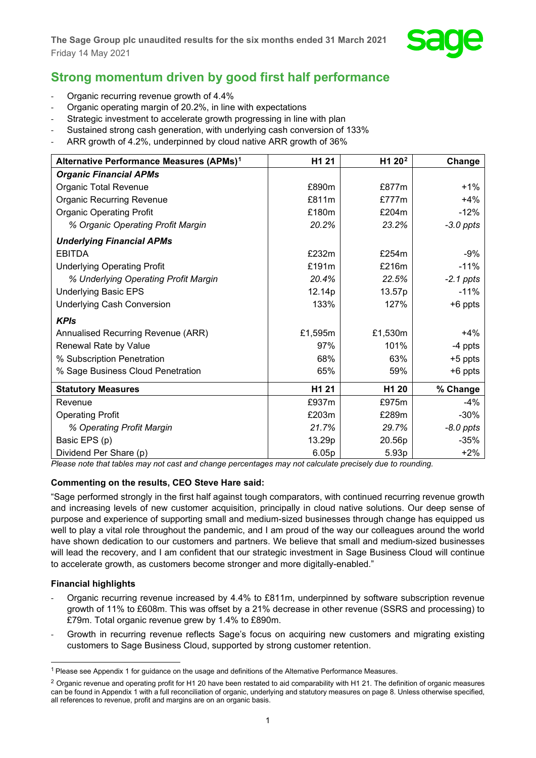

## **Strong momentum driven by good first half performance**

- Organic recurring revenue growth of 4.4%
- Organic operating margin of 20.2%, in line with expectations
- Strategic investment to accelerate growth progressing in line with plan
- Sustained strong cash generation, with underlying cash conversion of 133%
- ARR growth of 4.2%, underpinned by cloud native ARR growth of 36%

| Alternative Performance Measures (APMs) <sup>1</sup> | H1 21   | H1 20 <sup>2</sup> | Change      |
|------------------------------------------------------|---------|--------------------|-------------|
| <b>Organic Financial APMs</b>                        |         |                    |             |
| Organic Total Revenue                                | £890m   | £877m              | $+1\%$      |
| <b>Organic Recurring Revenue</b>                     | £811m   | £777m              | $+4%$       |
| <b>Organic Operating Profit</b>                      | £180m   | £204m              | $-12%$      |
| % Organic Operating Profit Margin                    | 20.2%   | 23.2%              | $-3.0$ ppts |
| <b>Underlying Financial APMs</b>                     |         |                    |             |
| <b>EBITDA</b>                                        | £232m   | £254 $m$           | $-9%$       |
| <b>Underlying Operating Profit</b>                   | £191m   | £216m              | $-11%$      |
| % Underlying Operating Profit Margin                 | 20.4%   | 22.5%              | $-2.1$ ppts |
| <b>Underlying Basic EPS</b>                          | 12.14p  | 13.57p             | $-11%$      |
| Underlying Cash Conversion                           | 133%    | 127%               | $+6$ ppts   |
| <b>KPIs</b>                                          |         |                    |             |
| Annualised Recurring Revenue (ARR)                   | £1,595m | £1,530m            | $+4%$       |
| Renewal Rate by Value                                | 97%     | 101%               | -4 ppts     |
| % Subscription Penetration                           | 68%     | 63%                | $+5$ ppts   |
| % Sage Business Cloud Penetration                    | 65%     | 59%                | +6 ppts     |
| <b>Statutory Measures</b>                            | H1 21   | H <sub>1</sub> 20  | % Change    |
| Revenue                                              | £937m   | £975m              | $-4%$       |
| <b>Operating Profit</b>                              | £203m   | £289m              | $-30%$      |
| % Operating Profit Margin                            | 21.7%   | 29.7%              | $-8.0$ ppts |
| Basic EPS (p)                                        | 13.29p  | 20.56p             | -35%        |
| Dividend Per Share (p)                               | 6.05p   | 5.93p              | $+2%$       |

*Please note that tables may not cast and change percentages may not calculate precisely due to rounding.*

## **Commenting on the results, CEO Steve Hare said:**

"Sage performed strongly in the first half against tough comparators, with continued recurring revenue growth and increasing levels of new customer acquisition, principally in cloud native solutions. Our deep sense of purpose and experience of supporting small and medium-sized businesses through change has equipped us well to play a vital role throughout the pandemic, and I am proud of the way our colleagues around the world have shown dedication to our customers and partners. We believe that small and medium-sized businesses will lead the recovery, and I am confident that our strategic investment in Sage Business Cloud will continue to accelerate growth, as customers become stronger and more digitally-enabled."

## **Financial highlights**

- Organic recurring revenue increased by 4.4% to £811m, underpinned by software subscription revenue growth of 11% to £608m. This was offset by a 21% decrease in other revenue (SSRS and processing) to £79m. Total organic revenue grew by 1.4% to £890m.
- Growth in recurring revenue reflects Sage's focus on acquiring new customers and migrating existing customers to Sage Business Cloud, supported by strong customer retention.

<span id="page-0-0"></span><sup>1</sup> Please see Appendix 1 for guidance on the usage and definitions of the Alternative Performance Measures.

<span id="page-0-1"></span> $2$  Organic revenue and operating profit for H1 20 have been restated to aid comparability with H1 21. The definition of organic measures can be found in Appendix 1 with a full reconciliation of organic, underlying and statutory measures on page 8. Unless otherwise specified, all references to revenue, profit and margins are on an organic basis.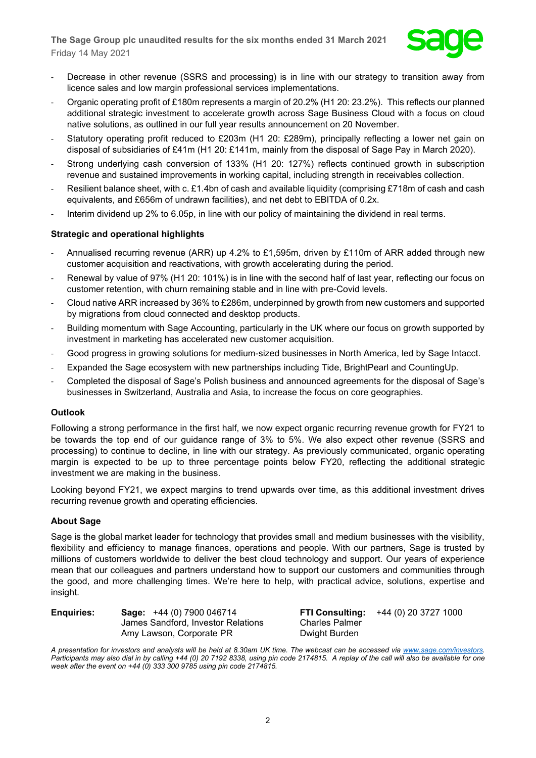

- Decrease in other revenue (SSRS and processing) is in line with our strategy to transition away from licence sales and low margin professional services implementations.
- Organic operating profit of £180m represents a margin of 20.2% (H1 20: 23.2%). This reflects our planned additional strategic investment to accelerate growth across Sage Business Cloud with a focus on cloud native solutions, as outlined in our full year results announcement on 20 November.
- Statutory operating profit reduced to £203m (H1 20: £289m), principally reflecting a lower net gain on disposal of subsidiaries of £41m (H1 20: £141m, mainly from the disposal of Sage Pay in March 2020).
- Strong underlying cash conversion of 133% (H1 20: 127%) reflects continued growth in subscription revenue and sustained improvements in working capital, including strength in receivables collection.
- Resilient balance sheet, with c. £1.4bn of cash and available liquidity (comprising £718m of cash and cash equivalents, and £656m of undrawn facilities), and net debt to EBITDA of 0.2x.
- Interim dividend up 2% to 6.05p, in line with our policy of maintaining the dividend in real terms.

## **Strategic and operational highlights**

- Annualised recurring revenue (ARR) up 4.2% to £1,595m, driven by £110m of ARR added through new customer acquisition and reactivations, with growth accelerating during the period.
- Renewal by value of 97% (H1 20: 101%) is in line with the second half of last year, reflecting our focus on customer retention, with churn remaining stable and in line with pre-Covid levels.
- Cloud native ARR increased by 36% to £286m, underpinned by growth from new customers and supported by migrations from cloud connected and desktop products.
- Building momentum with Sage Accounting, particularly in the UK where our focus on growth supported by investment in marketing has accelerated new customer acquisition.
- Good progress in growing solutions for medium-sized businesses in North America, led by Sage Intacct.
- Expanded the Sage ecosystem with new partnerships including Tide, BrightPearl and CountingUp.
- Completed the disposal of Sage's Polish business and announced agreements for the disposal of Sage's businesses in Switzerland, Australia and Asia, to increase the focus on core geographies.

#### **Outlook**

Following a strong performance in the first half, we now expect organic recurring revenue growth for FY21 to be towards the top end of our guidance range of 3% to 5%. We also expect other revenue (SSRS and processing) to continue to decline, in line with our strategy. As previously communicated, organic operating margin is expected to be up to three percentage points below FY20, reflecting the additional strategic investment we are making in the business.

Looking beyond FY21, we expect margins to trend upwards over time, as this additional investment drives recurring revenue growth and operating efficiencies.

#### **About Sage**

Sage is the global market leader for technology that provides small and medium businesses with the visibility, flexibility and efficiency to manage finances, operations and people. With our partners, Sage is trusted by millions of customers worldwide to deliver the best cloud technology and support. Our years of experience mean that our colleagues and partners understand how to support our customers and communities through the good, and more challenging times. We're here to help, with practical advice, solutions, expertise and insight.

| <b>Enquiries:</b> | Sage: +44 (0) 7900 046714          |
|-------------------|------------------------------------|
|                   | James Sandford, Investor Relations |
|                   | Amy Lawson, Corporate PR           |

**ETI Consulting:** +44 (0) 20 3727 1000 Charles Palmer **Dwight Burden** 

*A presentation for investors and analysts will be held at 8.30am UK time. The webcast can be accessed via [www.sage.com/investors.](http://www.sage.com/investors)  Participants may also dial in by calling +44 (0) 20 7192 8338, using pin code 2174815. A replay of the call will also be available for one week after the event on +44 (0) 333 300 9785 using pin code 2174815.*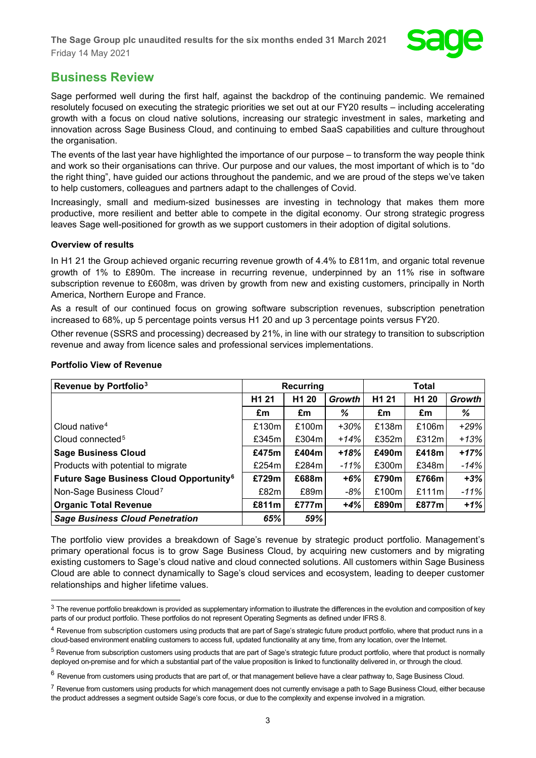

## **Business Review**

Sage performed well during the first half, against the backdrop of the continuing pandemic. We remained resolutely focused on executing the strategic priorities we set out at our FY20 results – including accelerating growth with a focus on cloud native solutions, increasing our strategic investment in sales, marketing and innovation across Sage Business Cloud, and continuing to embed SaaS capabilities and culture throughout the organisation.

The events of the last year have highlighted the importance of our purpose – to transform the way people think and work so their organisations can thrive. Our purpose and our values, the most important of which is to "do the right thing", have guided our actions throughout the pandemic, and we are proud of the steps we've taken to help customers, colleagues and partners adapt to the challenges of Covid.

Increasingly, small and medium-sized businesses are investing in technology that makes them more productive, more resilient and better able to compete in the digital economy. Our strong strategic progress leaves Sage well-positioned for growth as we support customers in their adoption of digital solutions.

## **Overview of results**

In H1 21 the Group achieved organic recurring revenue growth of 4.4% to £811m, and organic total revenue growth of 1% to £890m. The increase in recurring revenue, underpinned by an 11% rise in software subscription revenue to £608m, was driven by growth from new and existing customers, principally in North America, Northern Europe and France.

As a result of our continued focus on growing software subscription revenues, subscription penetration increased to 68%, up 5 percentage points versus H1 20 and up 3 percentage points versus FY20.

Other revenue (SSRS and processing) decreased by 21%, in line with our strategy to transition to subscription revenue and away from licence sales and professional services implementations.

| Revenue by Portfolio <sup>3</sup>                         | Recurring         |                   |         | <b>Total</b>      |                   |               |
|-----------------------------------------------------------|-------------------|-------------------|---------|-------------------|-------------------|---------------|
|                                                           | H <sub>1</sub> 21 | H <sub>1</sub> 20 | Growth  | H <sub>1</sub> 21 | H <sub>1</sub> 20 | <b>Growth</b> |
|                                                           | £m                | £m                | %       | £m                | £m                | %             |
| Cloud native <sup>4</sup>                                 | £130m             | £100m             | $+30%$  | £138m             | £106m             | $+29%$        |
| Cloud connected <sup>5</sup>                              | £345m             | £304m             | $+14%$  | £352m             | £312m             | $+13%$        |
| <b>Sage Business Cloud</b>                                | £475m             | £404m             | $+18%$  | £490m             | £418m             | $+17%$        |
| Products with potential to migrate                        | £254 $m$          | £284m             | $-11\%$ | £300m             | £348m             | $-14%$        |
| <b>Future Sage Business Cloud Opportunity<sup>6</sup></b> | £729m             | £688m             | $+6%$   | £790m             | £766m             | $+3%$         |
| Non-Sage Business Cloud <sup>7</sup>                      | £82m              | £89m              | -8%     | £100m             | £111m             | $-11%$        |
| <b>Organic Total Revenue</b>                              | £811m             | £777m             | $+4%$   | £890m             | £877m             | $+1%$         |
| <b>Sage Business Cloud Penetration</b>                    | 65%               | 59%               |         |                   |                   |               |

## **Portfolio View of Revenue**

The portfolio view provides a breakdown of Sage's revenue by strategic product portfolio. Management's primary operational focus is to grow Sage Business Cloud, by acquiring new customers and by migrating existing customers to Sage's cloud native and cloud connected solutions. All customers within Sage Business Cloud are able to connect dynamically to Sage's cloud services and ecosystem, leading to deeper customer relationships and higher lifetime values.

<span id="page-2-0"></span> $3$  The revenue portfolio breakdown is provided as supplementary information to illustrate the differences in the evolution and composition of key parts of our product portfolio. These portfolios do not represent Operating Segments as defined under IFRS 8.

<span id="page-2-1"></span><sup>&</sup>lt;sup>4</sup> Revenue from subscription customers using products that are part of Sage's strategic future product portfolio, where that product runs in a cloud-based environment enabling customers to access full, updated functionality at any time, from any location, over the Internet.

<span id="page-2-2"></span> $5$  Revenue from subscription customers using products that are part of Sage's strategic future product portfolio, where that product is normally deployed on-premise and for which a substantial part of the value proposition is linked to functionality delivered in, or through the cloud.

<span id="page-2-3"></span> $6$  Revenue from customers using products that are part of, or that management believe have a clear pathway to, Sage Business Cloud.

<span id="page-2-4"></span> $7$  Revenue from customers using products for which management does not currently envisage a path to Sage Business Cloud, either because the product addresses a segment outside Sage's core focus, or due to the complexity and expense involved in a migration.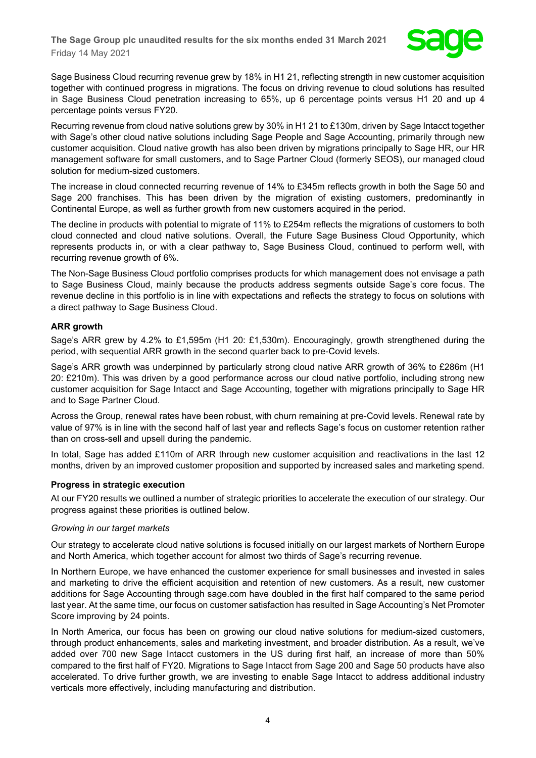

Sage Business Cloud recurring revenue grew by 18% in H1 21, reflecting strength in new customer acquisition together with continued progress in migrations. The focus on driving revenue to cloud solutions has resulted in Sage Business Cloud penetration increasing to 65%, up 6 percentage points versus H1 20 and up 4 percentage points versus FY20.

Recurring revenue from cloud native solutions grew by 30% in H1 21 to £130m, driven by Sage Intacct together with Sage's other cloud native solutions including Sage People and Sage Accounting, primarily through new customer acquisition. Cloud native growth has also been driven by migrations principally to Sage HR, our HR management software for small customers, and to Sage Partner Cloud (formerly SEOS), our managed cloud solution for medium-sized customers.

The increase in cloud connected recurring revenue of 14% to £345m reflects growth in both the Sage 50 and Sage 200 franchises. This has been driven by the migration of existing customers, predominantly in Continental Europe, as well as further growth from new customers acquired in the period.

The decline in products with potential to migrate of 11% to £254m reflects the migrations of customers to both cloud connected and cloud native solutions. Overall, the Future Sage Business Cloud Opportunity, which represents products in, or with a clear pathway to, Sage Business Cloud, continued to perform well, with recurring revenue growth of 6%.

The Non-Sage Business Cloud portfolio comprises products for which management does not envisage a path to Sage Business Cloud, mainly because the products address segments outside Sage's core focus. The revenue decline in this portfolio is in line with expectations and reflects the strategy to focus on solutions with a direct pathway to Sage Business Cloud.

## **ARR growth**

Sage's ARR grew by 4.2% to £1,595m (H1 20: £1,530m). Encouragingly, growth strengthened during the period, with sequential ARR growth in the second quarter back to pre-Covid levels.

Sage's ARR growth was underpinned by particularly strong cloud native ARR growth of 36% to £286m (H1 20: £210m). This was driven by a good performance across our cloud native portfolio, including strong new customer acquisition for Sage Intacct and Sage Accounting, together with migrations principally to Sage HR and to Sage Partner Cloud.

Across the Group, renewal rates have been robust, with churn remaining at pre-Covid levels. Renewal rate by value of 97% is in line with the second half of last year and reflects Sage's focus on customer retention rather than on cross-sell and upsell during the pandemic.

In total, Sage has added £110m of ARR through new customer acquisition and reactivations in the last 12 months, driven by an improved customer proposition and supported by increased sales and marketing spend.

## **Progress in strategic execution**

At our FY20 results we outlined a number of strategic priorities to accelerate the execution of our strategy. Our progress against these priorities is outlined below.

#### *Growing in our target markets*

Our strategy to accelerate cloud native solutions is focused initially on our largest markets of Northern Europe and North America, which together account for almost two thirds of Sage's recurring revenue.

In Northern Europe, we have enhanced the customer experience for small businesses and invested in sales and marketing to drive the efficient acquisition and retention of new customers. As a result, new customer additions for Sage Accounting through sage.com have doubled in the first half compared to the same period last year. At the same time, our focus on customer satisfaction has resulted in Sage Accounting's Net Promoter Score improving by 24 points.

In North America, our focus has been on growing our cloud native solutions for medium-sized customers, through product enhancements, sales and marketing investment, and broader distribution. As a result, we've added over 700 new Sage Intacct customers in the US during first half, an increase of more than 50% compared to the first half of FY20. Migrations to Sage Intacct from Sage 200 and Sage 50 products have also accelerated. To drive further growth, we are investing to enable Sage Intacct to address additional industry verticals more effectively, including manufacturing and distribution.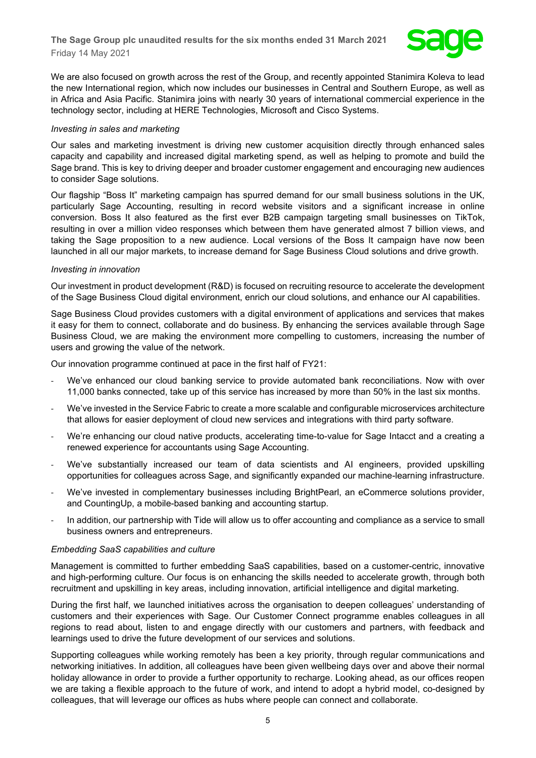

We are also focused on growth across the rest of the Group, and recently appointed Stanimira Koleva to lead the new International region, which now includes our businesses in Central and Southern Europe, as well as in Africa and Asia Pacific. Stanimira joins with nearly 30 years of international commercial experience in the technology sector, including at HERE Technologies, Microsoft and Cisco Systems.

#### *Investing in sales and marketing*

Our sales and marketing investment is driving new customer acquisition directly through enhanced sales capacity and capability and increased digital marketing spend, as well as helping to promote and build the Sage brand. This is key to driving deeper and broader customer engagement and encouraging new audiences to consider Sage solutions.

Our flagship "Boss It" marketing campaign has spurred demand for our small business solutions in the UK, particularly Sage Accounting, resulting in record website visitors and a significant increase in online conversion. Boss It also featured as the first ever B2B campaign targeting small businesses on TikTok, resulting in over a million video responses which between them have generated almost 7 billion views, and taking the Sage proposition to a new audience. Local versions of the Boss It campaign have now been launched in all our major markets, to increase demand for Sage Business Cloud solutions and drive growth.

#### *Investing in innovation*

Our investment in product development (R&D) is focused on recruiting resource to accelerate the development of the Sage Business Cloud digital environment, enrich our cloud solutions, and enhance our AI capabilities.

Sage Business Cloud provides customers with a digital environment of applications and services that makes it easy for them to connect, collaborate and do business. By enhancing the services available through Sage Business Cloud, we are making the environment more compelling to customers, increasing the number of users and growing the value of the network.

Our innovation programme continued at pace in the first half of FY21:

- We've enhanced our cloud banking service to provide automated bank reconciliations. Now with over 11,000 banks connected, take up of this service has increased by more than 50% in the last six months.
- We've invested in the Service Fabric to create a more scalable and configurable microservices architecture that allows for easier deployment of cloud new services and integrations with third party software.
- We're enhancing our cloud native products, accelerating time-to-value for Sage Intacct and a creating a renewed experience for accountants using Sage Accounting.
- We've substantially increased our team of data scientists and AI engineers, provided upskilling opportunities for colleagues across Sage, and significantly expanded our machine-learning infrastructure.
- We've invested in complementary businesses including BrightPearl, an eCommerce solutions provider, and CountingUp, a mobile-based banking and accounting startup.
- In addition, our partnership with Tide will allow us to offer accounting and compliance as a service to small business owners and entrepreneurs.

#### *Embedding SaaS capabilities and culture*

Management is committed to further embedding SaaS capabilities, based on a customer-centric, innovative and high-performing culture. Our focus is on enhancing the skills needed to accelerate growth, through both recruitment and upskilling in key areas, including innovation, artificial intelligence and digital marketing.

During the first half, we launched initiatives across the organisation to deepen colleagues' understanding of customers and their experiences with Sage. Our Customer Connect programme enables colleagues in all regions to read about, listen to and engage directly with our customers and partners, with feedback and learnings used to drive the future development of our services and solutions.

Supporting colleagues while working remotely has been a key priority, through regular communications and networking initiatives. In addition, all colleagues have been given wellbeing days over and above their normal holiday allowance in order to provide a further opportunity to recharge. Looking ahead, as our offices reopen we are taking a flexible approach to the future of work, and intend to adopt a hybrid model, co-designed by colleagues, that will leverage our offices as hubs where people can connect and collaborate.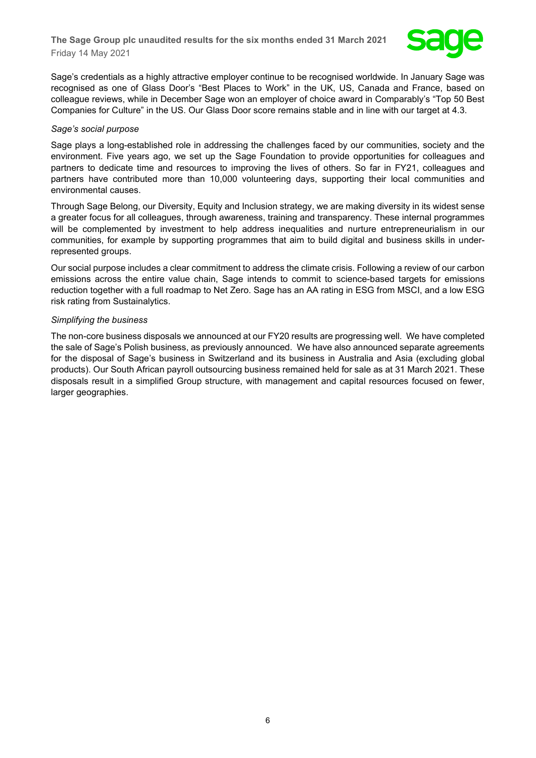

Sage's credentials as a highly attractive employer continue to be recognised worldwide. In January Sage was recognised as one of Glass Door's "Best Places to Work" in the UK, US, Canada and France, based on colleague reviews, while in December Sage won an employer of choice award in Comparably's "Top 50 Best Companies for Culture" in the US. Our Glass Door score remains stable and in line with our target at 4.3.

#### *Sage's social purpose*

Sage plays a long-established role in addressing the challenges faced by our communities, society and the environment. Five years ago, we set up the Sage Foundation to provide opportunities for colleagues and partners to dedicate time and resources to improving the lives of others. So far in FY21, colleagues and partners have contributed more than 10,000 volunteering days, supporting their local communities and environmental causes.

Through Sage Belong, our Diversity, Equity and Inclusion strategy, we are making diversity in its widest sense a greater focus for all colleagues, through awareness, training and transparency. These internal programmes will be complemented by investment to help address inequalities and nurture entrepreneurialism in our communities, for example by supporting programmes that aim to build digital and business skills in underrepresented groups.

Our social purpose includes a clear commitment to address the climate crisis. Following a review of our carbon emissions across the entire value chain, Sage intends to commit to science-based targets for emissions reduction together with a full roadmap to Net Zero. Sage has an AA rating in ESG from MSCI, and a low ESG risk rating from Sustainalytics.

#### *Simplifying the business*

The non-core business disposals we announced at our FY20 results are progressing well. We have completed the sale of Sage's Polish business, as previously announced. We have also announced separate agreements for the disposal of Sage's business in Switzerland and its business in Australia and Asia (excluding global products). Our South African payroll outsourcing business remained held for sale as at 31 March 2021. These disposals result in a simplified Group structure, with management and capital resources focused on fewer, larger geographies.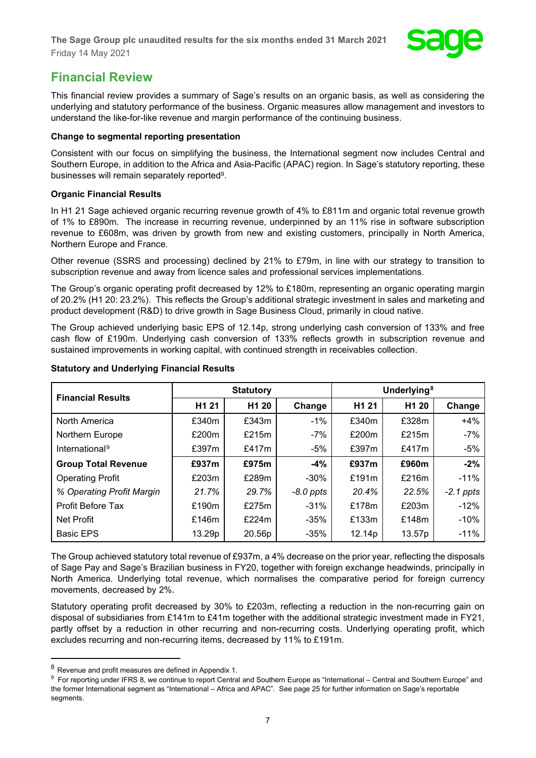

## **Financial Review**

This financial review provides a summary of Sage's results on an organic basis, as well as considering the underlying and statutory performance of the business. Organic measures allow management and investors to understand the like-for-like revenue and margin performance of the continuing business.

## **Change to segmental reporting presentation**

Consistent with our focus on simplifying the business, the International segment now includes Central and Southern Europe, in addition to the Africa and Asia-Pacific (APAC) region. In Sage's statutory reporting, these businesses will remain separately reported9.

## **Organic Financial Results**

In H1 21 Sage achieved organic recurring revenue growth of 4% to £811m and organic total revenue growth of 1% to £890m. The increase in recurring revenue, underpinned by an 11% rise in software subscription revenue to £608m, was driven by growth from new and existing customers, principally in North America, Northern Europe and France.

Other revenue (SSRS and processing) declined by 21% to £79m, in line with our strategy to transition to subscription revenue and away from licence sales and professional services implementations.

The Group's organic operating profit decreased by 12% to £180m, representing an organic operating margin of 20.2% (H1 20: 23.2%). This reflects the Group's additional strategic investment in sales and marketing and product development (R&D) to drive growth in Sage Business Cloud, primarily in cloud native.

The Group achieved underlying basic EPS of 12.14p, strong underlying cash conversion of 133% and free cash flow of £190m. Underlying cash conversion of 133% reflects growth in subscription revenue and sustained improvements in working capital, with continued strength in receivables collection.

| <b>Financial Results</b>   | <b>Statutory</b>  |                   |             | Underlying <sup>8</sup> |                   |             |
|----------------------------|-------------------|-------------------|-------------|-------------------------|-------------------|-------------|
|                            | H <sub>1</sub> 21 | H <sub>1</sub> 20 | Change      | H1 21                   | H <sub>1</sub> 20 | Change      |
| North America              | £340m             | £343m             | $-1%$       | £340m                   | £328m             | $+4%$       |
| Northern Europe            | £200m             | £215m             | -7%         | £200m                   | £215m             | $-7%$       |
| International <sup>9</sup> | £397m             | £417m             | -5%         | £397m                   | £417m             | $-5%$       |
| <b>Group Total Revenue</b> | £937m             | £975m             | $-4%$       | £937m                   | £960m             | $-2%$       |
| <b>Operating Profit</b>    | £203m             | £289m             | $-30\%$     | £191 $m$                | £216m             | $-11%$      |
| % Operating Profit Margin  | 21.7%             | 29.7%             | $-8.0$ ppts | 20.4%                   | 22.5%             | $-2.1$ ppts |
| <b>Profit Before Tax</b>   | £190m             | £275m             | $-31\%$     | £178m                   | £203m             | $-12%$      |
| Net Profit                 | £146m             | £224m             | $-35\%$     | £133m                   | £148m             | $-10%$      |
| <b>Basic EPS</b>           | 13.29p            | 20.56p            | $-35%$      | 12.14p                  | 13.57p            | $-11%$      |

## **Statutory and Underlying Financial Results**

The Group achieved statutory total revenue of £937m, a 4% decrease on the prior year, reflecting the disposals of Sage Pay and Sage's Brazilian business in FY20, together with foreign exchange headwinds, principally in North America. Underlying total revenue, which normalises the comparative period for foreign currency movements, decreased by 2%.

Statutory operating profit decreased by 30% to £203m, reflecting a reduction in the non-recurring gain on disposal of subsidiaries from £141m to £41m together with the additional strategic investment made in FY21, partly offset by a reduction in other recurring and non-recurring costs. Underlying operating profit, which excludes recurring and non-recurring items, decreased by 11% to £191m.

<span id="page-6-0"></span><sup>8</sup> Revenue and profit measures are defined in Appendix 1.

<span id="page-6-1"></span><sup>&</sup>lt;sup>9</sup> For reporting under IFRS 8, we continue to report Central and Southern Europe as "International – Central and Southern Europe" and the former International segment as "International – Africa and APAC". See page 25 for further information on Sage's reportable segments.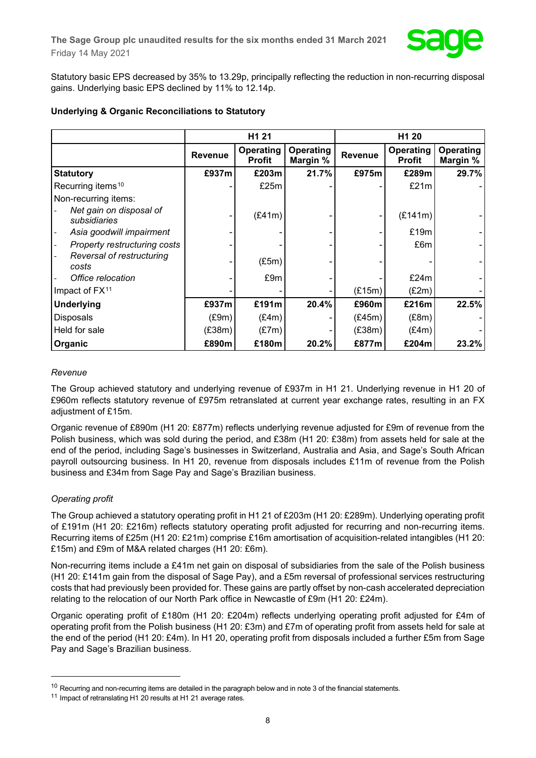Statutory basic EPS decreased by 35% to 13.29p, principally reflecting the reduction in non-recurring disposal gains. Underlying basic EPS declined by 11% to 12.14p.

|  |  | <b>Underlying &amp; Organic Reconciliations to Statutory</b> |  |  |
|--|--|--------------------------------------------------------------|--|--|
|--|--|--------------------------------------------------------------|--|--|

|                                         | H <sub>1</sub> 21 |                            |                       | H <sub>1</sub> 20 |                            |                       |
|-----------------------------------------|-------------------|----------------------------|-----------------------|-------------------|----------------------------|-----------------------|
|                                         | <b>Revenue</b>    | Operating<br><b>Profit</b> | Operating<br>Margin % | Revenue           | Operating<br><b>Profit</b> | Operating<br>Margin % |
| <b>Statutory</b>                        | £937m             | £203m                      | 21.7%                 | £975m             | £289m                      | 29.7%                 |
| Recurring items <sup>10</sup>           |                   | £25m                       |                       |                   | £21m                       |                       |
| Non-recurring items:                    |                   |                            |                       |                   |                            |                       |
| Net gain on disposal of<br>subsidiaries |                   | (E41m)                     |                       |                   | (E141m)                    |                       |
| Asia goodwill impairment                |                   |                            |                       |                   | £19m                       |                       |
| Property restructuring costs            |                   |                            |                       |                   | £6m                        |                       |
| Reversal of restructuring<br>costs      |                   | (E5m)                      |                       |                   |                            |                       |
| Office relocation                       |                   | £9m                        |                       |                   | £24m                       |                       |
| Impact of FX <sup>11</sup>              |                   |                            |                       | (E15m)            | (E2m)                      |                       |
| <b>Underlying</b>                       | £937m             | £191m                      | 20.4%                 | £960m             | £216m                      | 22.5%                 |
| <b>Disposals</b>                        | (E9m)             | (E4m)                      |                       | (E45m)            | (E8m)                      |                       |
| Held for sale                           | (E38m)            | (E7m)                      |                       | (E38m)            | (E4m)                      |                       |
| Organic                                 | £890m             | £180m                      | 20.2%                 | £877m             | £204m                      | 23.2%                 |

## *Revenue*

The Group achieved statutory and underlying revenue of £937m in H1 21. Underlying revenue in H1 20 of £960m reflects statutory revenue of £975m retranslated at current year exchange rates, resulting in an FX adjustment of £15m.

Organic revenue of £890m (H1 20: £877m) reflects underlying revenue adjusted for £9m of revenue from the Polish business, which was sold during the period, and £38m (H1 20: £38m) from assets held for sale at the end of the period, including Sage's businesses in Switzerland, Australia and Asia, and Sage's South African payroll outsourcing business. In H1 20, revenue from disposals includes £11m of revenue from the Polish business and £34m from Sage Pay and Sage's Brazilian business.

## *Operating profit*

The Group achieved a statutory operating profit in H1 21 of £203m (H1 20: £289m). Underlying operating profit of £191m (H1 20: £216m) reflects statutory operating profit adjusted for recurring and non-recurring items. Recurring items of £25m (H1 20: £21m) comprise £16m amortisation of acquisition-related intangibles (H1 20: £15m) and £9m of M&A related charges (H1 20: £6m).

Non-recurring items include a £41m net gain on disposal of subsidiaries from the sale of the Polish business (H1 20: £141m gain from the disposal of Sage Pay), and a £5m reversal of professional services restructuring costs that had previously been provided for. These gains are partly offset by non-cash accelerated depreciation relating to the relocation of our North Park office in Newcastle of £9m (H1 20: £24m).

Organic operating profit of £180m (H1 20: £204m) reflects underlying operating profit adjusted for £4m of operating profit from the Polish business (H1 20: £3m) and £7m of operating profit from assets held for sale at the end of the period (H1 20: £4m). In H1 20, operating profit from disposals included a further £5m from Sage Pay and Sage's Brazilian business.

<span id="page-7-0"></span> $10$  Recurring and non-recurring items are detailed in the paragraph below and in note 3 of the financial statements.

<span id="page-7-1"></span><sup>&</sup>lt;sup>11</sup> Impact of retranslating H1 20 results at H1 21 average rates.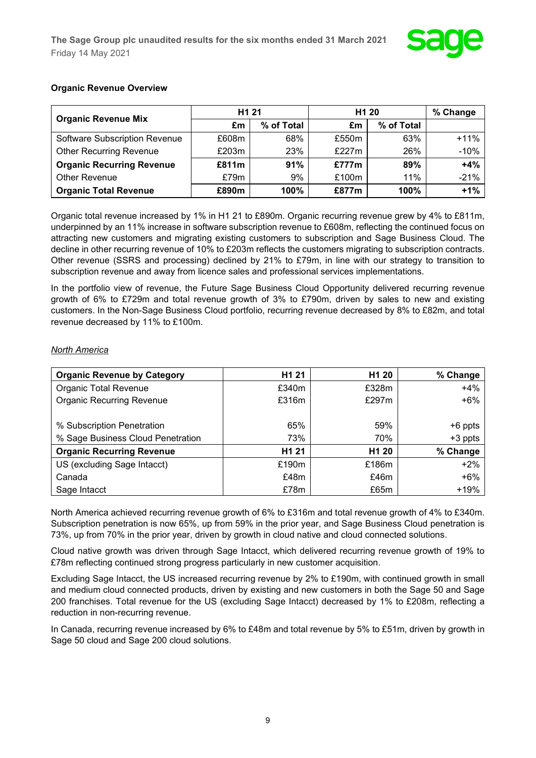

## **Organic Revenue Overview**

| <b>Organic Revenue Mix</b>           | H <sub>1</sub> 21 |            | H <sub>1</sub> 20 | % Change   |        |
|--------------------------------------|-------------------|------------|-------------------|------------|--------|
|                                      | £m                | % of Total | £m                | % of Total |        |
| <b>Software Subscription Revenue</b> | £608m             | 68%        | £550m             | 63%        | $+11%$ |
| <b>Other Recurring Revenue</b>       | £203m             | 23%        | £227 $m$          | 26%        | $-10%$ |
| <b>Organic Recurring Revenue</b>     | £811m             | 91%        | £777m             | 89%        | $+4%$  |
| Other Revenue                        | £79m              | 9%         | £100m             | 11%        | $-21%$ |
| <b>Organic Total Revenue</b>         | £890m             | 100%       | £877m             | 100%       | $+1%$  |

Organic total revenue increased by 1% in H1 21 to £890m. Organic recurring revenue grew by 4% to £811m, underpinned by an 11% increase in software subscription revenue to £608m, reflecting the continued focus on attracting new customers and migrating existing customers to subscription and Sage Business Cloud. The decline in other recurring revenue of 10% to £203m reflects the customers migrating to subscription contracts. Other revenue (SSRS and processing) declined by 21% to £79m, in line with our strategy to transition to subscription revenue and away from licence sales and professional services implementations.

In the portfolio view of revenue, the Future Sage Business Cloud Opportunity delivered recurring revenue growth of 6% to £729m and total revenue growth of 3% to £790m, driven by sales to new and existing customers. In the Non-Sage Business Cloud portfolio, recurring revenue decreased by 8% to £82m, and total revenue decreased by 11% to £100m.

## *North America*

| <b>Organic Revenue by Category</b> | H <sub>1</sub> 21 | H <sub>1</sub> 20 | % Change  |
|------------------------------------|-------------------|-------------------|-----------|
| <b>Organic Total Revenue</b>       | £340m             | £328m             | $+4%$     |
| <b>Organic Recurring Revenue</b>   | £316m             | £297 $m$          | $+6%$     |
|                                    |                   |                   |           |
| % Subscription Penetration         | 65%               | 59%               | $+6$ ppts |
| % Sage Business Cloud Penetration  | 73%               | 70%               | $+3$ ppts |
| <b>Organic Recurring Revenue</b>   | H <sub>1</sub> 21 | H <sub>1</sub> 20 | % Change  |
| US (excluding Sage Intacct)        | £190m             | £186m             | $+2%$     |
| Canada                             | £48m              | £46m              | $+6%$     |
| Sage Intacct                       | £78m              | £65m              | $+19%$    |

North America achieved recurring revenue growth of 6% to £316m and total revenue growth of 4% to £340m. Subscription penetration is now 65%, up from 59% in the prior year, and Sage Business Cloud penetration is 73%, up from 70% in the prior year, driven by growth in cloud native and cloud connected solutions.

Cloud native growth was driven through Sage Intacct, which delivered recurring revenue growth of 19% to £78m reflecting continued strong progress particularly in new customer acquisition.

Excluding Sage Intacct, the US increased recurring revenue by 2% to £190m, with continued growth in small and medium cloud connected products, driven by existing and new customers in both the Sage 50 and Sage 200 franchises. Total revenue for the US (excluding Sage Intacct) decreased by 1% to £208m, reflecting a reduction in non-recurring revenue.

In Canada, recurring revenue increased by 6% to £48m and total revenue by 5% to £51m, driven by growth in Sage 50 cloud and Sage 200 cloud solutions.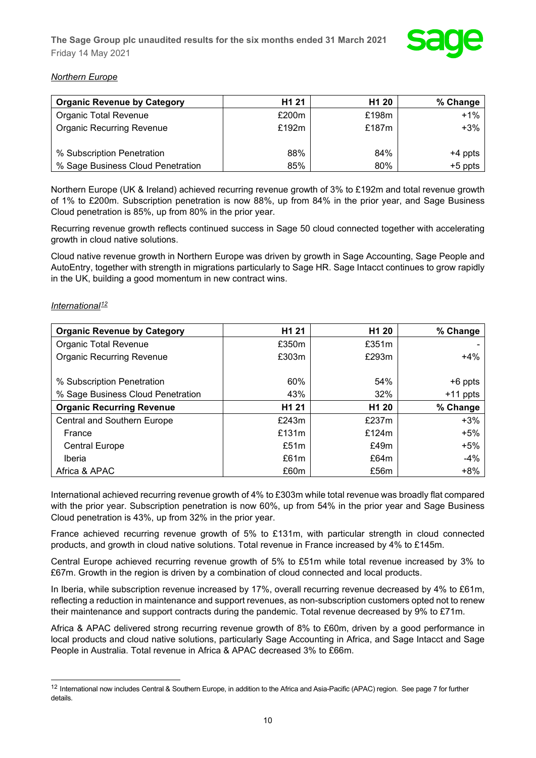

## *Northern Europe*

| <b>Organic Revenue by Category</b> | H <sub>1</sub> 21 | H <sub>1</sub> 20 | % Change  |
|------------------------------------|-------------------|-------------------|-----------|
| <b>Organic Total Revenue</b>       | £200m             | £198m             | +1%       |
| <b>Organic Recurring Revenue</b>   | £192m             | £187m             | $+3\%$    |
|                                    |                   |                   |           |
| % Subscription Penetration         | 88%               | 84%               | $+4$ ppts |
| % Sage Business Cloud Penetration  | 85%               | 80%               | $+5$ ppts |

Northern Europe (UK & Ireland) achieved recurring revenue growth of 3% to £192m and total revenue growth of 1% to £200m. Subscription penetration is now 88%, up from 84% in the prior year, and Sage Business Cloud penetration is 85%, up from 80% in the prior year.

Recurring revenue growth reflects continued success in Sage 50 cloud connected together with accelerating growth in cloud native solutions.

Cloud native revenue growth in Northern Europe was driven by growth in Sage Accounting, Sage People and AutoEntry, together with strength in migrations particularly to Sage HR. Sage Intacct continues to grow rapidly in the UK, building a good momentum in new contract wins.

## *International[12](#page-9-0)*

| <b>Organic Revenue by Category</b> | H <sub>1</sub> 21 | H <sub>1</sub> 20 | % Change   |
|------------------------------------|-------------------|-------------------|------------|
| <b>Organic Total Revenue</b>       | £350m             | £351m             |            |
| <b>Organic Recurring Revenue</b>   | £303m             | £293m             | $+4%$      |
|                                    |                   |                   |            |
| % Subscription Penetration         | 60%               | 54%               | $+6$ ppts  |
| % Sage Business Cloud Penetration  | 43%               | 32%               | $+11$ ppts |
| <b>Organic Recurring Revenue</b>   | H <sub>1</sub> 21 | H <sub>1</sub> 20 | % Change   |
| <b>Central and Southern Europe</b> | £243m             | £237m             | $+3%$      |
| France                             | £131m             | £124m             | $+5%$      |
| <b>Central Europe</b>              | £51m              | £49m              | $+5%$      |
| Iberia                             | £61m              | £64m              | $-4%$      |
| Africa & APAC                      | £60m              | £56m              | $+8%$      |

International achieved recurring revenue growth of 4% to £303m while total revenue was broadly flat compared with the prior year. Subscription penetration is now 60%, up from 54% in the prior year and Sage Business Cloud penetration is 43%, up from 32% in the prior year.

France achieved recurring revenue growth of 5% to £131m, with particular strength in cloud connected products, and growth in cloud native solutions. Total revenue in France increased by 4% to £145m.

Central Europe achieved recurring revenue growth of 5% to £51m while total revenue increased by 3% to £67m. Growth in the region is driven by a combination of cloud connected and local products.

In Iberia, while subscription revenue increased by 17%, overall recurring revenue decreased by 4% to £61m, reflecting a reduction in maintenance and support revenues, as non-subscription customers opted not to renew their maintenance and support contracts during the pandemic. Total revenue decreased by 9% to £71m.

Africa & APAC delivered strong recurring revenue growth of 8% to £60m, driven by a good performance in local products and cloud native solutions, particularly Sage Accounting in Africa, and Sage Intacct and Sage People in Australia. Total revenue in Africa & APAC decreased 3% to £66m.

<span id="page-9-0"></span><sup>&</sup>lt;sup>12</sup> International now includes Central & Southern Europe, in addition to the Africa and Asia-Pacific (APAC) region. See page 7 for further details.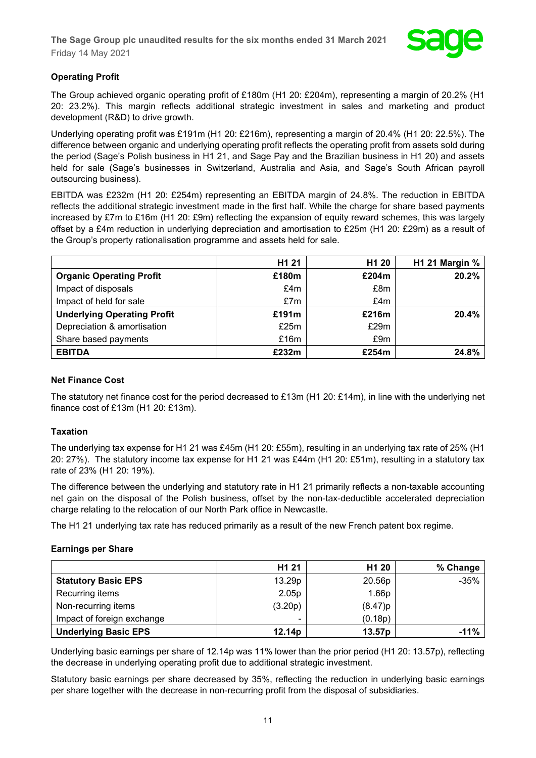

## **Operating Profit**

The Group achieved organic operating profit of £180m (H1 20: £204m), representing a margin of 20.2% (H1 20: 23.2%). This margin reflects additional strategic investment in sales and marketing and product development (R&D) to drive growth.

Underlying operating profit was £191m (H1 20: £216m), representing a margin of 20.4% (H1 20: 22.5%). The difference between organic and underlying operating profit reflects the operating profit from assets sold during the period (Sage's Polish business in H1 21, and Sage Pay and the Brazilian business in H1 20) and assets held for sale (Sage's businesses in Switzerland, Australia and Asia, and Sage's South African payroll outsourcing business).

EBITDA was £232m (H1 20: £254m) representing an EBITDA margin of 24.8%. The reduction in EBITDA reflects the additional strategic investment made in the first half. While the charge for share based payments increased by £7m to £16m (H1 20: £9m) reflecting the expansion of equity reward schemes, this was largely offset by a £4m reduction in underlying depreciation and amortisation to £25m (H1 20: £29m) as a result of the Group's property rationalisation programme and assets held for sale.

|                                    | H <sub>1</sub> 21 | H <sub>1</sub> 20 | H1 21 Margin % |
|------------------------------------|-------------------|-------------------|----------------|
| <b>Organic Operating Profit</b>    | £180m             | £204m             | 20.2%          |
| Impact of disposals                | £4m               | £8m               |                |
| Impact of held for sale            | £7m               | £4m               |                |
| <b>Underlying Operating Profit</b> | £191m             | £216m             | 20.4%          |
| Depreciation & amortisation        | £25m              | £29m              |                |
| Share based payments               | £16m              | £9m               |                |
| <b>EBITDA</b>                      | £232m             | £254m             | 24.8%          |

## **Net Finance Cost**

The statutory net finance cost for the period decreased to £13m (H1 20: £14m), in line with the underlying net finance cost of £13m (H1 20: £13m).

## **Taxation**

The underlying tax expense for H1 21 was £45m (H1 20: £55m), resulting in an underlying tax rate of 25% (H1 20: 27%). The statutory income tax expense for H1 21 was £44m (H1 20: £51m), resulting in a statutory tax rate of 23% (H1 20: 19%).

The difference between the underlying and statutory rate in H1 21 primarily reflects a non-taxable accounting net gain on the disposal of the Polish business, offset by the non-tax-deductible accelerated depreciation charge relating to the relocation of our North Park office in Newcastle.

The H1 21 underlying tax rate has reduced primarily as a result of the new French patent box regime.

## **Earnings per Share**

|                             | H <sub>1</sub> 21 | H <sub>1</sub> 20 | % Change |
|-----------------------------|-------------------|-------------------|----------|
| <b>Statutory Basic EPS</b>  | 13.29p            | 20.56p            | $-35%$   |
| Recurring items             | 2.05p             | 1.66p             |          |
| Non-recurring items         | (3.20p)           | (8.47)p           |          |
| Impact of foreign exchange  |                   | (0.18p)           |          |
| <b>Underlying Basic EPS</b> | 12.14p            | 13.57p            | $-11%$   |

Underlying basic earnings per share of 12.14p was 11% lower than the prior period (H1 20: 13.57p), reflecting the decrease in underlying operating profit due to additional strategic investment.

Statutory basic earnings per share decreased by 35%, reflecting the reduction in underlying basic earnings per share together with the decrease in non-recurring profit from the disposal of subsidiaries.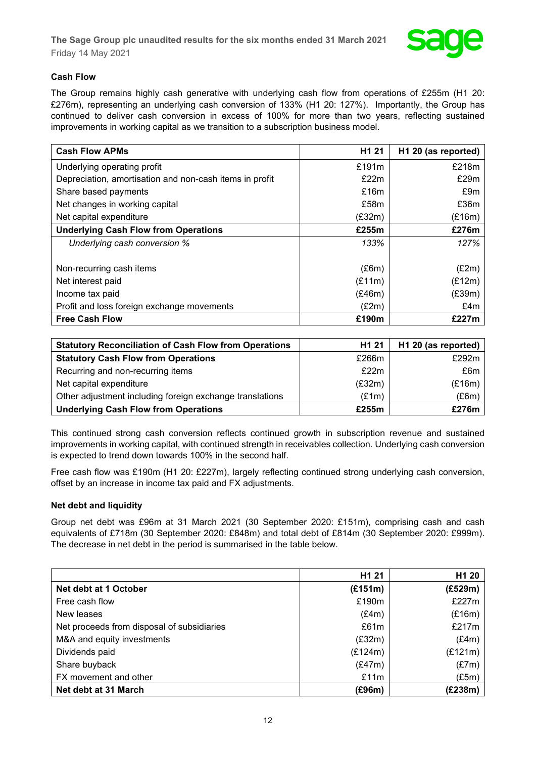

## **Cash Flow**

The Group remains highly cash generative with underlying cash flow from operations of £255m (H1 20: £276m), representing an underlying cash conversion of 133% (H1 20: 127%). Importantly, the Group has continued to deliver cash conversion in excess of 100% for more than two years, reflecting sustained improvements in working capital as we transition to a subscription business model.

| <b>Cash Flow APMs</b>                                   | H <sub>1</sub> 21 | H1 20 (as reported) |
|---------------------------------------------------------|-------------------|---------------------|
| Underlying operating profit                             | £191m             | £218m               |
| Depreciation, amortisation and non-cash items in profit | £22m              | £29m                |
| Share based payments                                    | £16m              | £9m                 |
| Net changes in working capital                          | £58m              | £36m                |
| Net capital expenditure                                 | (E32m)            | (E16m)              |
| <b>Underlying Cash Flow from Operations</b>             | £255m             | £276m               |
| Underlying cash conversion %                            | 133%              | 127%                |
|                                                         |                   |                     |
| Non-recurring cash items                                | (E6m)             | (E2m)               |
| Net interest paid                                       | (E11m)            | (E12m)              |
| Income tax paid                                         | (E46m)            | (E39m)              |
| Profit and loss foreign exchange movements              | (E2m)             | £4m                 |
| <b>Free Cash Flow</b>                                   | £190m             | £227m               |

| <b>Statutory Reconciliation of Cash Flow from Operations</b> | H <sub>1</sub> 21 | H1 20 (as reported) |
|--------------------------------------------------------------|-------------------|---------------------|
| <b>Statutory Cash Flow from Operations</b>                   | £266m             | £292m               |
| Recurring and non-recurring items                            | £22m              | £6m                 |
| Net capital expenditure                                      | (E32m)            | (E16m)              |
| Other adjustment including foreign exchange translations     | (E1m)             | (E6m)               |
| <b>Underlying Cash Flow from Operations</b>                  | £255m             | £276m               |

This continued strong cash conversion reflects continued growth in subscription revenue and sustained improvements in working capital, with continued strength in receivables collection. Underlying cash conversion is expected to trend down towards 100% in the second half.

Free cash flow was £190m (H1 20: £227m), largely reflecting continued strong underlying cash conversion, offset by an increase in income tax paid and FX adjustments.

## **Net debt and liquidity**

Group net debt was £96m at 31 March 2021 (30 September 2020: £151m), comprising cash and cash equivalents of £718m (30 September 2020: £848m) and total debt of £814m (30 September 2020: £999m). The decrease in net debt in the period is summarised in the table below.

|                                            | H1 21   | H <sub>1</sub> 20 |
|--------------------------------------------|---------|-------------------|
| Net debt at 1 October                      | (E151m) | (E529m)           |
| Free cash flow                             | £190m   | £227m             |
| New leases                                 | (E4m)   | (E16m)            |
| Net proceeds from disposal of subsidiaries | £61m    | £217m             |
| M&A and equity investments                 | (E32m)  | (E4m)             |
| Dividends paid                             | (E124m) | (E121m)           |
| Share buyback                              | (E47m)  | (E7m)             |
| FX movement and other                      | £11m    | (E5m)             |
| Net debt at 31 March                       | (E96m)  | (£238m)           |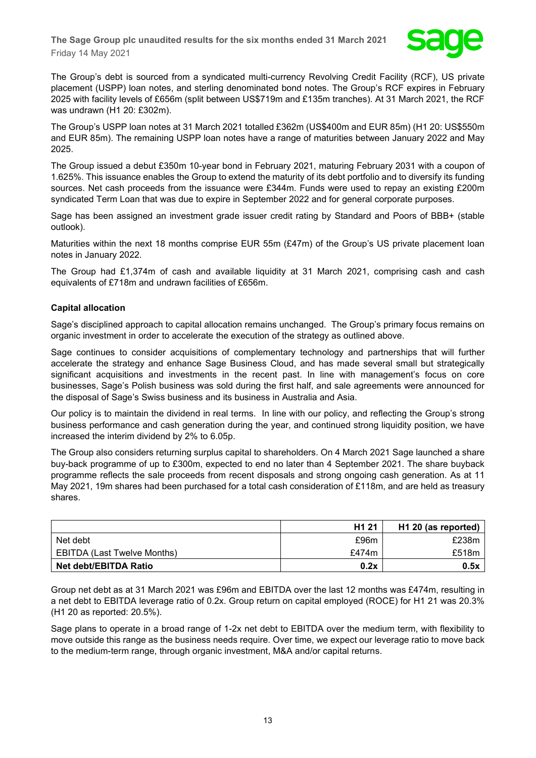

The Group's debt is sourced from a syndicated multi-currency Revolving Credit Facility (RCF), US private placement (USPP) loan notes, and sterling denominated bond notes. The Group's RCF expires in February 2025 with facility levels of £656m (split between US\$719m and £135m tranches). At 31 March 2021, the RCF was undrawn (H1 20: £302m).

The Group's USPP loan notes at 31 March 2021 totalled £362m (US\$400m and EUR 85m) (H1 20: US\$550m and EUR 85m). The remaining USPP loan notes have a range of maturities between January 2022 and May 2025.

The Group issued a debut £350m 10-year bond in February 2021, maturing February 2031 with a coupon of 1.625%. This issuance enables the Group to extend the maturity of its debt portfolio and to diversify its funding sources. Net cash proceeds from the issuance were £344m. Funds were used to repay an existing £200m syndicated Term Loan that was due to expire in September 2022 and for general corporate purposes.

Sage has been assigned an investment grade issuer credit rating by Standard and Poors of BBB+ (stable outlook).

Maturities within the next 18 months comprise EUR 55m (£47m) of the Group's US private placement loan notes in January 2022.

The Group had £1,374m of cash and available liquidity at 31 March 2021, comprising cash and cash equivalents of £718m and undrawn facilities of £656m.

## **Capital allocation**

Sage's disciplined approach to capital allocation remains unchanged. The Group's primary focus remains on organic investment in order to accelerate the execution of the strategy as outlined above.

Sage continues to consider acquisitions of complementary technology and partnerships that will further accelerate the strategy and enhance Sage Business Cloud, and has made several small but strategically significant acquisitions and investments in the recent past. In line with management's focus on core businesses, Sage's Polish business was sold during the first half, and sale agreements were announced for the disposal of Sage's Swiss business and its business in Australia and Asia.

Our policy is to maintain the dividend in real terms. In line with our policy, and reflecting the Group's strong business performance and cash generation during the year, and continued strong liquidity position, we have increased the interim dividend by 2% to 6.05p.

The Group also considers returning surplus capital to shareholders. On 4 March 2021 Sage launched a share buy-back programme of up to £300m, expected to end no later than 4 September 2021. The share buyback programme reflects the sale proceeds from recent disposals and strong ongoing cash generation. As at 11 May 2021, 19m shares had been purchased for a total cash consideration of £118m, and are held as treasury shares.

|                             | H <sub>1</sub> 21 | H1 20 (as reported) |
|-----------------------------|-------------------|---------------------|
| Net debt                    | £96m              | £238m               |
| EBITDA (Last Twelve Months) | £474m             | £518m               |
| Net debt/EBITDA Ratio       | 0.2x              | 0.5x                |

Group net debt as at 31 March 2021 was £96m and EBITDA over the last 12 months was £474m, resulting in a net debt to EBITDA leverage ratio of 0.2x. Group return on capital employed (ROCE) for H1 21 was 20.3% (H1 20 as reported: 20.5%).

Sage plans to operate in a broad range of 1-2x net debt to EBITDA over the medium term, with flexibility to move outside this range as the business needs require. Over time, we expect our leverage ratio to move back to the medium-term range, through organic investment, M&A and/or capital returns.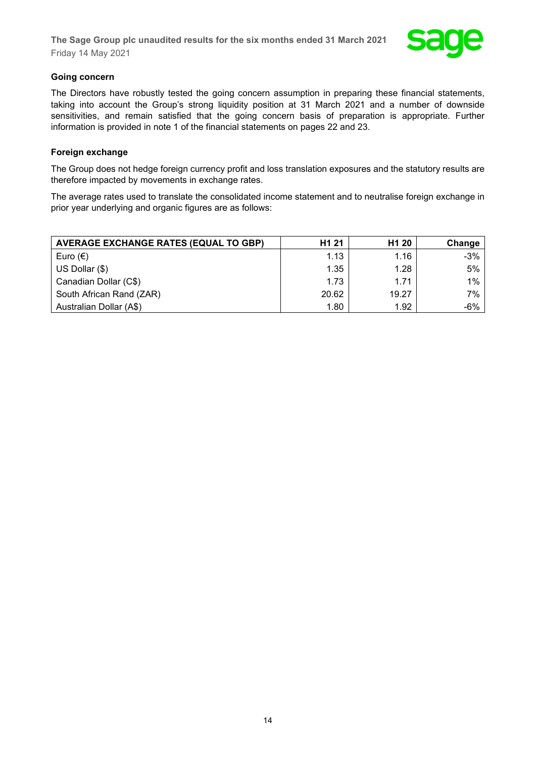

## **Going concern**

The Directors have robustly tested the going concern assumption in preparing these financial statements, taking into account the Group's strong liquidity position at 31 March 2021 and a number of downside sensitivities, and remain satisfied that the going concern basis of preparation is appropriate. Further information is provided in note 1 of the financial statements on pages 22 and 23.

## **Foreign exchange**

The Group does not hedge foreign currency profit and loss translation exposures and the statutory results are therefore impacted by movements in exchange rates.

The average rates used to translate the consolidated income statement and to neutralise foreign exchange in prior year underlying and organic figures are as follows:

| <b>AVERAGE EXCHANGE RATES (EQUAL TO GBP)</b> | H <sub>1</sub> 21 | H <sub>1</sub> 20 | Change |
|----------------------------------------------|-------------------|-------------------|--------|
| Euro $(\epsilon)$                            | 1.13              | 1.16              | $-3%$  |
| US Dollar (\$)                               | 1.35              | 1.28              | 5%     |
| Canadian Dollar (C\$)                        | 1.73              | 1.71              | $1\%$  |
| South African Rand (ZAR)                     | 20.62             | 19.27             | 7%     |
| Australian Dollar (A\$)                      | 1.80              | 1.92              | -6%    |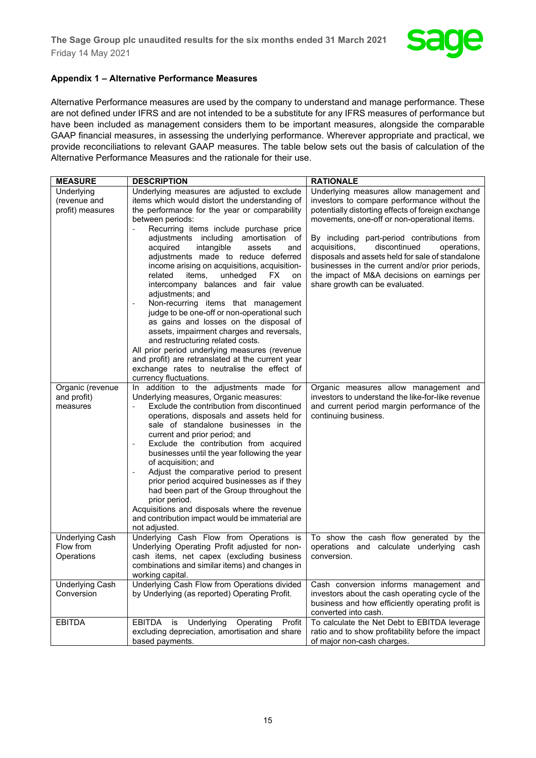

## **Appendix 1 – Alternative Performance Measures**

Alternative Performance measures are used by the company to understand and manage performance. These are not defined under IFRS and are not intended to be a substitute for any IFRS measures of performance but have been included as management considers them to be important measures, alongside the comparable GAAP financial measures, in assessing the underlying performance. Wherever appropriate and practical, we provide reconciliations to relevant GAAP measures. The table below sets out the basis of calculation of the Alternative Performance Measures and the rationale for their use.

| <b>MEASURE</b>                      | <b>DESCRIPTION</b>                                                                                | <b>RATIONALE</b>                                        |
|-------------------------------------|---------------------------------------------------------------------------------------------------|---------------------------------------------------------|
| Underlying                          | Underlying measures are adjusted to exclude                                                       | Underlying measures allow management and                |
| (revenue and                        | items which would distort the understanding of                                                    | investors to compare performance without the            |
| profit) measures                    | the performance for the year or comparability                                                     | potentially distorting effects of foreign exchange      |
|                                     | between periods:                                                                                  | movements, one-off or non-operational items.            |
|                                     | Recurring items include purchase price                                                            |                                                         |
|                                     | adjustments including amortisation of                                                             | By including part-period contributions from             |
|                                     | intangible<br>assets<br>acquired<br>and                                                           | discontinued<br>acquisitions,<br>operations,            |
|                                     | adjustments made to reduce deferred                                                               | disposals and assets held for sale of standalone        |
|                                     | income arising on acquisitions, acquisition-                                                      | businesses in the current and/or prior periods,         |
|                                     | unhedged<br>related<br>items,<br>FX.<br>on                                                        | the impact of M&A decisions on earnings per             |
|                                     | intercompany balances and fair value                                                              | share growth can be evaluated.                          |
|                                     | adjustments; and                                                                                  |                                                         |
|                                     | Non-recurring items that management                                                               |                                                         |
|                                     | judge to be one-off or non-operational such                                                       |                                                         |
|                                     | as gains and losses on the disposal of                                                            |                                                         |
|                                     | assets, impairment charges and reversals,                                                         |                                                         |
|                                     | and restructuring related costs.                                                                  |                                                         |
|                                     | All prior period underlying measures (revenue<br>and profit) are retranslated at the current year |                                                         |
|                                     | exchange rates to neutralise the effect of                                                        |                                                         |
|                                     | currency fluctuations.                                                                            |                                                         |
| Organic (revenue                    | In addition to the adjustments made for                                                           | Organic measures allow management and                   |
| and profit)                         | Underlying measures, Organic measures:                                                            | investors to understand the like-for-like revenue       |
| measures                            | Exclude the contribution from discontinued                                                        | and current period margin performance of the            |
|                                     | operations, disposals and assets held for                                                         | continuing business.                                    |
|                                     | sale of standalone businesses in the                                                              |                                                         |
|                                     | current and prior period; and                                                                     |                                                         |
|                                     | Exclude the contribution from acquired                                                            |                                                         |
|                                     | businesses until the year following the year                                                      |                                                         |
|                                     | of acquisition; and                                                                               |                                                         |
|                                     | Adjust the comparative period to present                                                          |                                                         |
|                                     | prior period acquired businesses as if they                                                       |                                                         |
|                                     | had been part of the Group throughout the                                                         |                                                         |
|                                     | prior period.                                                                                     |                                                         |
|                                     | Acquisitions and disposals where the revenue                                                      |                                                         |
|                                     | and contribution impact would be immaterial are                                                   |                                                         |
|                                     | not adjusted.                                                                                     |                                                         |
| <b>Underlying Cash</b><br>Flow from | Underlying Cash Flow from Operations is<br>Underlying Operating Profit adjusted for non-          | To show the cash flow generated by the                  |
| Operations                          | cash items, net capex (excluding business                                                         | operations and calculate underlying cash<br>conversion. |
|                                     | combinations and similar items) and changes in                                                    |                                                         |
|                                     | working capital.                                                                                  |                                                         |
| <b>Underlying Cash</b>              | Underlying Cash Flow from Operations divided                                                      | Cash conversion informs management and                  |
| Conversion                          | by Underlying (as reported) Operating Profit.                                                     | investors about the cash operating cycle of the         |
|                                     |                                                                                                   | business and how efficiently operating profit is        |
|                                     |                                                                                                   | converted into cash.                                    |
| <b>EBITDA</b>                       | EBITDA<br>is Underlying<br>Operating<br>Profit                                                    | To calculate the Net Debt to EBITDA leverage            |
|                                     | excluding depreciation, amortisation and share                                                    | ratio and to show profitability before the impact       |
|                                     | based payments.                                                                                   | of major non-cash charges.                              |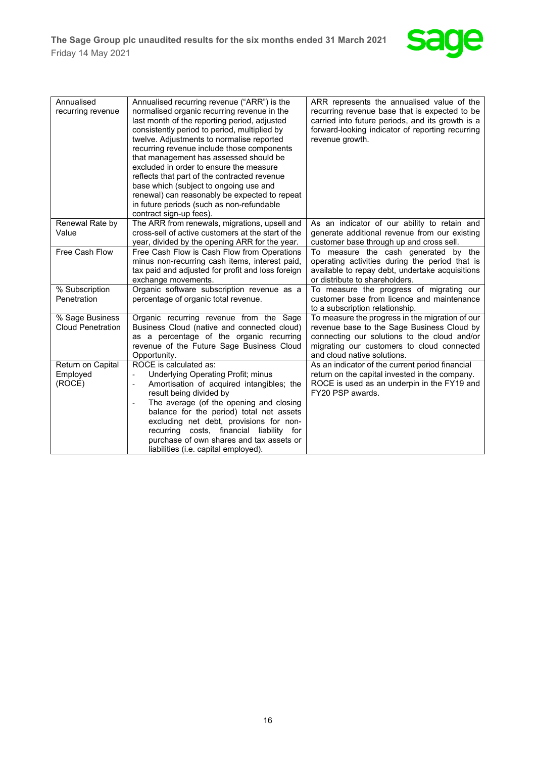

| Annualised<br>recurring revenue             | Annualised recurring revenue ("ARR") is the<br>normalised organic recurring revenue in the<br>last month of the reporting period, adjusted<br>consistently period to period, multiplied by<br>twelve. Adjustments to normalise reported<br>recurring revenue include those components<br>that management has assessed should be<br>excluded in order to ensure the measure<br>reflects that part of the contracted revenue<br>base which (subject to ongoing use and<br>renewal) can reasonably be expected to repeat<br>in future periods (such as non-refundable<br>contract sign-up fees). | ARR represents the annualised value of the<br>recurring revenue base that is expected to be<br>carried into future periods, and its growth is a<br>forward-looking indicator of reporting recurring<br>revenue growth.     |
|---------------------------------------------|-----------------------------------------------------------------------------------------------------------------------------------------------------------------------------------------------------------------------------------------------------------------------------------------------------------------------------------------------------------------------------------------------------------------------------------------------------------------------------------------------------------------------------------------------------------------------------------------------|----------------------------------------------------------------------------------------------------------------------------------------------------------------------------------------------------------------------------|
| Renewal Rate by<br>Value                    | The ARR from renewals, migrations, upsell and<br>cross-sell of active customers at the start of the<br>year, divided by the opening ARR for the year.                                                                                                                                                                                                                                                                                                                                                                                                                                         | As an indicator of our ability to retain and<br>generate additional revenue from our existing<br>customer base through up and cross sell.                                                                                  |
| Free Cash Flow                              | Free Cash Flow is Cash Flow from Operations<br>minus non-recurring cash items, interest paid,<br>tax paid and adjusted for profit and loss foreign<br>exchange movements.                                                                                                                                                                                                                                                                                                                                                                                                                     | To measure the cash generated by the<br>operating activities during the period that is<br>available to repay debt, undertake acquisitions<br>or distribute to shareholders.                                                |
| % Subscription<br>Penetration               | Organic software subscription revenue as a<br>percentage of organic total revenue.                                                                                                                                                                                                                                                                                                                                                                                                                                                                                                            | To measure the progress of migrating our<br>customer base from licence and maintenance<br>to a subscription relationship.                                                                                                  |
| % Sage Business<br><b>Cloud Penetration</b> | Organic recurring revenue from the Sage<br>Business Cloud (native and connected cloud)<br>as a percentage of the organic recurring<br>revenue of the Future Sage Business Cloud<br>Opportunity.                                                                                                                                                                                                                                                                                                                                                                                               | To measure the progress in the migration of our<br>revenue base to the Sage Business Cloud by<br>connecting our solutions to the cloud and/or<br>migrating our customers to cloud connected<br>and cloud native solutions. |
| Return on Capital<br>Employed<br>(ROCE)     | ROCE is calculated as:<br>Underlying Operating Profit; minus<br>Amortisation of acquired intangibles; the<br>$\blacksquare$<br>result being divided by<br>The average (of the opening and closing<br>$\qquad \qquad \blacksquare$<br>balance for the period) total net assets<br>excluding net debt, provisions for non-<br>recurring costs, financial liability for<br>purchase of own shares and tax assets or<br>liabilities (i.e. capital employed).                                                                                                                                      | As an indicator of the current period financial<br>return on the capital invested in the company.<br>ROCE is used as an underpin in the FY19 and<br>FY20 PSP awards.                                                       |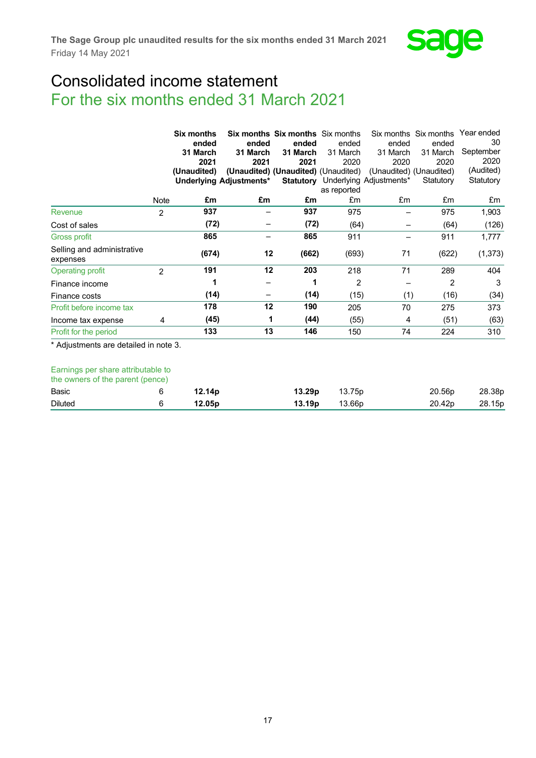

# Consolidated income statement For the six months ended 31 March 2021

|                                        | Six months<br>ended |                      |                         |                                     | <b>Six months Six months Six months</b> |                                          |           |           |  | Six months Six months Year ended |  |
|----------------------------------------|---------------------|----------------------|-------------------------|-------------------------------------|-----------------------------------------|------------------------------------------|-----------|-----------|--|----------------------------------|--|
|                                        |                     |                      | ended                   |                                     | ended                                   | ended                                    | ended     | 30        |  |                                  |  |
|                                        |                     | 31 March<br>31 March |                         | 31 March                            | 31 March                                | 31 March                                 | 31 March  | September |  |                                  |  |
|                                        |                     | 2021                 | 2021                    | 2021                                | 2020                                    | 2020                                     | 2020      | 2020      |  |                                  |  |
|                                        |                     | (Unaudited)          |                         | (Unaudited) (Unaudited) (Unaudited) |                                         | (Unaudited) (Unaudited)                  |           | (Audited) |  |                                  |  |
|                                        |                     |                      | Underlying Adjustments* |                                     |                                         | <b>Statutory</b> Underlying Adjustments* | Statutory | Statutory |  |                                  |  |
|                                        |                     |                      |                         |                                     | as reported                             |                                          |           |           |  |                                  |  |
|                                        | Note                | £m                   | £m                      | £m                                  | £m                                      | £m                                       | £m        | £m        |  |                                  |  |
| Revenue                                | $\overline{2}$      | 937                  |                         | 937                                 | 975                                     |                                          | 975       | 1,903     |  |                                  |  |
| Cost of sales                          |                     | (72)                 |                         | (72)                                | (64)                                    |                                          | (64)      | (126)     |  |                                  |  |
| Gross profit                           |                     | 865                  |                         | 865                                 | 911                                     |                                          | 911       | 1,777     |  |                                  |  |
| Selling and administrative<br>expenses |                     | (674)                | 12                      | (662)                               | (693)                                   | 71                                       | (622)     | (1, 373)  |  |                                  |  |
| <b>Operating profit</b>                | $\overline{2}$      | 191                  | 12                      | 203                                 | 218                                     | 71                                       | 289       | 404       |  |                                  |  |
| Finance income                         |                     |                      |                         | 1                                   | 2                                       |                                          | 2         | 3         |  |                                  |  |
| Finance costs                          |                     | (14)                 |                         | (14)                                | (15)                                    | (1)                                      | (16)      | (34)      |  |                                  |  |
| Profit before income tax               |                     | 178                  | 12                      | 190                                 | 205                                     | 70                                       | 275       | 373       |  |                                  |  |
| Income tax expense                     | 4                   | (45)                 | 1                       | (44)                                | (55)                                    | 4                                        | (51)      | (63)      |  |                                  |  |
| Profit for the period                  |                     | 133                  | 13                      | 146                                 | 150                                     | 74                                       | 224       | 310       |  |                                  |  |
| * Adjustments are detailed in note 3.  |                     |                      |                         |                                     |                                         |                                          |           |           |  |                                  |  |

## Earnings per share attributable to

| the owners of the parent (pence) |                    |                    |        |                    |        |
|----------------------------------|--------------------|--------------------|--------|--------------------|--------|
| Basic                            | 12.14 <sub>p</sub> | 13.29p             | 13.75p | 20.56 <sub>p</sub> | 28.38p |
| <b>Diluted</b>                   | 12.05 <sub>p</sub> | 13.19 <sub>p</sub> | 13.66p | 20.42 <sub>p</sub> | 28.15p |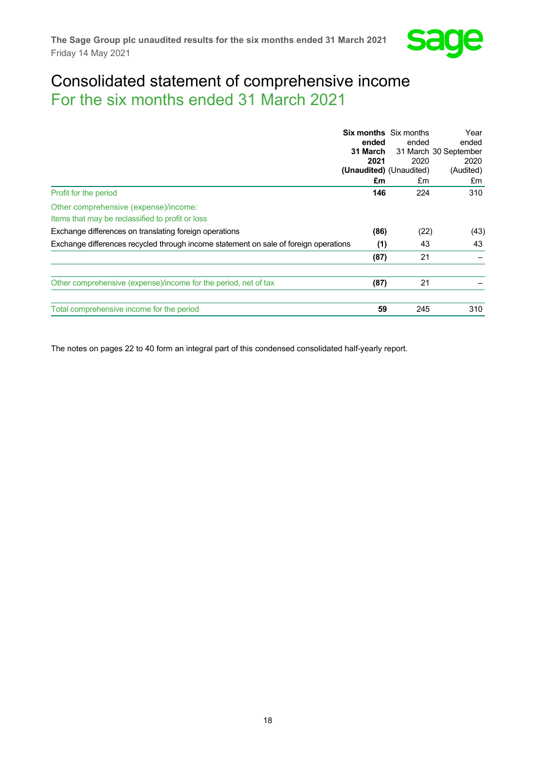

# Consolidated statement of comprehensive income For the six months ended 31 March 2021

|                                                                                      | ended    | <b>Six months</b> Six months<br>ended | Year<br>ended         |
|--------------------------------------------------------------------------------------|----------|---------------------------------------|-----------------------|
|                                                                                      | 31 March |                                       | 31 March 30 September |
|                                                                                      | 2021     | 2020                                  | 2020                  |
|                                                                                      |          | (Unaudited) (Unaudited)               | (Audited)             |
|                                                                                      | £m       | £m                                    | £m                    |
| Profit for the period                                                                | 146      | 224                                   | 310                   |
| Other comprehensive (expense)/income:                                                |          |                                       |                       |
| Items that may be reclassified to profit or loss                                     |          |                                       |                       |
| Exchange differences on translating foreign operations                               | (86)     | (22)                                  | (43)                  |
| Exchange differences recycled through income statement on sale of foreign operations | (1)      | 43                                    | 43                    |
|                                                                                      | (87)     | 21                                    |                       |
| Other comprehensive (expense)/income for the period, net of tax                      | (87)     | 21                                    |                       |
| Total comprehensive income for the period                                            | 59       | 245                                   | 310                   |

The notes on pages 22 to 40 form an integral part of this condensed consolidated half-yearly report.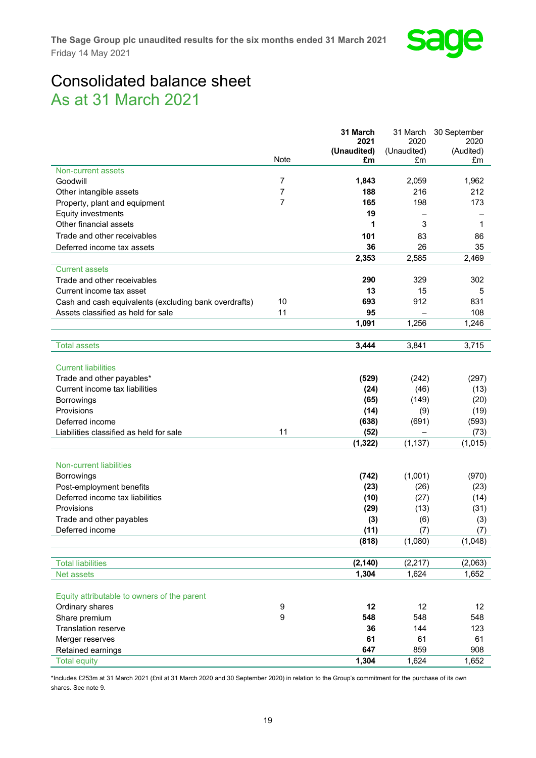

# Consolidated balance sheet As at 31 March 2021

|                                                       |                  | 31 March          | 31 March                 | 30 September    |
|-------------------------------------------------------|------------------|-------------------|--------------------------|-----------------|
|                                                       |                  | 2021              | 2020                     | 2020            |
|                                                       | <b>Note</b>      | (Unaudited)<br>£m | (Unaudited)<br>£m        | (Audited)<br>£m |
| Non-current assets                                    |                  |                   |                          |                 |
| Goodwill                                              | 7                | 1,843             | 2,059                    | 1,962           |
| Other intangible assets                               | 7                | 188               | 216                      | 212             |
| Property, plant and equipment                         | 7                | 165               | 198                      | 173             |
| Equity investments                                    |                  | 19                |                          |                 |
| Other financial assets                                |                  | 1                 | 3                        | 1               |
|                                                       |                  |                   |                          |                 |
| Trade and other receivables                           |                  | 101               | 83                       | 86              |
| Deferred income tax assets                            |                  | 36                | 26                       | 35              |
|                                                       |                  | 2,353             | 2,585                    | 2,469           |
| <b>Current assets</b>                                 |                  |                   |                          |                 |
| Trade and other receivables                           |                  | 290               | 329                      | 302             |
| Current income tax asset                              |                  | 13                | 15                       | 5               |
| Cash and cash equivalents (excluding bank overdrafts) | 10               | 693               | 912                      | 831             |
| Assets classified as held for sale                    | 11               | 95                |                          | 108             |
|                                                       |                  | 1,091             | 1,256                    | 1,246           |
| <b>Total assets</b>                                   |                  | 3.444             | 3,841                    | 3,715           |
|                                                       |                  |                   |                          |                 |
| <b>Current liabilities</b>                            |                  |                   |                          |                 |
| Trade and other payables*                             |                  | (529)             | (242)                    | (297)           |
| Current income tax liabilities                        |                  | (24)              | (46)                     | (13)            |
| <b>Borrowings</b>                                     |                  | (65)              | (149)                    | (20)            |
| Provisions                                            |                  | (14)              | (9)                      | (19)            |
| Deferred income                                       |                  | (638)             | (691)                    | (593)           |
| Liabilities classified as held for sale               | 11               | (52)              | $\overline{\phantom{0}}$ | (73)            |
|                                                       |                  | (1, 322)          | (1, 137)                 | (1,015)         |
|                                                       |                  |                   |                          |                 |
| <b>Non-current liabilities</b>                        |                  |                   |                          |                 |
| <b>Borrowings</b>                                     |                  | (742)             | (1,001)                  | (970)           |
| Post-employment benefits                              |                  | (23)              | (26)                     | (23)            |
| Deferred income tax liabilities                       |                  | (10)              | (27)                     | (14)            |
| Provisions                                            |                  | (29)              | (13)                     | (31)            |
| Trade and other payables                              |                  | (3)               | (6)                      | (3)             |
| Deferred income                                       |                  | (11)              | (7)                      | (7)             |
|                                                       |                  | (818)             | (1,080)                  | (1,048)         |
|                                                       |                  |                   |                          |                 |
| <b>Total liabilities</b>                              |                  | (2, 140)          | (2, 217)                 | (2,063)         |
| Net assets                                            |                  | 1,304             | 1,624                    | 1,652           |
|                                                       |                  |                   |                          |                 |
| Equity attributable to owners of the parent           |                  |                   |                          |                 |
| Ordinary shares                                       | 9                | 12                | 12                       | 12              |
| Share premium                                         | $\boldsymbol{9}$ | 548               | 548                      | 548             |
| <b>Translation reserve</b>                            |                  | 36                | 144                      | 123             |
| Merger reserves                                       |                  | 61                | 61                       | 61              |
| Retained earnings                                     |                  | 647               | 859                      | 908             |
| <b>Total equity</b>                                   |                  | 1,304             | 1,624                    | 1,652           |

\*Includes £253m at 31 March 2021 (£nil at 31 March 2020 and 30 September 2020) in relation to the Group's commitment for the purchase of its own shares. See note 9.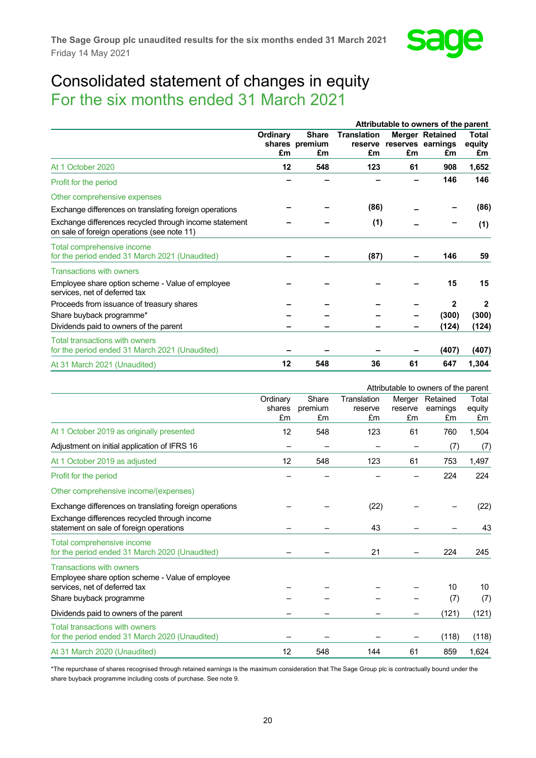

## Consolidated statement of changes in equity For the six months ended 31 March 2021

|                                                                                                       |                |                                      |                                     |    | Attributable to owners of the parent              |                              |
|-------------------------------------------------------------------------------------------------------|----------------|--------------------------------------|-------------------------------------|----|---------------------------------------------------|------------------------------|
|                                                                                                       | Ordinary<br>£m | <b>Share</b><br>shares premium<br>£m | <b>Translation</b><br>reserve<br>£m | £m | <b>Merger Retained</b><br>reserves earnings<br>£m | <b>Total</b><br>equity<br>£m |
| At 1 October 2020                                                                                     | 12             | 548                                  | 123                                 | 61 | 908                                               | 1,652                        |
| Profit for the period                                                                                 |                |                                      |                                     |    | 146                                               | 146                          |
| Other comprehensive expenses                                                                          |                |                                      |                                     |    |                                                   |                              |
| Exchange differences on translating foreign operations                                                |                |                                      | (86)                                |    |                                                   | (86)                         |
| Exchange differences recycled through income statement<br>on sale of foreign operations (see note 11) |                |                                      | (1)                                 |    |                                                   | (1)                          |
| Total comprehensive income<br>for the period ended 31 March 2021 (Unaudited)                          |                |                                      | (87)                                |    | 146                                               | 59                           |
| <b>Transactions with owners</b>                                                                       |                |                                      |                                     |    |                                                   |                              |
| Employee share option scheme - Value of employee<br>services, net of deferred tax                     |                |                                      |                                     |    | 15                                                | 15                           |
| Proceeds from issuance of treasury shares                                                             |                |                                      |                                     |    | 2                                                 | $\mathbf{2}$                 |
| Share buyback programme*                                                                              |                |                                      |                                     |    | (300)                                             | (300)                        |
| Dividends paid to owners of the parent                                                                |                |                                      |                                     |    | (124)                                             | (124)                        |
| Total transactions with owners<br>for the period ended 31 March 2021 (Unaudited)                      |                |                                      |                                     |    | (407)                                             | (407)                        |
| At 31 March 2021 (Unaudited)                                                                          | 12             | 548                                  | 36                                  | 61 | 647                                               | 1,304                        |

|                                                                                                        |                          |                        |                              |               | Attributable to owners of the parent |                       |
|--------------------------------------------------------------------------------------------------------|--------------------------|------------------------|------------------------------|---------------|--------------------------------------|-----------------------|
|                                                                                                        | Ordinary<br>shares<br>£m | Share<br>premium<br>£m | Translation<br>reserve<br>£m | reserve<br>£m | Merger Retained<br>earnings<br>£m    | Total<br>equity<br>£m |
| At 1 October 2019 as originally presented                                                              | 12                       | 548                    | 123                          | 61            | 760                                  | 1,504                 |
| Adjustment on initial application of IFRS 16                                                           |                          |                        |                              |               | (7)                                  | (7)                   |
| At 1 October 2019 as adjusted                                                                          | 12                       | 548                    | 123                          | 61            | 753                                  | 1,497                 |
| Profit for the period                                                                                  |                          |                        |                              |               | 224                                  | 224                   |
| Other comprehensive income/(expenses)                                                                  |                          |                        |                              |               |                                      |                       |
| Exchange differences on translating foreign operations<br>Exchange differences recycled through income |                          |                        | (22)                         |               |                                      | (22)                  |
| statement on sale of foreign operations                                                                |                          |                        | 43                           |               |                                      | 43                    |
| Total comprehensive income<br>for the period ended 31 March 2020 (Unaudited)                           |                          |                        | 21                           |               | 224                                  | 245                   |
| <b>Transactions with owners</b><br>Employee share option scheme - Value of employee                    |                          |                        |                              |               |                                      |                       |
| services, net of deferred tax                                                                          |                          |                        |                              |               | 10                                   | 10                    |
| Share buyback programme                                                                                |                          |                        |                              |               | (7)                                  | (7)                   |
| Dividends paid to owners of the parent                                                                 |                          |                        |                              |               | (121)                                | (121)                 |
| Total transactions with owners<br>for the period ended 31 March 2020 (Unaudited)                       |                          |                        |                              |               | (118)                                | (118)                 |
| At 31 March 2020 (Unaudited)                                                                           | 12                       | 548                    | 144                          | 61            | 859                                  | 1,624                 |

\*The repurchase of shares recognised through retained earnings is the maximum consideration that The Sage Group plc is contractually bound under the share buyback programme including costs of purchase. See note 9.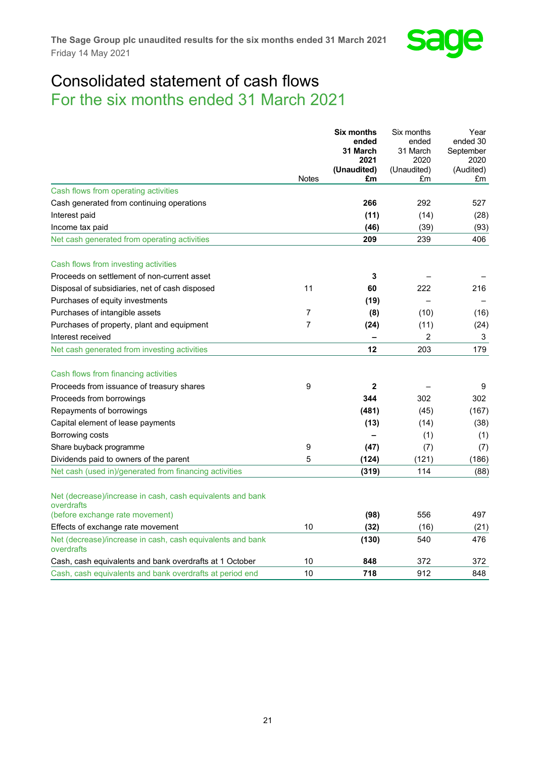

## Consolidated statement of cash flows For the six months ended 31 March 2021

|                                                                          |                | <b>Six months</b>        | Six months        | Year            |
|--------------------------------------------------------------------------|----------------|--------------------------|-------------------|-----------------|
|                                                                          |                | ended                    | ended             | ended 30        |
|                                                                          |                | 31 March                 | 31 March          | September       |
|                                                                          |                | 2021                     | 2020              | 2020            |
|                                                                          | <b>Notes</b>   | (Unaudited)<br>£m        | (Unaudited)<br>£m | (Audited)<br>£m |
| Cash flows from operating activities                                     |                |                          |                   |                 |
| Cash generated from continuing operations                                |                | 266                      | 292               | 527             |
| Interest paid                                                            |                | (11)                     | (14)              | (28)            |
| Income tax paid                                                          |                | (46)                     | (39)              | (93)            |
| Net cash generated from operating activities                             |                | 209                      | 239               | 406             |
| Cash flows from investing activities                                     |                |                          |                   |                 |
| Proceeds on settlement of non-current asset                              |                | 3                        |                   |                 |
| Disposal of subsidiaries, net of cash disposed                           | 11             | 60                       | 222               | 216             |
| Purchases of equity investments                                          |                | (19)                     |                   |                 |
| Purchases of intangible assets                                           | 7              | (8)                      | (10)              | (16)            |
| Purchases of property, plant and equipment                               | $\overline{7}$ | (24)                     | (11)              | (24)            |
| Interest received                                                        |                | $\overline{\phantom{0}}$ | $\overline{2}$    | 3               |
| Net cash generated from investing activities                             |                | 12                       | 203               | 179             |
| Cash flows from financing activities                                     |                |                          |                   |                 |
| Proceeds from issuance of treasury shares                                | 9              | $\mathbf{2}$             |                   | 9               |
| Proceeds from borrowings                                                 |                | 344                      | 302               | 302             |
| Repayments of borrowings                                                 |                | (481)                    | (45)              | (167)           |
| Capital element of lease payments                                        |                | (13)                     | (14)              | (38)            |
| Borrowing costs                                                          |                |                          | (1)               | (1)             |
| Share buyback programme                                                  | 9              | (47)                     | (7)               | (7)             |
| Dividends paid to owners of the parent                                   | 5              | (124)                    | (121)             | (186)           |
| Net cash (used in)/generated from financing activities                   |                | (319)                    | 114               | (88)            |
| Net (decrease)/increase in cash, cash equivalents and bank<br>overdrafts |                |                          |                   |                 |
| (before exchange rate movement)                                          |                | (98)                     | 556               | 497             |
| Effects of exchange rate movement                                        | 10             | (32)                     | (16)              | (21)            |
| Net (decrease)/increase in cash, cash equivalents and bank<br>overdrafts |                | (130)                    | 540               | 476             |
| Cash, cash equivalents and bank overdrafts at 1 October                  | 10             | 848                      | 372               | 372             |
| Cash, cash equivalents and bank overdrafts at period end                 | 10             | 718                      | 912               | 848             |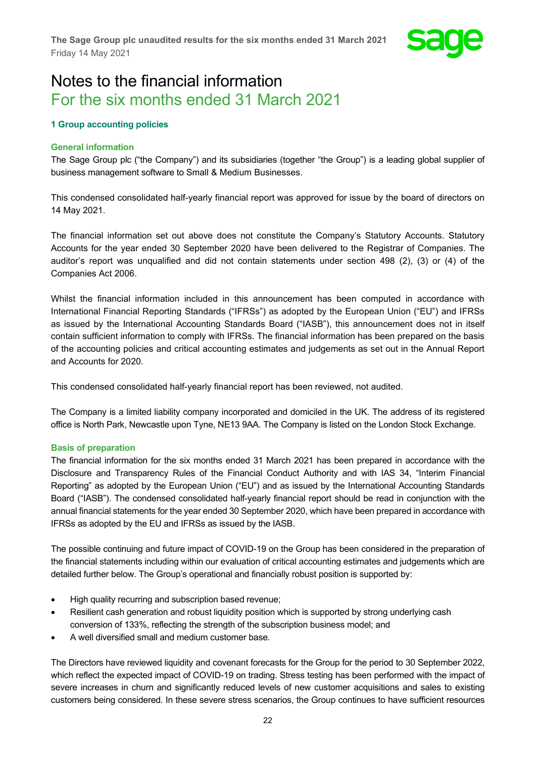

# Notes to the financial information For the six months ended 31 March 2021

## **1 Group accounting policies**

## **General information**

The Sage Group plc ("the Company") and its subsidiaries (together "the Group") is a leading global supplier of business management software to Small & Medium Businesses.

This condensed consolidated half-yearly financial report was approved for issue by the board of directors on 14 May 2021.

The financial information set out above does not constitute the Company's Statutory Accounts. Statutory Accounts for the year ended 30 September 2020 have been delivered to the Registrar of Companies. The auditor's report was unqualified and did not contain statements under section 498 (2), (3) or (4) of the Companies Act 2006.

Whilst the financial information included in this announcement has been computed in accordance with International Financial Reporting Standards ("IFRSs") as adopted by the European Union ("EU") and IFRSs as issued by the International Accounting Standards Board ("IASB"), this announcement does not in itself contain sufficient information to comply with IFRSs. The financial information has been prepared on the basis of the accounting policies and critical accounting estimates and judgements as set out in the Annual Report and Accounts for 2020.

This condensed consolidated half-yearly financial report has been reviewed, not audited.

The Company is a limited liability company incorporated and domiciled in the UK. The address of its registered office is North Park, Newcastle upon Tyne, NE13 9AA. The Company is listed on the London Stock Exchange.

## **Basis of preparation**

The financial information for the six months ended 31 March 2021 has been prepared in accordance with the Disclosure and Transparency Rules of the Financial Conduct Authority and with IAS 34, "Interim Financial Reporting" as adopted by the European Union ("EU") and as issued by the International Accounting Standards Board ("IASB"). The condensed consolidated half-yearly financial report should be read in conjunction with the annual financial statements for the year ended 30 September 2020, which have been prepared in accordance with IFRSs as adopted by the EU and IFRSs as issued by the IASB.

The possible continuing and future impact of COVID-19 on the Group has been considered in the preparation of the financial statements including within our evaluation of critical accounting estimates and judgements which are detailed further below. The Group's operational and financially robust position is supported by:

- High quality recurring and subscription based revenue;
- Resilient cash generation and robust liquidity position which is supported by strong underlying cash conversion of 133%, reflecting the strength of the subscription business model; and
- A well diversified small and medium customer base.

The Directors have reviewed liquidity and covenant forecasts for the Group for the period to 30 September 2022, which reflect the expected impact of COVID-19 on trading. Stress testing has been performed with the impact of severe increases in churn and significantly reduced levels of new customer acquisitions and sales to existing customers being considered. In these severe stress scenarios, the Group continues to have sufficient resources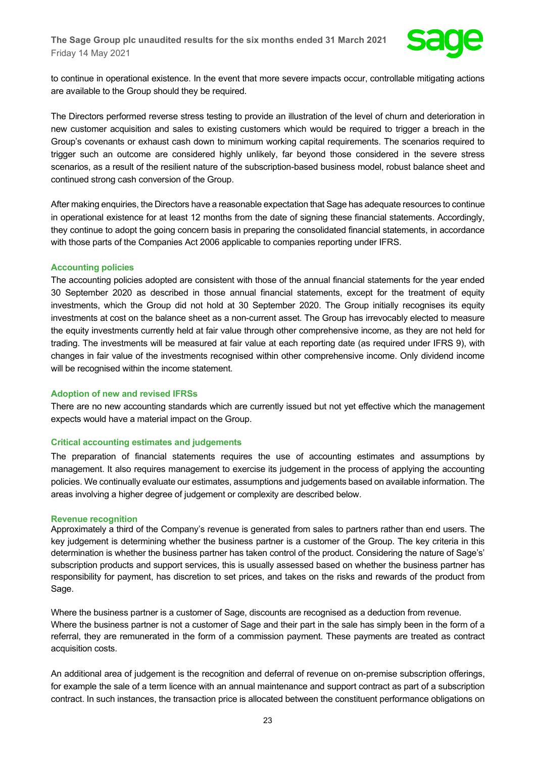

to continue in operational existence. In the event that more severe impacts occur, controllable mitigating actions are available to the Group should they be required.

The Directors performed reverse stress testing to provide an illustration of the level of churn and deterioration in new customer acquisition and sales to existing customers which would be required to trigger a breach in the Group's covenants or exhaust cash down to minimum working capital requirements. The scenarios required to trigger such an outcome are considered highly unlikely, far beyond those considered in the severe stress scenarios, as a result of the resilient nature of the subscription-based business model, robust balance sheet and continued strong cash conversion of the Group.

After making enquiries, the Directors have a reasonable expectation that Sage has adequate resources to continue in operational existence for at least 12 months from the date of signing these financial statements. Accordingly, they continue to adopt the going concern basis in preparing the consolidated financial statements, in accordance with those parts of the Companies Act 2006 applicable to companies reporting under IFRS.

#### **Accounting policies**

The accounting policies adopted are consistent with those of the annual financial statements for the year ended 30 September 2020 as described in those annual financial statements, except for the treatment of equity investments, which the Group did not hold at 30 September 2020. The Group initially recognises its equity investments at cost on the balance sheet as a non-current asset. The Group has irrevocably elected to measure the equity investments currently held at fair value through other comprehensive income, as they are not held for trading. The investments will be measured at fair value at each reporting date (as required under IFRS 9), with changes in fair value of the investments recognised within other comprehensive income. Only dividend income will be recognised within the income statement.

#### **Adoption of new and revised IFRSs**

There are no new accounting standards which are currently issued but not yet effective which the management expects would have a material impact on the Group.

## **Critical accounting estimates and judgements**

The preparation of financial statements requires the use of accounting estimates and assumptions by management. It also requires management to exercise its judgement in the process of applying the accounting policies. We continually evaluate our estimates, assumptions and judgements based on available information. The areas involving a higher degree of judgement or complexity are described below.

#### **Revenue recognition**

Approximately a third of the Company's revenue is generated from sales to partners rather than end users. The key judgement is determining whether the business partner is a customer of the Group. The key criteria in this determination is whether the business partner has taken control of the product. Considering the nature of Sage's' subscription products and support services, this is usually assessed based on whether the business partner has responsibility for payment, has discretion to set prices, and takes on the risks and rewards of the product from Sage.

Where the business partner is a customer of Sage, discounts are recognised as a deduction from revenue. Where the business partner is not a customer of Sage and their part in the sale has simply been in the form of a referral, they are remunerated in the form of a commission payment. These payments are treated as contract acquisition costs.

An additional area of judgement is the recognition and deferral of revenue on on-premise subscription offerings, for example the sale of a term licence with an annual maintenance and support contract as part of a subscription contract. In such instances, the transaction price is allocated between the constituent performance obligations on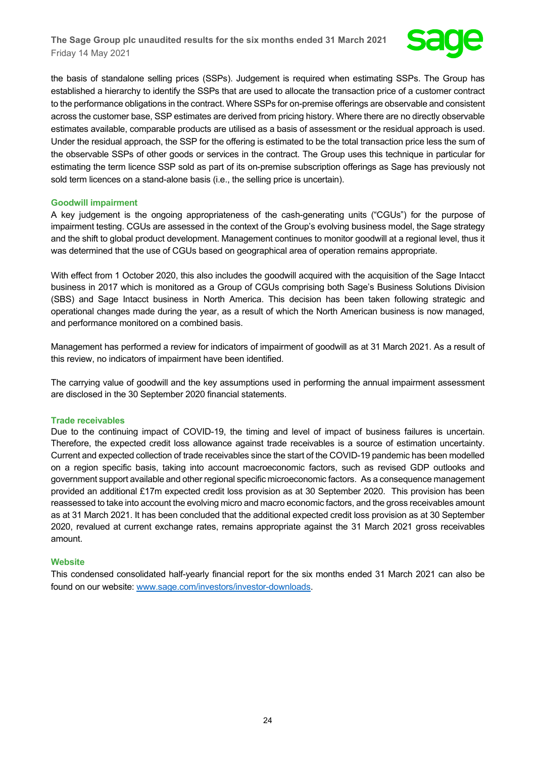

the basis of standalone selling prices (SSPs). Judgement is required when estimating SSPs. The Group has established a hierarchy to identify the SSPs that are used to allocate the transaction price of a customer contract to the performance obligations in the contract. Where SSPs for on-premise offerings are observable and consistent across the customer base, SSP estimates are derived from pricing history. Where there are no directly observable estimates available, comparable products are utilised as a basis of assessment or the residual approach is used. Under the residual approach, the SSP for the offering is estimated to be the total transaction price less the sum of the observable SSPs of other goods or services in the contract. The Group uses this technique in particular for estimating the term licence SSP sold as part of its on-premise subscription offerings as Sage has previously not sold term licences on a stand-alone basis (i.e., the selling price is uncertain).

## **Goodwill impairment**

A key judgement is the ongoing appropriateness of the cash-generating units ("CGUs") for the purpose of impairment testing. CGUs are assessed in the context of the Group's evolving business model, the Sage strategy and the shift to global product development. Management continues to monitor goodwill at a regional level, thus it was determined that the use of CGUs based on geographical area of operation remains appropriate.

With effect from 1 October 2020, this also includes the goodwill acquired with the acquisition of the Sage Intacct business in 2017 which is monitored as a Group of CGUs comprising both Sage's Business Solutions Division (SBS) and Sage Intacct business in North America. This decision has been taken following strategic and operational changes made during the year, as a result of which the North American business is now managed, and performance monitored on a combined basis.

Management has performed a review for indicators of impairment of goodwill as at 31 March 2021. As a result of this review, no indicators of impairment have been identified.

The carrying value of goodwill and the key assumptions used in performing the annual impairment assessment are disclosed in the 30 September 2020 financial statements.

## **Trade receivables**

Due to the continuing impact of COVID-19, the timing and level of impact of business failures is uncertain. Therefore, the expected credit loss allowance against trade receivables is a source of estimation uncertainty. Current and expected collection of trade receivables since the start of the COVID-19 pandemic has been modelled on a region specific basis, taking into account macroeconomic factors, such as revised GDP outlooks and government support available and other regional specific microeconomic factors. As a consequence management provided an additional £17m expected credit loss provision as at 30 September 2020. This provision has been reassessed to take into account the evolving micro and macro economic factors, and the gross receivables amount as at 31 March 2021. It has been concluded that the additional expected credit loss provision as at 30 September 2020, revalued at current exchange rates, remains appropriate against the 31 March 2021 gross receivables amount.

## **Website**

This condensed consolidated half-yearly financial report for the six months ended 31 March 2021 can also be found on our website: [www.sage.com/investors/investor-downloads.](http://www.sage.com/investors/investor-downloads)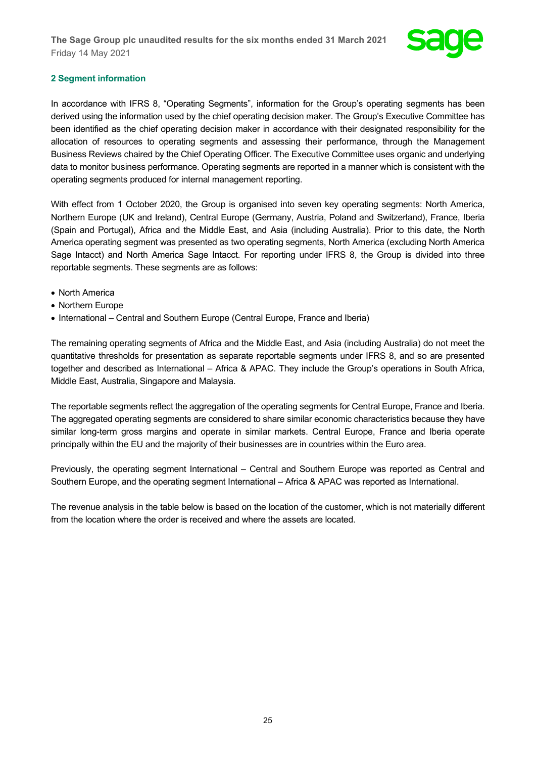

## **2 Segment information**

In accordance with IFRS 8, "Operating Segments", information for the Group's operating segments has been derived using the information used by the chief operating decision maker. The Group's Executive Committee has been identified as the chief operating decision maker in accordance with their designated responsibility for the allocation of resources to operating segments and assessing their performance, through the Management Business Reviews chaired by the Chief Operating Officer. The Executive Committee uses organic and underlying data to monitor business performance. Operating segments are reported in a manner which is consistent with the operating segments produced for internal management reporting.

With effect from 1 October 2020, the Group is organised into seven key operating segments: North America, Northern Europe (UK and Ireland), Central Europe (Germany, Austria, Poland and Switzerland), France, Iberia (Spain and Portugal), Africa and the Middle East, and Asia (including Australia). Prior to this date, the North America operating segment was presented as two operating segments, North America (excluding North America Sage Intacct) and North America Sage Intacct. For reporting under IFRS 8, the Group is divided into three reportable segments. These segments are as follows:

- North America
- Northern Europe
- International Central and Southern Europe (Central Europe, France and Iberia)

The remaining operating segments of Africa and the Middle East, and Asia (including Australia) do not meet the quantitative thresholds for presentation as separate reportable segments under IFRS 8, and so are presented together and described as International – Africa & APAC. They include the Group's operations in South Africa, Middle East, Australia, Singapore and Malaysia.

The reportable segments reflect the aggregation of the operating segments for Central Europe, France and Iberia. The aggregated operating segments are considered to share similar economic characteristics because they have similar long-term gross margins and operate in similar markets. Central Europe, France and Iberia operate principally within the EU and the majority of their businesses are in countries within the Euro area.

Previously, the operating segment International – Central and Southern Europe was reported as Central and Southern Europe, and the operating segment International – Africa & APAC was reported as International.

The revenue analysis in the table below is based on the location of the customer, which is not materially different from the location where the order is received and where the assets are located.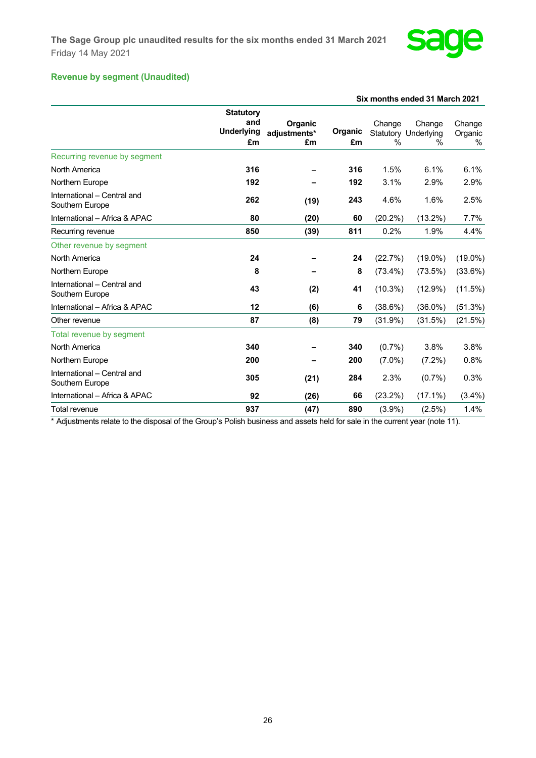

## **Revenue by segment (Unaudited)**

|                                                |                                                    |                               | Six months ended 31 March 2021 |             |                                               |                        |  |
|------------------------------------------------|----------------------------------------------------|-------------------------------|--------------------------------|-------------|-----------------------------------------------|------------------------|--|
|                                                | <b>Statutory</b><br>and<br><b>Underlying</b><br>£m | Organic<br>adjustments*<br>£m | Organic<br>£m                  | Change<br>% | Change<br><b>Statutory Underlying</b><br>$\%$ | Change<br>Organic<br>% |  |
| Recurring revenue by segment                   |                                                    |                               |                                |             |                                               |                        |  |
| North America                                  | 316                                                |                               | 316                            | 1.5%        | 6.1%                                          | 6.1%                   |  |
| Northern Europe                                | 192                                                |                               | 192                            | 3.1%        | 2.9%                                          | 2.9%                   |  |
| International - Central and<br>Southern Europe | 262                                                | (19)                          | 243                            | 4.6%        | 1.6%                                          | 2.5%                   |  |
| International - Africa & APAC                  | 80                                                 | (20)                          | 60                             | $(20.2\%)$  | $(13.2\%)$                                    | 7.7%                   |  |
| Recurring revenue                              | 850                                                | (39)                          | 811                            | 0.2%        | 1.9%                                          | 4.4%                   |  |
| Other revenue by segment                       |                                                    |                               |                                |             |                                               |                        |  |
| North America                                  | 24                                                 |                               | 24                             | (22.7%)     | $(19.0\%)$                                    | $(19.0\%)$             |  |
| Northern Europe                                | 8                                                  |                               | 8                              | $(73.4\%)$  | $(73.5\%)$                                    | (33.6%)                |  |
| International - Central and<br>Southern Europe | 43                                                 | (2)                           | 41                             | $(10.3\%)$  | $(12.9\%)$                                    | (11.5%)                |  |
| International - Africa & APAC                  | 12                                                 | (6)                           | 6                              | (38.6%)     | $(36.0\%)$                                    | (51.3%)                |  |
| Other revenue                                  | 87                                                 | (8)                           | 79                             | (31.9%)     | (31.5%)                                       | (21.5%)                |  |
| Total revenue by segment                       |                                                    |                               |                                |             |                                               |                        |  |
| North America                                  | 340                                                |                               | 340                            | $(0.7\%)$   | 3.8%                                          | 3.8%                   |  |
| Northern Europe                                | 200                                                |                               | 200                            | $(7.0\%)$   | $(7.2\%)$                                     | 0.8%                   |  |
| International - Central and<br>Southern Europe | 305                                                | (21)                          | 284                            | 2.3%        | $(0.7\%)$                                     | 0.3%                   |  |
| International - Africa & APAC                  | 92                                                 | (26)                          | 66                             | $(23.2\%)$  | $(17.1\%)$                                    | $(3.4\%)$              |  |
| Total revenue                                  | 937                                                | (47)                          | 890                            | $(3.9\%)$   | $(2.5\%)$                                     | 1.4%                   |  |

\* Adjustments relate to the disposal of the Group's Polish business and assets held for sale in the current year (note 11).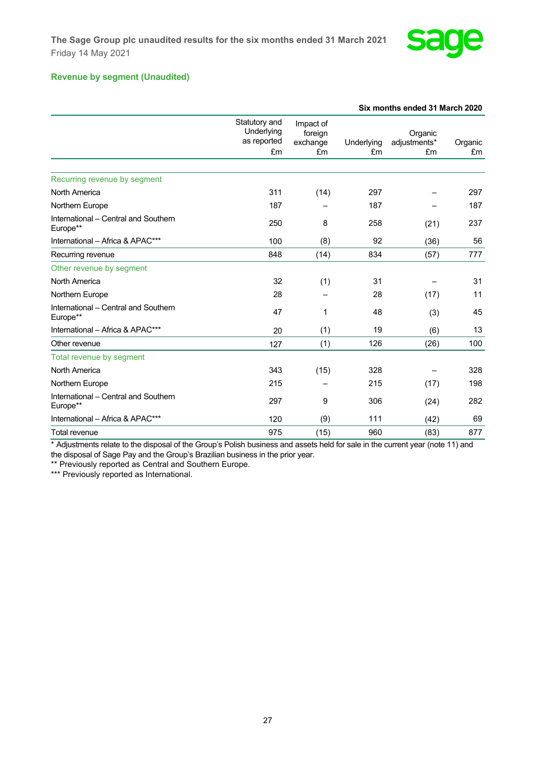

## **Revenue by segment (Unaudited)**

|                                                  |                                                  |                                        |                  | Six months ended 31 March 2020 |               |
|--------------------------------------------------|--------------------------------------------------|----------------------------------------|------------------|--------------------------------|---------------|
|                                                  | Statutory and<br>Underlying<br>as reported<br>£m | Impact of<br>foreign<br>exchange<br>£m | Underlying<br>£m | Organic<br>adjustments*<br>£m  | Organic<br>£m |
| Recurring revenue by segment                     |                                                  |                                        |                  |                                |               |
| North America                                    | 311                                              | (14)                                   | 297              |                                | 297           |
| Northern Europe                                  | 187                                              |                                        | 187              |                                | 187           |
| International - Central and Southern<br>Europe** | 250                                              | 8                                      | 258              | (21)                           | 237           |
| International - Africa & APAC***                 | 100                                              | (8)                                    | 92               | (36)                           | 56            |
| Recurring revenue                                | 848                                              | (14)                                   | 834              | (57)                           | 777           |
| Other revenue by segment                         |                                                  |                                        |                  |                                |               |
| North America                                    | 32                                               | (1)                                    | 31               |                                | 31            |
| Northern Europe                                  | 28                                               |                                        | 28               | (17)                           | 11            |
| International - Central and Southern<br>Europe** | 47                                               | 1                                      | 48               | (3)                            | 45            |
| International - Africa & APAC***                 | 20                                               | (1)                                    | 19               | (6)                            | 13            |
| Other revenue                                    | 127                                              | (1)                                    | 126              | (26)                           | 100           |
| Total revenue by segment                         |                                                  |                                        |                  |                                |               |
| North America                                    | 343                                              | (15)                                   | 328              |                                | 328           |
| Northern Europe                                  | 215                                              |                                        | 215              | (17)                           | 198           |
| International - Central and Southern<br>Europe** | 297                                              | 9                                      | 306              | (24)                           | 282           |
| International - Africa & APAC***                 | 120                                              | (9)                                    | 111              | (42)                           | 69            |
| Total revenue                                    | 975                                              | (15)                                   | 960              | (83)                           | 877           |

\* Adjustments relate to the disposal of the Group's Polish business and assets held for sale in the current year (note 11) and the disposal of Sage Pay and the Group's Brazilian business in the prior year.

\*\* Previously reported as Central and Southern Europe.

\*\*\* Previously reported as International.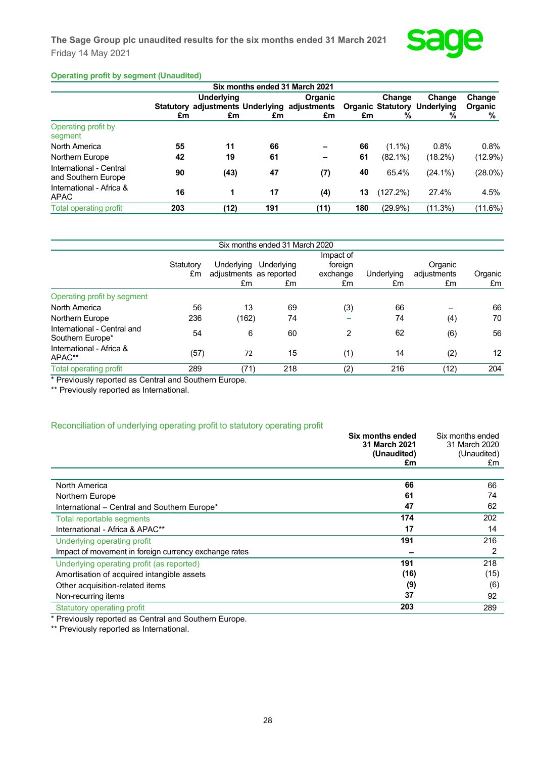

## **Operating profit by segment (Unaudited)**

|     |      |                               | <b>Organic</b> |                                                                                |            | Change  | Change<br>Organic                                     |
|-----|------|-------------------------------|----------------|--------------------------------------------------------------------------------|------------|---------|-------------------------------------------------------|
|     |      | £m                            | £m             |                                                                                |            | %       | %                                                     |
|     |      |                               |                |                                                                                |            |         |                                                       |
| 55  | 11   | 66                            |                | 66                                                                             | $(1.1\%)$  | 0.8%    | 0.8%                                                  |
| 42  | 19   | 61                            |                | 61                                                                             | $(82.1\%)$ | (18.2%) | (12.9%)                                               |
| 90  | (43) | 47                            | (7)            | 40                                                                             | 65.4%      | (24.1%) | (28.0%)                                               |
| 16  | 1    | 17                            | (4)            | 13                                                                             | (127.2%)   | 27.4%   | 4.5%                                                  |
| 203 | (12) | 191                           | (11)           | 180                                                                            | $(29.9\%)$ | (11.3%) | (11.6%)                                               |
|     |      | <b>Underlying</b><br>£m<br>£m |                | Six months ended 31 March 2021<br>Statutory adjustments Underlying adjustments |            | £m      | Change<br><b>Organic Statutory</b><br>Underlying<br>% |

| Statutory<br>£m | Underlying<br>£m | Underlying<br>£m | Impact of<br>foreign<br>exchange<br>£m   | Underlying<br>£m               | Organic<br>adjustments<br>£m | Organic<br>£m   |
|-----------------|------------------|------------------|------------------------------------------|--------------------------------|------------------------------|-----------------|
|                 |                  |                  |                                          |                                |                              |                 |
| 56              | 13               | 69               | (3)                                      | 66                             |                              | 66              |
| 236             |                  | 74               |                                          | 74                             |                              | 70              |
| 54              | 6                | 60               | 2                                        | 62                             | (6)                          | 56              |
| (57)            | 72               | 15               | (1)                                      | 14                             | (2)                          | 12 <sup>2</sup> |
| 289             |                  | 218              | (2)                                      | 216                            | (12)                         | 204             |
|                 |                  |                  | adjustments as reported<br>(162)<br>(71) | Six months ended 31 March 2020 |                              | (4)             |

Previously reported as Central and Southern Europe.

\*\* Previously reported as International.

#### Reconciliation of underlying operating profit to statutory operating profit

|                                                       | Six months ended  | Six months ended  |
|-------------------------------------------------------|-------------------|-------------------|
|                                                       | 31 March 2021     | 31 March 2020     |
|                                                       | (Unaudited)<br>£m | (Unaudited)<br>£m |
|                                                       |                   |                   |
| North America                                         | 66                | 66                |
| Northern Europe                                       | 61                | 74                |
| International – Central and Southern Europe*          | 47                | 62                |
| Total reportable segments                             | 174               | 202               |
| International - Africa & APAC**                       | 17                | 14                |
| Underlying operating profit                           | 191               | 216               |
| Impact of movement in foreign currency exchange rates |                   | 2                 |
| Underlying operating profit (as reported)             | 191               | 218               |
| Amortisation of acquired intangible assets            | (16)              | (15)              |
| Other acquisition-related items                       | (9)               | (6)               |
| Non-recurring items                                   | 37                | 92                |
| Statutory operating profit                            | 203               | 289               |

\* Previously reported as Central and Southern Europe.

\*\* Previously reported as International.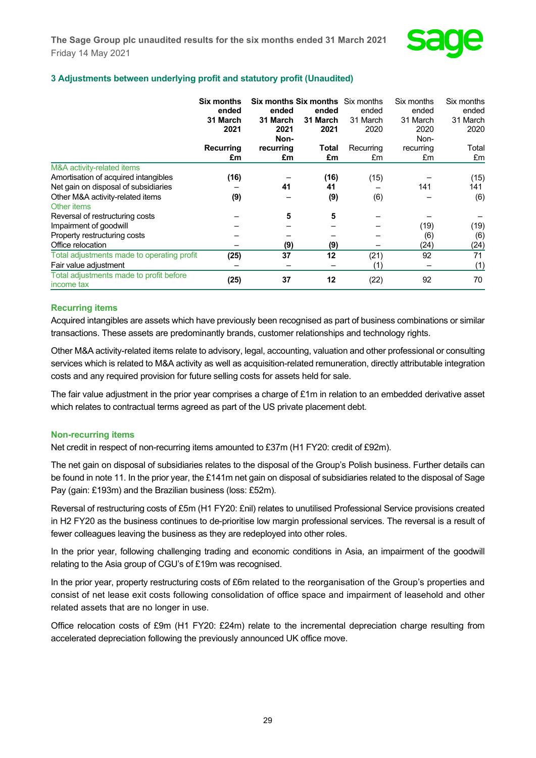

## **3 Adjustments between underlying profit and statutory profit (Unaudited)**

|                                                                                         | <b>Six months</b><br>ended<br>31 March<br>2021 | <b>Six months Six months</b> Six months<br>ended<br>31 March<br>2021<br>Non- | ended<br>31 March<br>2021 | ended<br>31 March<br>2020 | Six months<br>ended<br>31 March<br>2020 | Six months<br>ended<br>31 March<br>2020 |
|-----------------------------------------------------------------------------------------|------------------------------------------------|------------------------------------------------------------------------------|---------------------------|---------------------------|-----------------------------------------|-----------------------------------------|
|                                                                                         | <b>Recurring</b><br>£m                         | recurring<br>£m                                                              | Total<br>£m               | Recurring<br>£m           | Non-<br>recurring<br>£m                 | Total<br>£m                             |
| M&A activity-related items<br>Amortisation of acquired intangibles                      | (16)                                           |                                                                              | (16)                      | (15)                      |                                         | (15)                                    |
| Net gain on disposal of subsidiaries<br>Other M&A activity-related items<br>Other items | (9)                                            | 41                                                                           | 41<br>(9)                 | (6)                       | 141                                     | 141<br>(6)                              |
| Reversal of restructuring costs<br>Impairment of goodwill                               |                                                | 5                                                                            | 5                         |                           | (19)                                    | (19)                                    |
| Property restructuring costs<br>Office relocation                                       |                                                | (9)                                                                          | (9)                       |                           | (6)<br>(24)                             | (6)<br>(24)                             |
| Total adjustments made to operating profit<br>Fair value adjustment                     | (25)                                           | 37                                                                           | 12                        | (21)<br>(1)               | 92                                      | 71<br>(1)                               |
| Total adjustments made to profit before<br>income tax                                   | (25)                                           | 37                                                                           | 12                        | (22)                      | 92                                      | 70                                      |

#### **Recurring items**

Acquired intangibles are assets which have previously been recognised as part of business combinations or similar transactions. These assets are predominantly brands, customer relationships and technology rights.

Other M&A activity-related items relate to advisory, legal, accounting, valuation and other professional or consulting services which is related to M&A activity as well as acquisition-related remuneration, directly attributable integration costs and any required provision for future selling costs for assets held for sale.

The fair value adjustment in the prior year comprises a charge of £1m in relation to an embedded derivative asset which relates to contractual terms agreed as part of the US private placement debt.

#### **Non-recurring items**

Net credit in respect of non-recurring items amounted to £37m (H1 FY20: credit of £92m).

The net gain on disposal of subsidiaries relates to the disposal of the Group's Polish business. Further details can be found in note 11. In the prior year, the £141m net gain on disposal of subsidiaries related to the disposal of Sage Pay (gain: £193m) and the Brazilian business (loss: £52m).

Reversal of restructuring costs of £5m (H1 FY20: £nil) relates to unutilised Professional Service provisions created in H2 FY20 as the business continues to de-prioritise low margin professional services. The reversal is a result of fewer colleagues leaving the business as they are redeployed into other roles.

In the prior year, following challenging trading and economic conditions in Asia, an impairment of the goodwill relating to the Asia group of CGU's of £19m was recognised.

In the prior year, property restructuring costs of £6m related to the reorganisation of the Group's properties and consist of net lease exit costs following consolidation of office space and impairment of leasehold and other related assets that are no longer in use.

Office relocation costs of £9m (H1 FY20: £24m) relate to the incremental depreciation charge resulting from accelerated depreciation following the previously announced UK office move.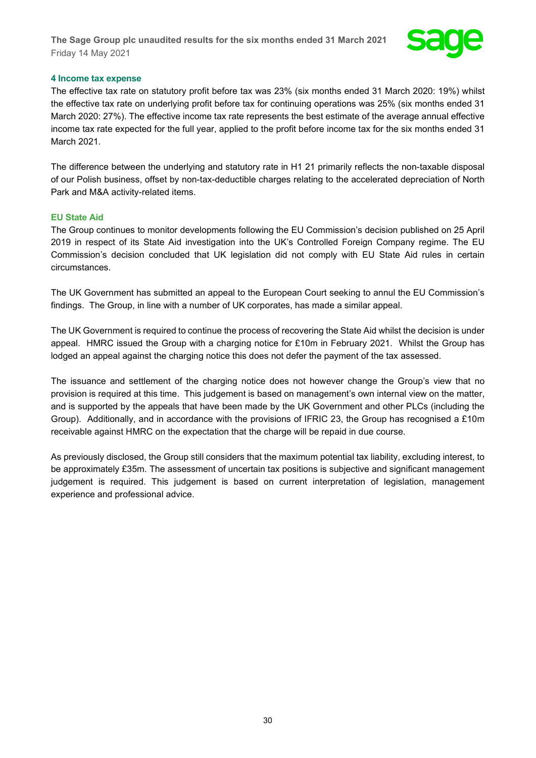

#### **4 Income tax expense**

The effective tax rate on statutory profit before tax was 23% (six months ended 31 March 2020: 19%) whilst the effective tax rate on underlying profit before tax for continuing operations was 25% (six months ended 31 March 2020: 27%). The effective income tax rate represents the best estimate of the average annual effective income tax rate expected for the full year, applied to the profit before income tax for the six months ended 31 March 2021.

The difference between the underlying and statutory rate in H1 21 primarily reflects the non-taxable disposal of our Polish business, offset by non-tax-deductible charges relating to the accelerated depreciation of North Park and M&A activity-related items.

#### **EU State Aid**

The Group continues to monitor developments following the EU Commission's decision published on 25 April 2019 in respect of its State Aid investigation into the UK's Controlled Foreign Company regime. The EU Commission's decision concluded that UK legislation did not comply with EU State Aid rules in certain circumstances.

The UK Government has submitted an appeal to the European Court seeking to annul the EU Commission's findings. The Group, in line with a number of UK corporates, has made a similar appeal.

The UK Government is required to continue the process of recovering the State Aid whilst the decision is under appeal. HMRC issued the Group with a charging notice for £10m in February 2021. Whilst the Group has lodged an appeal against the charging notice this does not defer the payment of the tax assessed.

The issuance and settlement of the charging notice does not however change the Group's view that no provision is required at this time. This judgement is based on management's own internal view on the matter, and is supported by the appeals that have been made by the UK Government and other PLCs (including the Group). Additionally, and in accordance with the provisions of IFRIC 23, the Group has recognised a £10m receivable against HMRC on the expectation that the charge will be repaid in due course.

As previously disclosed, the Group still considers that the maximum potential tax liability, excluding interest, to be approximately £35m. The assessment of uncertain tax positions is subjective and significant management judgement is required. This judgement is based on current interpretation of legislation, management experience and professional advice.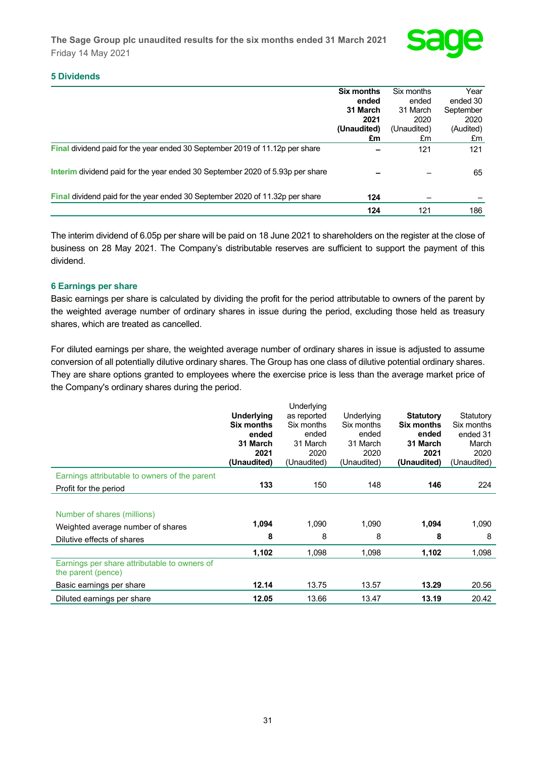

## **5 Dividends**

|                                                                                     | Six months  | Six months  | Year      |
|-------------------------------------------------------------------------------------|-------------|-------------|-----------|
|                                                                                     | ended       | ended       | ended 30  |
|                                                                                     | 31 March    | 31 March    | September |
|                                                                                     | 2021        | 2020        | 2020      |
|                                                                                     | (Unaudited) | (Unaudited) | (Audited) |
|                                                                                     | £m          | £m          | £m        |
| <b>Final dividend paid for the year ended 30 September 2019 of 11.12p per share</b> |             | 121         | 121       |
| Interim dividend paid for the year ended 30 September 2020 of 5.93p per share       |             |             | 65        |
| <b>Final dividend paid for the year ended 30 September 2020 of 11.32p per share</b> | 124         |             |           |
|                                                                                     | 124         | 121         | 186       |

The interim dividend of 6.05p per share will be paid on 18 June 2021 to shareholders on the register at the close of business on 28 May 2021. The Company's distributable reserves are sufficient to support the payment of this dividend.

## **6 Earnings per share**

Basic earnings per share is calculated by dividing the profit for the period attributable to owners of the parent by the weighted average number of ordinary shares in issue during the period, excluding those held as treasury shares, which are treated as cancelled.

For diluted earnings per share, the weighted average number of ordinary shares in issue is adjusted to assume conversion of all potentially dilutive ordinary shares. The Group has one class of dilutive potential ordinary shares. They are share options granted to employees where the exercise price is less than the average market price of the Company's ordinary shares during the period.

|                                                                    |                   | Underlying  |             |                  |             |
|--------------------------------------------------------------------|-------------------|-------------|-------------|------------------|-------------|
|                                                                    | <b>Underlying</b> | as reported | Underlying  | <b>Statutory</b> | Statutory   |
|                                                                    | Six months        | Six months  | Six months  | Six months       | Six months  |
|                                                                    | ended             | ended       | ended       | ended            | ended 31    |
|                                                                    | 31 March          | 31 March    | 31 March    | 31 March         | March       |
|                                                                    | 2021              | 2020        | 2020        | 2021             | 2020        |
|                                                                    | (Unaudited)       | (Unaudited) | (Unaudited) | (Unaudited)      | (Unaudited) |
| Earnings attributable to owners of the parent                      |                   |             |             |                  |             |
| Profit for the period                                              | 133               | 150         | 148         | 146              | 224         |
|                                                                    |                   |             |             |                  |             |
| Number of shares (millions)                                        |                   |             |             |                  |             |
| Weighted average number of shares                                  | 1,094             | 1,090       | 1,090       | 1,094            | 1,090       |
| Dilutive effects of shares                                         | 8                 | 8           | 8           | 8                | 8           |
|                                                                    | 1,102             | 1,098       | 1,098       | 1,102            | 1,098       |
| Earnings per share attributable to owners of<br>the parent (pence) |                   |             |             |                  |             |
| Basic earnings per share                                           | 12.14             | 13.75       | 13.57       | 13.29            | 20.56       |
| Diluted earnings per share                                         | 12.05             | 13.66       | 13.47       | 13.19            | 20.42       |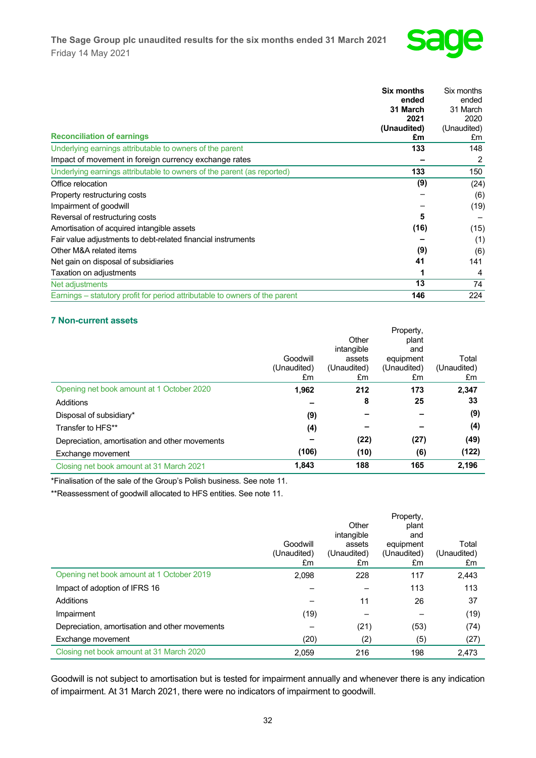

|                                                                             | <b>Six months</b> | Six months  |
|-----------------------------------------------------------------------------|-------------------|-------------|
|                                                                             | ended             | ended       |
|                                                                             | 31 March          | 31 March    |
|                                                                             | 2021              | 2020        |
|                                                                             | (Unaudited)       | (Unaudited) |
| <b>Reconciliation of earnings</b>                                           | £m                | £m          |
| Underlying earnings attributable to owners of the parent                    | 133               | 148         |
| Impact of movement in foreign currency exchange rates                       |                   | 2           |
| Underlying earnings attributable to owners of the parent (as reported)      | 133               | 150         |
| Office relocation                                                           | (9)               | (24)        |
| Property restructuring costs                                                |                   | (6)         |
| Impairment of goodwill                                                      |                   | (19)        |
| Reversal of restructuring costs                                             | 5                 |             |
| Amortisation of acquired intangible assets                                  | (16)              | (15)        |
| Fair value adjustments to debt-related financial instruments                |                   | (1)         |
| Other M&A related items                                                     | (9)               | (6)         |
| Net gain on disposal of subsidiaries                                        | 41                | 141         |
| Taxation on adjustments                                                     |                   | 4           |
| Net adjustments                                                             | 13                | 74          |
| Earnings – statutory profit for period attributable to owners of the parent | 146               | 224         |

## **7 Non-current assets**

|                                                |             |             | Property,   |             |
|------------------------------------------------|-------------|-------------|-------------|-------------|
|                                                |             | Other       | plant       |             |
|                                                |             | intangible  | and         |             |
|                                                | Goodwill    | assets      | equipment   | Total       |
|                                                | (Unaudited) | (Unaudited) | (Unaudited) | (Unaudited) |
|                                                | £m          | £m          | £m          | £m          |
| Opening net book amount at 1 October 2020      | 1,962       | 212         | 173         | 2,347       |
| Additions                                      |             | 8           | 25          | 33          |
| Disposal of subsidiary*                        | (9)         |             |             | (9)         |
| Transfer to HFS**                              | (4)         |             |             | (4)         |
| Depreciation, amortisation and other movements |             | (22)        | (27)        | (49)        |
| Exchange movement                              | (106)       | (10)        | (6)         | (122)       |
| Closing net book amount at 31 March 2021       | 1,843       | 188         | 165         | 2,196       |

\*Finalisation of the sale of the Group's Polish business. See note 11.

\*\*Reassessment of goodwill allocated to HFS entities. See note 11.

|                                                |             |                     | Property,    |             |
|------------------------------------------------|-------------|---------------------|--------------|-------------|
|                                                |             | Other<br>intangible | plant<br>and |             |
|                                                | Goodwill    | assets              | equipment    | Total       |
|                                                | (Unaudited) | (Unaudited)         | (Unaudited)  | (Unaudited) |
|                                                | £m          | £m                  | £m           | £m          |
| Opening net book amount at 1 October 2019      | 2.098       | 228                 | 117          | 2,443       |
| Impact of adoption of IFRS 16                  |             |                     | 113          | 113         |
| Additions                                      |             | 11                  | 26           | 37          |
| Impairment                                     | (19)        |                     |              | (19)        |
| Depreciation, amortisation and other movements |             | (21)                | (53)         | (74)        |
| Exchange movement                              | (20)        | (2)                 | (5)          | (27)        |
| Closing net book amount at 31 March 2020       | 2.059       | 216                 | 198          | 2.473       |

Goodwill is not subject to amortisation but is tested for impairment annually and whenever there is any indication of impairment. At 31 March 2021, there were no indicators of impairment to goodwill.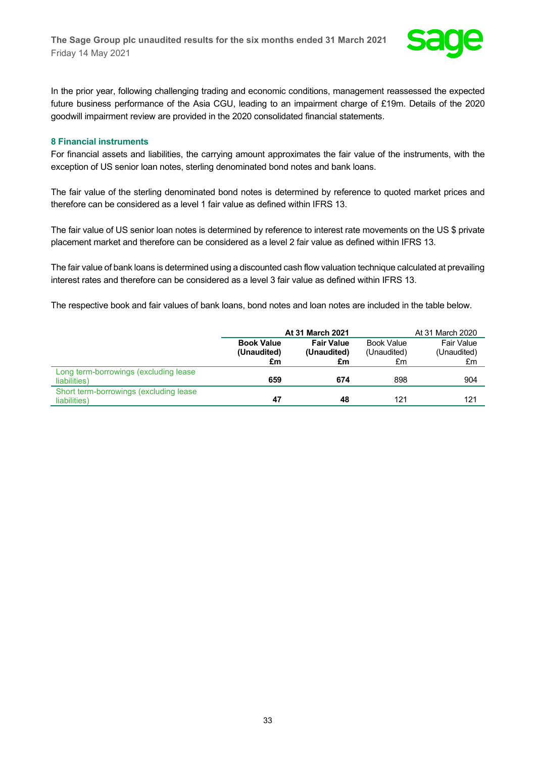

In the prior year, following challenging trading and economic conditions, management reassessed the expected future business performance of the Asia CGU, leading to an impairment charge of £19m. Details of the 2020 goodwill impairment review are provided in the 2020 consolidated financial statements.

#### **8 Financial instruments**

For financial assets and liabilities, the carrying amount approximates the fair value of the instruments, with the exception of US senior loan notes, sterling denominated bond notes and bank loans.

The fair value of the sterling denominated bond notes is determined by reference to quoted market prices and therefore can be considered as a level 1 fair value as defined within IFRS 13.

The fair value of US senior loan notes is determined by reference to interest rate movements on the US \$ private placement market and therefore can be considered as a level 2 fair value as defined within IFRS 13.

The fair value of bank loans is determined using a discounted cash flow valuation technique calculated at prevailing interest rates and therefore can be considered as a level 3 fair value as defined within IFRS 13.

The respective book and fair values of bank loans, bond notes and loan notes are included in the table below.

|                                                         |                                  | <b>At 31 March 2021</b>          |                                  |                           |  |
|---------------------------------------------------------|----------------------------------|----------------------------------|----------------------------------|---------------------------|--|
|                                                         | <b>Book Value</b><br>(Unaudited) | <b>Fair Value</b><br>(Unaudited) | <b>Book Value</b><br>(Unaudited) | Fair Value<br>(Unaudited) |  |
|                                                         | £m                               | £m                               | £m                               | £m                        |  |
| Long term-borrowings (excluding lease<br>liabilities)   | 659                              | 674                              | 898                              | 904                       |  |
| Short term-borrowings (excluding lease)<br>liabilities) | 47                               | 48                               | 121                              | 121                       |  |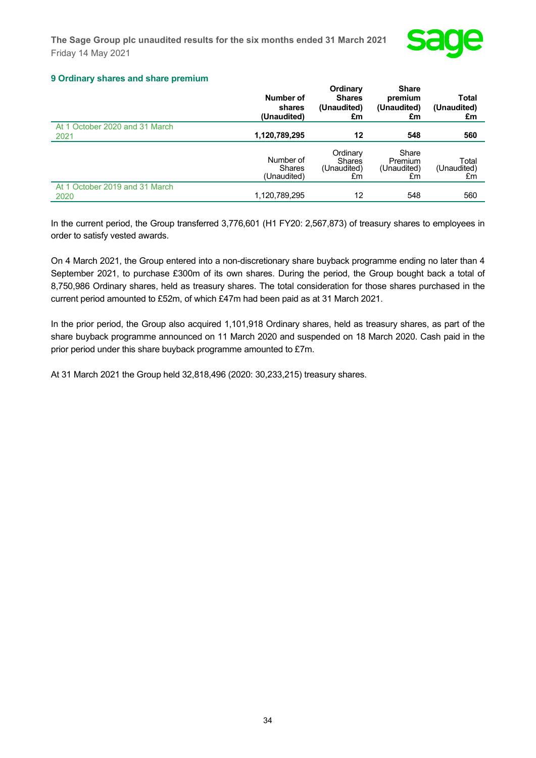

**Share** 

## **9 Ordinary shares and share premium**

|                                        | Number of<br>shares<br>(Unaudited)        | <b>U</b> lullary<br><b>Shares</b><br>(Unaudited)<br>£m | онаге<br>premium<br>(Unaudited)<br>£m | Total<br>(Unaudited)<br>£m |
|----------------------------------------|-------------------------------------------|--------------------------------------------------------|---------------------------------------|----------------------------|
| At 1 October 2020 and 31 March<br>2021 | 1,120,789,295                             | 12                                                     | 548                                   | 560                        |
|                                        | Number of<br><b>Shares</b><br>(Unaudited) | Ordinary<br><b>Shares</b><br>(Unaudited)<br>£m         | Share<br>Premium<br>(Unaudited)<br>£m | Total<br>(Unaudited)<br>£m |
| At 1 October 2019 and 31 March<br>2020 | 1,120,789,295                             | 12                                                     | 548                                   | 560                        |

**Ordinary**

In the current period, the Group transferred 3,776,601 (H1 FY20: 2,567,873) of treasury shares to employees in order to satisfy vested awards.

On 4 March 2021, the Group entered into a non-discretionary share buyback programme ending no later than 4 September 2021, to purchase £300m of its own shares. During the period, the Group bought back a total of 8,750,986 Ordinary shares, held as treasury shares. The total consideration for those shares purchased in the current period amounted to £52m, of which £47m had been paid as at 31 March 2021.

In the prior period, the Group also acquired 1,101,918 Ordinary shares, held as treasury shares, as part of the share buyback programme announced on 11 March 2020 and suspended on 18 March 2020. Cash paid in the prior period under this share buyback programme amounted to £7m.

At 31 March 2021 the Group held 32,818,496 (2020: 30,233,215) treasury shares.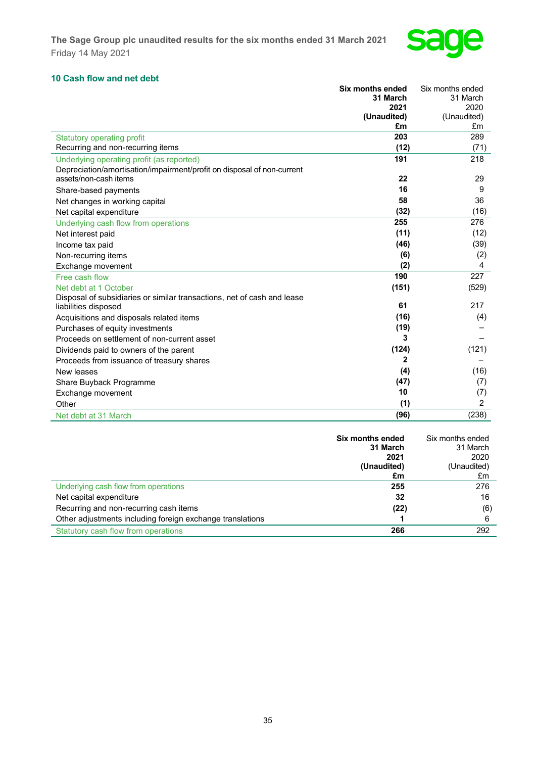

## **10 Cash flow and net debt**

| an now and not acon                                                     | <b>Six months ended</b> | Six months ended |
|-------------------------------------------------------------------------|-------------------------|------------------|
|                                                                         | 31 March                | 31 March         |
|                                                                         | 2021                    | 2020             |
|                                                                         | (Unaudited)             | (Unaudited)      |
|                                                                         | £m                      | £m               |
| <b>Statutory operating profit</b>                                       | 203                     | 289              |
| Recurring and non-recurring items                                       | (12)                    | (71)             |
| Underlying operating profit (as reported)                               | 191                     | 218              |
| Depreciation/amortisation/impairment/profit on disposal of non-current  |                         |                  |
| assets/non-cash items                                                   | 22                      | 29               |
| Share-based payments                                                    | 16                      | 9                |
| Net changes in working capital                                          | 58                      | 36               |
| Net capital expenditure                                                 | (32)                    | (16)             |
| Underlying cash flow from operations                                    | 255                     | 276              |
| Net interest paid                                                       | (11)                    | (12)             |
| Income tax paid                                                         | (46)                    | (39)             |
| Non-recurring items                                                     | (6)                     | (2)              |
| Exchange movement                                                       | (2)                     | 4                |
| Free cash flow                                                          | 190                     | 227              |
| Net debt at 1 October                                                   | (151)                   | (529)            |
| Disposal of subsidiaries or similar transactions, net of cash and lease |                         |                  |
| liabilities disposed                                                    | 61                      | 217              |
| Acquisitions and disposals related items                                | (16)                    | (4)              |
| Purchases of equity investments                                         | (19)                    |                  |
| Proceeds on settlement of non-current asset                             | 3                       |                  |
| Dividends paid to owners of the parent                                  | (124)                   | (121)            |
| Proceeds from issuance of treasury shares                               | 2                       |                  |
| New leases                                                              | (4)                     | (16)             |
| Share Buyback Programme                                                 | (47)                    | (7)              |
| Exchange movement                                                       | 10                      | (7)              |
| Other                                                                   | (1)                     | $\overline{2}$   |
| Net debt at 31 March                                                    | (96)                    | (238)            |

|                                                           | Six months ended<br>31 March | Six months ended<br>31 March |
|-----------------------------------------------------------|------------------------------|------------------------------|
|                                                           | 2021                         | 2020                         |
|                                                           | (Unaudited)                  | (Unaudited)                  |
|                                                           | £m                           | £m                           |
| Underlying cash flow from operations                      | 255                          | 276                          |
| Net capital expenditure                                   | 32                           | 16                           |
| Recurring and non-recurring cash items                    | (22)                         | (6)                          |
| Other adjustments including foreign exchange translations |                              | 6                            |
| Statutory cash flow from operations                       | 266                          | 292                          |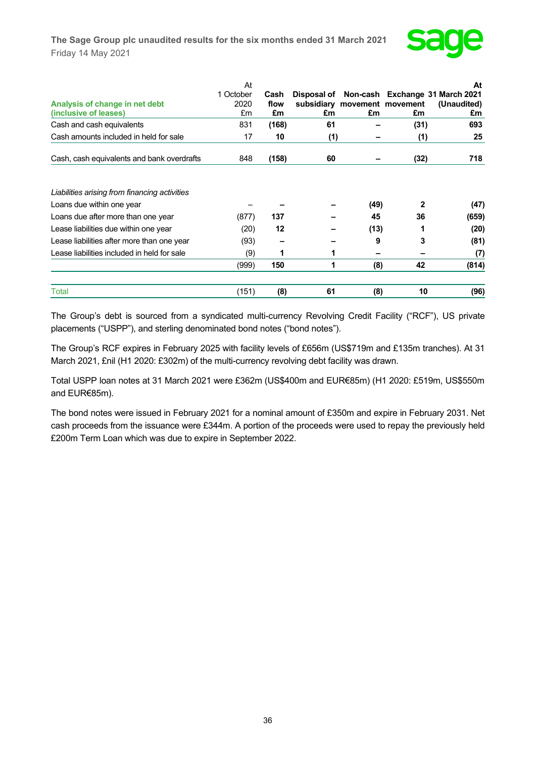

|                                               | At                |              |                                             |      |      | At                                             |
|-----------------------------------------------|-------------------|--------------|---------------------------------------------|------|------|------------------------------------------------|
| Analysis of change in net debt                | 1 October<br>2020 | Cash<br>flow | Disposal of<br>subsidiary movement movement |      |      | Non-cash Exchange 31 March 2021<br>(Unaudited) |
| (inclusive of leases)                         | £m                | £m           | £m                                          | £m   | £m   | £m                                             |
| Cash and cash equivalents                     | 831               | (168)        | 61                                          |      | (31) | 693                                            |
| Cash amounts included in held for sale        | 17                | 10           | (1)                                         |      | (1)  | 25                                             |
| Cash, cash equivalents and bank overdrafts    | 848               | (158)        | 60                                          |      | (32) | 718                                            |
|                                               |                   |              |                                             |      |      |                                                |
| Liabilities arising from financing activities |                   |              |                                             |      |      |                                                |
| Loans due within one year                     |                   |              |                                             | (49) | 2    | (47)                                           |
| Loans due after more than one year            | (877)             | 137          |                                             | 45   | 36   | (659)                                          |
| Lease liabilities due within one year         | (20)              | $12 \,$      |                                             | (13) |      | (20)                                           |
| Lease liabilities after more than one year    | (93)              |              |                                             | 9    | 3    | (81)                                           |
| Lease liabilities included in held for sale   | (9)               | 1            |                                             | -    |      | (7)                                            |
|                                               | (999)             | 150          | 1                                           | (8)  | 42   | (814)                                          |
| Total                                         | (151)             | (8)          | 61                                          | (8)  | 10   | (96)                                           |

The Group's debt is sourced from a syndicated multi-currency Revolving Credit Facility ("RCF"), US private placements ("USPP"), and sterling denominated bond notes ("bond notes").

The Group's RCF expires in February 2025 with facility levels of £656m (US\$719m and £135m tranches). At 31 March 2021, £nil (H1 2020: £302m) of the multi-currency revolving debt facility was drawn.

Total USPP loan notes at 31 March 2021 were £362m (US\$400m and EUR€85m) (H1 2020: £519m, US\$550m and EUR€85m).

The bond notes were issued in February 2021 for a nominal amount of £350m and expire in February 2031. Net cash proceeds from the issuance were £344m. A portion of the proceeds were used to repay the previously held £200m Term Loan which was due to expire in September 2022.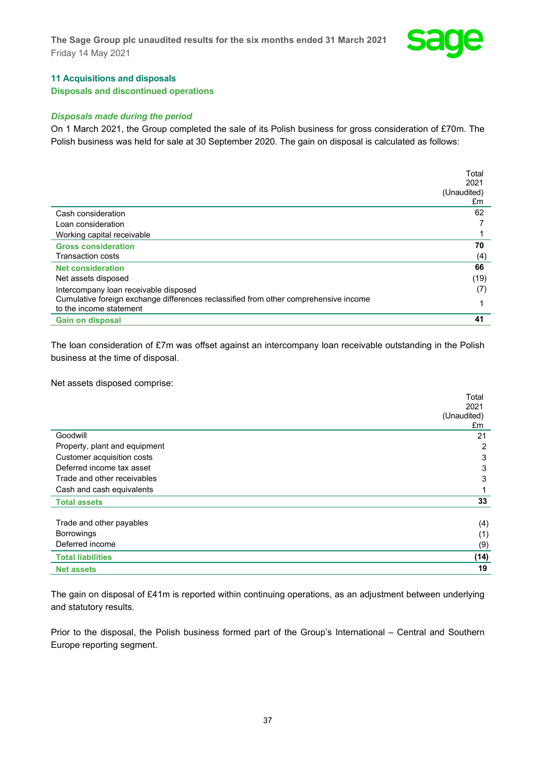

## **11 Acquisitions and disposals**

**Disposals and discontinued operations**

## *Disposals made during the period*

On 1 March 2021, the Group completed the sale of its Polish business for gross consideration of £70m. The Polish business was held for sale at 30 September 2020. The gain on disposal is calculated as follows:

|                                                                                      | Total       |
|--------------------------------------------------------------------------------------|-------------|
|                                                                                      | 2021        |
|                                                                                      | (Unaudited) |
|                                                                                      | £m          |
| Cash consideration                                                                   | 62          |
| Loan consideration                                                                   |             |
| Working capital receivable                                                           |             |
| <b>Gross consideration</b>                                                           | 70          |
| <b>Transaction costs</b>                                                             | (4)         |
| <b>Net consideration</b>                                                             | 66          |
| Net assets disposed                                                                  | (19)        |
| Intercompany loan receivable disposed                                                | (7)         |
| Cumulative foreign exchange differences reclassified from other comprehensive income |             |
| to the income statement                                                              |             |
| <b>Gain on disposal</b>                                                              | 41          |

The loan consideration of £7m was offset against an intercompany loan receivable outstanding in the Polish business at the time of disposal.

Net assets disposed comprise:

|                               | Total       |
|-------------------------------|-------------|
|                               | 2021        |
|                               | (Unaudited) |
|                               | £m          |
| Goodwill                      | 21          |
| Property, plant and equipment | 2           |
| Customer acquisition costs    | 3           |
| Deferred income tax asset     | 3           |
| Trade and other receivables   | 3           |
| Cash and cash equivalents     |             |
| <b>Total assets</b>           | 33          |
|                               |             |
| Trade and other payables      | (4)         |
| <b>Borrowings</b>             | (1)         |
| Deferred income               | (9)         |
| <b>Total liabilities</b>      | (14)        |
| <b>Net assets</b>             | 19          |

The gain on disposal of £41m is reported within continuing operations, as an adjustment between underlying and statutory results.

Prior to the disposal, the Polish business formed part of the Group's International – Central and Southern Europe reporting segment.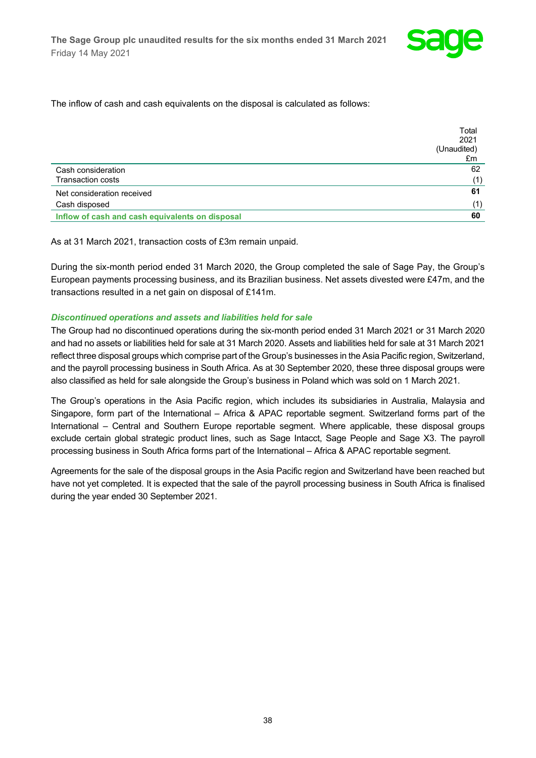

The inflow of cash and cash equivalents on the disposal is calculated as follows:

|                                                 | Total       |
|-------------------------------------------------|-------------|
|                                                 | 2021        |
|                                                 | (Unaudited) |
|                                                 | £m          |
| Cash consideration                              | 62          |
| <b>Transaction costs</b>                        | (1)         |
| Net consideration received                      | 61          |
| Cash disposed                                   | (1)         |
| Inflow of cash and cash equivalents on disposal | 60          |

As at 31 March 2021, transaction costs of £3m remain unpaid.

During the six-month period ended 31 March 2020, the Group completed the sale of Sage Pay, the Group's European payments processing business, and its Brazilian business. Net assets divested were £47m, and the transactions resulted in a net gain on disposal of £141m.

#### *Discontinued operations and assets and liabilities held for sale*

The Group had no discontinued operations during the six-month period ended 31 March 2021 or 31 March 2020 and had no assets or liabilities held for sale at 31 March 2020. Assets and liabilities held for sale at 31 March 2021 reflect three disposal groups which comprise part of the Group's businesses in the Asia Pacific region, Switzerland, and the payroll processing business in South Africa. As at 30 September 2020, these three disposal groups were also classified as held for sale alongside the Group's business in Poland which was sold on 1 March 2021.

The Group's operations in the Asia Pacific region, which includes its subsidiaries in Australia, Malaysia and Singapore, form part of the International – Africa & APAC reportable segment. Switzerland forms part of the International – Central and Southern Europe reportable segment. Where applicable, these disposal groups exclude certain global strategic product lines, such as Sage Intacct, Sage People and Sage X3. The payroll processing business in South Africa forms part of the International – Africa & APAC reportable segment.

Agreements for the sale of the disposal groups in the Asia Pacific region and Switzerland have been reached but have not yet completed. It is expected that the sale of the payroll processing business in South Africa is finalised during the year ended 30 September 2021.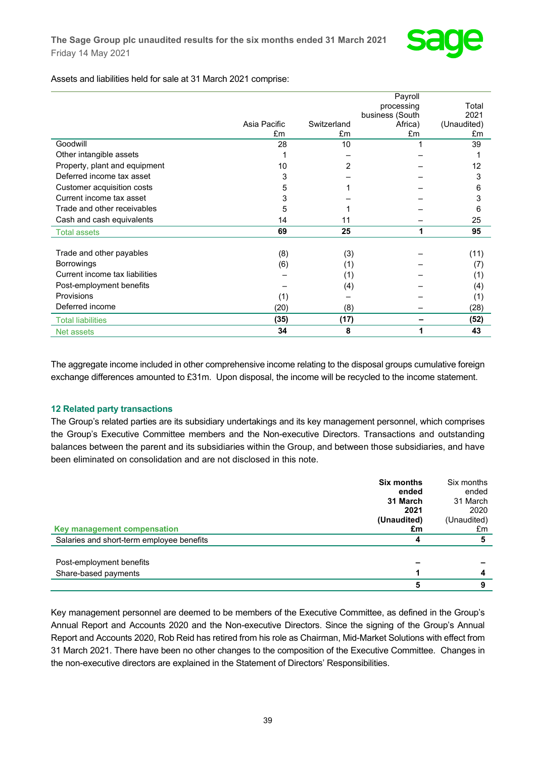

Assets and liabilities held for sale at 31 March 2021 comprise:

|                                |              |             | Payroll         |             |
|--------------------------------|--------------|-------------|-----------------|-------------|
|                                |              |             | processing      | Total       |
|                                |              |             | business (South | 2021        |
|                                | Asia Pacific | Switzerland | Africa)         | (Unaudited) |
|                                | £m           | £m          | £m              | £m          |
| Goodwill                       | 28           | 10          |                 | 39          |
| Other intangible assets        |              |             |                 |             |
| Property, plant and equipment  | 10           | 2           |                 | 12          |
| Deferred income tax asset      | 3            |             |                 | 3           |
| Customer acquisition costs     | 5            |             |                 | 6           |
| Current income tax asset       | 3            |             |                 | 3           |
| Trade and other receivables    | 5            |             |                 | 6           |
| Cash and cash equivalents      | 14           | 11          |                 | 25          |
| <b>Total assets</b>            | 69           | 25          | 1               | 95          |
|                                |              |             |                 |             |
| Trade and other payables       | (8)          | (3)         |                 | (11)        |
| <b>Borrowings</b>              | (6)          | (1)         |                 | (7)         |
| Current income tax liabilities |              | (1)         |                 | (1)         |
| Post-employment benefits       |              | (4)         |                 | (4)         |
| Provisions                     | (1)          |             |                 | (1)         |
| Deferred income                | (20)         | (8)         |                 | (28)        |
| <b>Total liabilities</b>       | (35)         | (17)        |                 | (52)        |
| Net assets                     | 34           | 8           |                 | 43          |

The aggregate income included in other comprehensive income relating to the disposal groups cumulative foreign exchange differences amounted to £31m. Upon disposal, the income will be recycled to the income statement.

## **12 Related party transactions**

The Group's related parties are its subsidiary undertakings and its key management personnel, which comprises the Group's Executive Committee members and the Non-executive Directors. Transactions and outstanding balances between the parent and its subsidiaries within the Group, and between those subsidiaries, and have been eliminated on consolidation and are not disclosed in this note.

|                                           | <b>Six months</b><br>ended | Six months<br>ended |
|-------------------------------------------|----------------------------|---------------------|
|                                           | 31 March                   | 31 March            |
|                                           | 2021                       | 2020                |
|                                           | (Unaudited)                | (Unaudited)         |
| Key management compensation               | £m                         | £m                  |
| Salaries and short-term employee benefits | 4                          | 5                   |
|                                           |                            |                     |
| Post-employment benefits                  |                            |                     |
| Share-based payments                      |                            |                     |
|                                           | 5                          | 9                   |

Key management personnel are deemed to be members of the Executive Committee, as defined in the Group's Annual Report and Accounts 2020 and the Non-executive Directors. Since the signing of the Group's Annual Report and Accounts 2020, Rob Reid has retired from his role as Chairman, Mid-Market Solutions with effect from 31 March 2021. There have been no other changes to the composition of the Executive Committee. Changes in the non-executive directors are explained in the Statement of Directors' Responsibilities.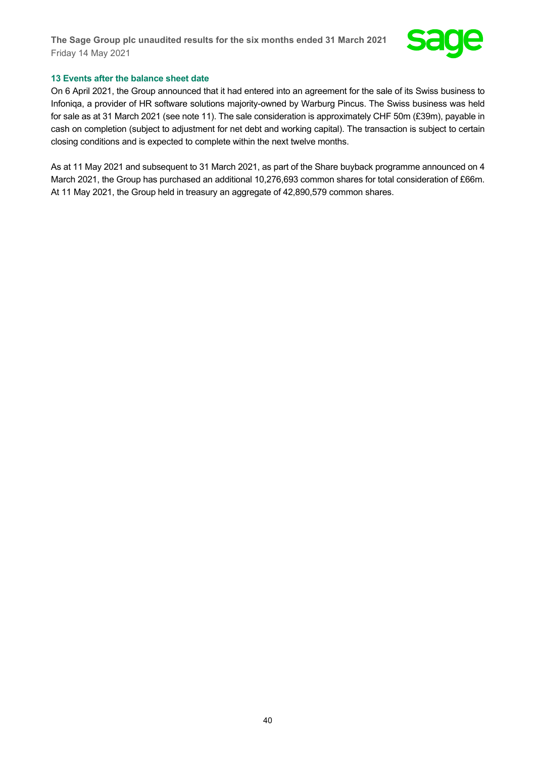

#### **13 Events after the balance sheet date**

On 6 April 2021, the Group announced that it had entered into an agreement for the sale of its Swiss business to Infoniqa, a provider of HR software solutions majority-owned by Warburg Pincus. The Swiss business was held for sale as at 31 March 2021 (see note 11). The sale consideration is approximately CHF 50m (£39m), payable in cash on completion (subject to adjustment for net debt and working capital). The transaction is subject to certain closing conditions and is expected to complete within the next twelve months.

As at 11 May 2021 and subsequent to 31 March 2021, as part of the Share buyback programme announced on 4 March 2021, the Group has purchased an additional 10,276,693 common shares for total consideration of £66m. At 11 May 2021, the Group held in treasury an aggregate of 42,890,579 common shares.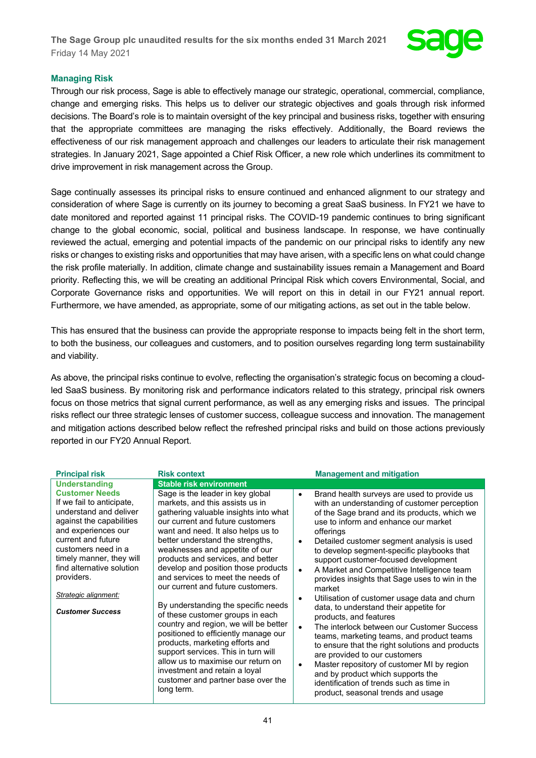

## **Managing Risk**

Through our risk process, Sage is able to effectively manage our strategic, operational, commercial, compliance, change and emerging risks. This helps us to deliver our strategic objectives and goals through risk informed decisions. The Board's role is to maintain oversight of the key principal and business risks, together with ensuring that the appropriate committees are managing the risks effectively. Additionally, the Board reviews the effectiveness of our risk management approach and challenges our leaders to articulate their risk management strategies. In January 2021, Sage appointed a Chief Risk Officer, a new role which underlines its commitment to drive improvement in risk management across the Group.

Sage continually assesses its principal risks to ensure continued and enhanced alignment to our strategy and consideration of where Sage is currently on its journey to becoming a great SaaS business. In FY21 we have to date monitored and reported against 11 principal risks. The COVID-19 pandemic continues to bring significant change to the global economic, social, political and business landscape. In response, we have continually reviewed the actual, emerging and potential impacts of the pandemic on our principal risks to identify any new risks or changes to existing risks and opportunities that may have arisen, with a specific lens on what could change the risk profile materially. In addition, climate change and sustainability issues remain a Management and Board priority. Reflecting this, we will be creating an additional Principal Risk which covers Environmental, Social, and Corporate Governance risks and opportunities. We will report on this in detail in our FY21 annual report. Furthermore, we have amended, as appropriate, some of our mitigating actions, as set out in the table below.

This has ensured that the business can provide the appropriate response to impacts being felt in the short term, to both the business, our colleagues and customers, and to position ourselves regarding long term sustainability and viability.

As above, the principal risks continue to evolve, reflecting the organisation's strategic focus on becoming a cloudled SaaS business. By monitoring risk and performance indicators related to this strategy, principal risk owners focus on those metrics that signal current performance, as well as any emerging risks and issues. The principal risks reflect our three strategic lenses of customer success, colleague success and innovation. The management and mitigation actions described below reflect the refreshed principal risks and build on those actions previously reported in our FY20 Annual Report.

| <b>Principal risk</b>                                                                                                                                                                                                                                                                                  | <b>Risk context</b>                                                                                                                                                                                                                                                                                                                                                                                                                                                                                                                                                                                                                                                                                                                                                                 |                                                                    | <b>Management and mitigation</b>                                                                                                                                                                                                                                                                                                                                                                                                                                                                                                                                                                                                                                                                                                                                                                                                                                                                                       |
|--------------------------------------------------------------------------------------------------------------------------------------------------------------------------------------------------------------------------------------------------------------------------------------------------------|-------------------------------------------------------------------------------------------------------------------------------------------------------------------------------------------------------------------------------------------------------------------------------------------------------------------------------------------------------------------------------------------------------------------------------------------------------------------------------------------------------------------------------------------------------------------------------------------------------------------------------------------------------------------------------------------------------------------------------------------------------------------------------------|--------------------------------------------------------------------|------------------------------------------------------------------------------------------------------------------------------------------------------------------------------------------------------------------------------------------------------------------------------------------------------------------------------------------------------------------------------------------------------------------------------------------------------------------------------------------------------------------------------------------------------------------------------------------------------------------------------------------------------------------------------------------------------------------------------------------------------------------------------------------------------------------------------------------------------------------------------------------------------------------------|
| <b>Understanding</b>                                                                                                                                                                                                                                                                                   | <b>Stable risk environment</b>                                                                                                                                                                                                                                                                                                                                                                                                                                                                                                                                                                                                                                                                                                                                                      |                                                                    |                                                                                                                                                                                                                                                                                                                                                                                                                                                                                                                                                                                                                                                                                                                                                                                                                                                                                                                        |
| <b>Customer Needs</b><br>If we fail to anticipate,<br>understand and deliver<br>against the capabilities<br>and experiences our<br>current and future<br>customers need in a<br>timely manner, they will<br>find alternative solution<br>providers.<br>Strategic alignment:<br><b>Customer Success</b> | Sage is the leader in key global<br>markets, and this assists us in<br>gathering valuable insights into what<br>our current and future customers<br>want and need. It also helps us to<br>better understand the strengths,<br>weaknesses and appetite of our<br>products and services, and better<br>develop and position those products<br>and services to meet the needs of<br>our current and future customers.<br>By understanding the specific needs<br>of these customer groups in each<br>country and region, we will be better<br>positioned to efficiently manage our<br>products, marketing efforts and<br>support services. This in turn will<br>allow us to maximise our return on<br>investment and retain a loyal<br>customer and partner base over the<br>long term. | $\bullet$<br>$\bullet$<br>$\bullet$<br>٠<br>$\bullet$<br>$\bullet$ | Brand health surveys are used to provide us<br>with an understanding of customer perception<br>of the Sage brand and its products, which we<br>use to inform and enhance our market<br>offerings<br>Detailed customer segment analysis is used<br>to develop segment-specific playbooks that<br>support customer-focused development<br>A Market and Competitive Intelligence team<br>provides insights that Sage uses to win in the<br>market<br>Utilisation of customer usage data and churn<br>data, to understand their appetite for<br>products, and features<br>The interlock between our Customer Success<br>teams, marketing teams, and product teams<br>to ensure that the right solutions and products<br>are provided to our customers<br>Master repository of customer MI by region<br>and by product which supports the<br>identification of trends such as time in<br>product, seasonal trends and usage |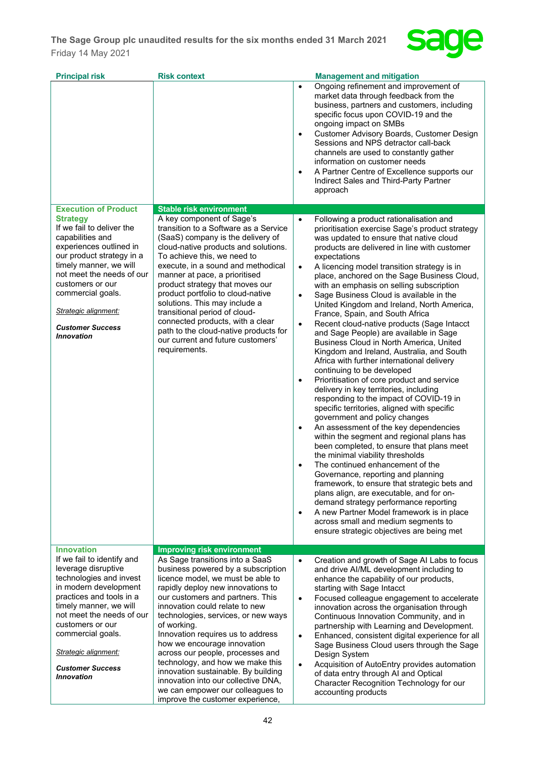

| <b>Risk context</b>                                                                                                                                                                                                                                                                                                                                                                                                                                                                                                                | <b>Management and mitigation</b>                                                                                                                                                                                                                                                                                                                                                                                                                                                                                                                                                                                                                                                                                                                                                                                                                                                                                                                                                                                                                                                                                                                                                                                                                                                                                                                                                                                                                                                                                                                                                          |
|------------------------------------------------------------------------------------------------------------------------------------------------------------------------------------------------------------------------------------------------------------------------------------------------------------------------------------------------------------------------------------------------------------------------------------------------------------------------------------------------------------------------------------|-------------------------------------------------------------------------------------------------------------------------------------------------------------------------------------------------------------------------------------------------------------------------------------------------------------------------------------------------------------------------------------------------------------------------------------------------------------------------------------------------------------------------------------------------------------------------------------------------------------------------------------------------------------------------------------------------------------------------------------------------------------------------------------------------------------------------------------------------------------------------------------------------------------------------------------------------------------------------------------------------------------------------------------------------------------------------------------------------------------------------------------------------------------------------------------------------------------------------------------------------------------------------------------------------------------------------------------------------------------------------------------------------------------------------------------------------------------------------------------------------------------------------------------------------------------------------------------------|
|                                                                                                                                                                                                                                                                                                                                                                                                                                                                                                                                    | Ongoing refinement and improvement of<br>$\bullet$<br>market data through feedback from the<br>business, partners and customers, including<br>specific focus upon COVID-19 and the<br>ongoing impact on SMBs<br>Customer Advisory Boards, Customer Design<br>$\bullet$<br>Sessions and NPS detractor call-back<br>channels are used to constantly gather<br>information on customer needs<br>A Partner Centre of Excellence supports our<br>$\bullet$<br>Indirect Sales and Third-Party Partner<br>approach                                                                                                                                                                                                                                                                                                                                                                                                                                                                                                                                                                                                                                                                                                                                                                                                                                                                                                                                                                                                                                                                               |
| A key component of Sage's<br>transition to a Software as a Service<br>(SaaS) company is the delivery of<br>cloud-native products and solutions.<br>To achieve this, we need to<br>execute, in a sound and methodical<br>manner at pace, a prioritised<br>product strategy that moves our<br>product portfolio to cloud-native<br>solutions. This may include a<br>transitional period of cloud-<br>connected products, with a clear<br>path to the cloud-native products for<br>our current and future customers'<br>requirements. | Following a product rationalisation and<br>$\bullet$<br>prioritisation exercise Sage's product strategy<br>was updated to ensure that native cloud<br>products are delivered in line with customer<br>expectations<br>A licencing model transition strategy is in<br>$\bullet$<br>place, anchored on the Sage Business Cloud,<br>with an emphasis on selling subscription<br>Sage Business Cloud is available in the<br>$\bullet$<br>United Kingdom and Ireland, North America,<br>France, Spain, and South Africa<br>Recent cloud-native products (Sage Intacct<br>$\bullet$<br>and Sage People) are available in Sage<br>Business Cloud in North America, United<br>Kingdom and Ireland, Australia, and South<br>Africa with further international delivery<br>continuing to be developed<br>Prioritisation of core product and service<br>$\bullet$<br>delivery in key territories, including<br>responding to the impact of COVID-19 in<br>specific territories, aligned with specific<br>government and policy changes<br>An assessment of the key dependencies<br>$\bullet$<br>within the segment and regional plans has<br>been completed, to ensure that plans meet<br>the minimal viability thresholds<br>The continued enhancement of the<br>$\bullet$<br>Governance, reporting and planning<br>framework, to ensure that strategic bets and<br>plans align, are executable, and for on-<br>demand strategy performance reporting<br>A new Partner Model framework is in place<br>$\bullet$<br>across small and medium segments to<br>ensure strategic objectives are being met |
| <b>Improving risk environment</b>                                                                                                                                                                                                                                                                                                                                                                                                                                                                                                  |                                                                                                                                                                                                                                                                                                                                                                                                                                                                                                                                                                                                                                                                                                                                                                                                                                                                                                                                                                                                                                                                                                                                                                                                                                                                                                                                                                                                                                                                                                                                                                                           |
| business powered by a subscription<br>licence model, we must be able to<br>rapidly deploy new innovations to<br>our customers and partners. This<br>innovation could relate to new<br>technologies, services, or new ways<br>of working.<br>Innovation requires us to address<br>how we encourage innovation<br>across our people, processes and<br>technology, and how we make this<br>innovation sustainable. By building<br>innovation into our collective DNA,<br>we can empower our colleagues to                             | Creation and growth of Sage AI Labs to focus<br>$\bullet$<br>and drive Al/ML development including to<br>enhance the capability of our products,<br>starting with Sage Intacct<br>Focused colleague engagement to accelerate<br>$\bullet$<br>innovation across the organisation through<br>Continuous Innovation Community, and in<br>partnership with Learning and Development.<br>Enhanced, consistent digital experience for all<br>$\bullet$<br>Sage Business Cloud users through the Sage<br>Design System<br>Acquisition of AutoEntry provides automation<br>$\bullet$<br>of data entry through AI and Optical<br>Character Recognition Technology for our<br>accounting products                                                                                                                                                                                                                                                                                                                                                                                                                                                                                                                                                                                                                                                                                                                                                                                                                                                                                                   |
|                                                                                                                                                                                                                                                                                                                                                                                                                                                                                                                                    | <b>Stable risk environment</b><br>As Sage transitions into a SaaS<br>improve the customer experience,                                                                                                                                                                                                                                                                                                                                                                                                                                                                                                                                                                                                                                                                                                                                                                                                                                                                                                                                                                                                                                                                                                                                                                                                                                                                                                                                                                                                                                                                                     |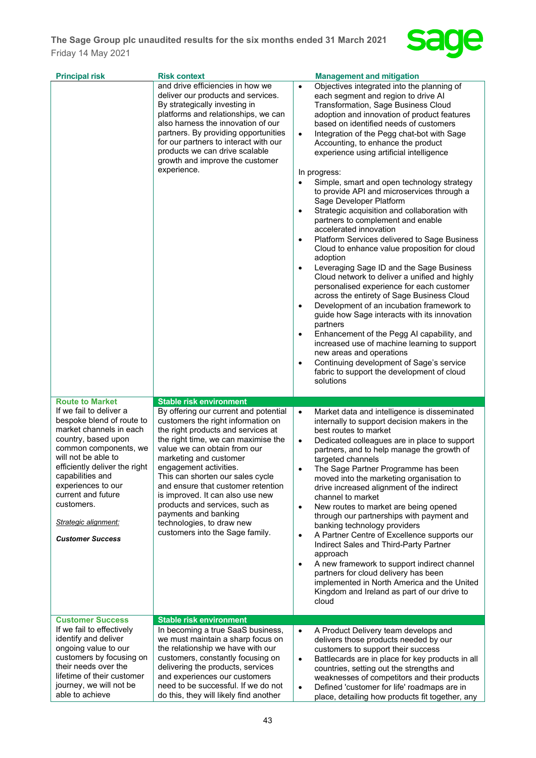

| <b>Principal risk</b>                                                                                                                                                                                                                                                                                                    | <b>Risk context</b>                                                                                                                                                                                                                                                                                                                                                                                                                                                                                                    | <b>Management and mitigation</b>                                                                                                                                                                                                                                                                                                                                                                                                                                                                                                                                                                                                                                                                                                                                                                                                                                                                                                                                                                                                                                                                                                                                                                                                                                                                                                    |
|--------------------------------------------------------------------------------------------------------------------------------------------------------------------------------------------------------------------------------------------------------------------------------------------------------------------------|------------------------------------------------------------------------------------------------------------------------------------------------------------------------------------------------------------------------------------------------------------------------------------------------------------------------------------------------------------------------------------------------------------------------------------------------------------------------------------------------------------------------|-------------------------------------------------------------------------------------------------------------------------------------------------------------------------------------------------------------------------------------------------------------------------------------------------------------------------------------------------------------------------------------------------------------------------------------------------------------------------------------------------------------------------------------------------------------------------------------------------------------------------------------------------------------------------------------------------------------------------------------------------------------------------------------------------------------------------------------------------------------------------------------------------------------------------------------------------------------------------------------------------------------------------------------------------------------------------------------------------------------------------------------------------------------------------------------------------------------------------------------------------------------------------------------------------------------------------------------|
|                                                                                                                                                                                                                                                                                                                          | and drive efficiencies in how we<br>deliver our products and services.<br>By strategically investing in<br>platforms and relationships, we can<br>also harness the innovation of our<br>partners. By providing opportunities<br>for our partners to interact with our<br>products we can drive scalable<br>growth and improve the customer<br>experience.                                                                                                                                                              | Objectives integrated into the planning of<br>$\bullet$<br>each segment and region to drive AI<br>Transformation, Sage Business Cloud<br>adoption and innovation of product features<br>based on identified needs of customers<br>Integration of the Pegg chat-bot with Sage<br>$\bullet$<br>Accounting, to enhance the product<br>experience using artificial intelligence<br>In progress:<br>Simple, smart and open technology strategy<br>to provide API and microservices through a<br>Sage Developer Platform<br>Strategic acquisition and collaboration with<br>$\bullet$<br>partners to complement and enable<br>accelerated innovation<br>Platform Services delivered to Sage Business<br>$\bullet$<br>Cloud to enhance value proposition for cloud<br>adoption<br>Leveraging Sage ID and the Sage Business<br>Cloud network to deliver a unified and highly<br>personalised experience for each customer<br>across the entirety of Sage Business Cloud<br>Development of an incubation framework to<br>guide how Sage interacts with its innovation<br>partners<br>Enhancement of the Pegg AI capability, and<br>$\bullet$<br>increased use of machine learning to support<br>new areas and operations<br>Continuing development of Sage's service<br>$\bullet$<br>fabric to support the development of cloud<br>solutions |
| <b>Route to Market</b>                                                                                                                                                                                                                                                                                                   |                                                                                                                                                                                                                                                                                                                                                                                                                                                                                                                        |                                                                                                                                                                                                                                                                                                                                                                                                                                                                                                                                                                                                                                                                                                                                                                                                                                                                                                                                                                                                                                                                                                                                                                                                                                                                                                                                     |
|                                                                                                                                                                                                                                                                                                                          |                                                                                                                                                                                                                                                                                                                                                                                                                                                                                                                        |                                                                                                                                                                                                                                                                                                                                                                                                                                                                                                                                                                                                                                                                                                                                                                                                                                                                                                                                                                                                                                                                                                                                                                                                                                                                                                                                     |
| If we fail to deliver a<br>bespoke blend of route to<br>market channels in each<br>country, based upon<br>common components, we<br>will not be able to<br>efficiently deliver the right<br>capabilities and<br>experiences to our<br>current and future<br>customers.<br>Strategic alignment:<br><b>Customer Success</b> | <b>Stable risk environment</b><br>By offering our current and potential<br>customers the right information on<br>the right products and services at<br>the right time, we can maximise the<br>value we can obtain from our<br>marketing and customer<br>engagement activities.<br>This can shorten our sales cycle<br>and ensure that customer retention<br>is improved. It can also use new<br>products and services, such as<br>payments and banking<br>technologies, to draw new<br>customers into the Sage family. | Market data and intelligence is disseminated<br>$\bullet$<br>internally to support decision makers in the<br>best routes to market<br>Dedicated colleagues are in place to support<br>$\bullet$<br>partners, and to help manage the growth of<br>targeted channels<br>The Sage Partner Programme has been<br>$\bullet$<br>moved into the marketing organisation to<br>drive increased alignment of the indirect<br>channel to market<br>New routes to market are being opened<br>$\bullet$<br>through our partnerships with payment and<br>banking technology providers<br>A Partner Centre of Excellence supports our<br>$\bullet$<br>Indirect Sales and Third-Party Partner<br>approach<br>A new framework to support indirect channel<br>$\bullet$<br>partners for cloud delivery has been<br>implemented in North America and the United<br>Kingdom and Ireland as part of our drive to<br>cloud                                                                                                                                                                                                                                                                                                                                                                                                                                |
| <b>Customer Success</b><br>If we fail to effectively                                                                                                                                                                                                                                                                     | <b>Stable risk environment</b><br>In becoming a true SaaS business,                                                                                                                                                                                                                                                                                                                                                                                                                                                    |                                                                                                                                                                                                                                                                                                                                                                                                                                                                                                                                                                                                                                                                                                                                                                                                                                                                                                                                                                                                                                                                                                                                                                                                                                                                                                                                     |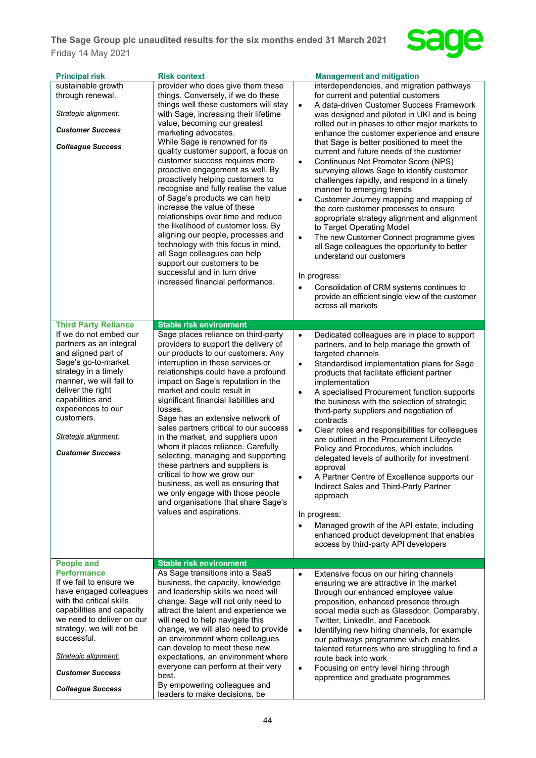

| provider who does give them these<br>things. Conversely, if we do these                                                                                                                                                                                                                                                                                                                                                                                                                                                                                                                                                                                                                                                            | <b>Management and mitigation</b><br>interdependencies, and migration pathways<br>for current and potential customers                                                                                                                                                                                                                                                                                                                                                                                                                                                                                                                                                                                                                                                                                                                                                                                                                     |
|------------------------------------------------------------------------------------------------------------------------------------------------------------------------------------------------------------------------------------------------------------------------------------------------------------------------------------------------------------------------------------------------------------------------------------------------------------------------------------------------------------------------------------------------------------------------------------------------------------------------------------------------------------------------------------------------------------------------------------|------------------------------------------------------------------------------------------------------------------------------------------------------------------------------------------------------------------------------------------------------------------------------------------------------------------------------------------------------------------------------------------------------------------------------------------------------------------------------------------------------------------------------------------------------------------------------------------------------------------------------------------------------------------------------------------------------------------------------------------------------------------------------------------------------------------------------------------------------------------------------------------------------------------------------------------|
| things well these customers will stay<br>with Sage, increasing their lifetime<br>value, becoming our greatest<br>marketing advocates.<br>While Sage is renowned for its<br>quality customer support, a focus on<br>customer success requires more<br>proactive engagement as well. By<br>proactively helping customers to<br>recognise and fully realise the value<br>of Sage's products we can help<br>increase the value of these<br>relationships over time and reduce<br>the likelihood of customer loss. By<br>aligning our people, processes and<br>technology with this focus in mind,<br>all Sage colleagues can help<br>support our customers to be<br>successful and in turn drive<br>increased financial performance.   | A data-driven Customer Success Framework<br>$\bullet$<br>was designed and piloted in UKI and is being<br>rolled out in phases to other major markets to<br>enhance the customer experience and ensure<br>that Sage is better positioned to meet the<br>current and future needs of the customer<br>Continuous Net Promoter Score (NPS)<br>$\bullet$<br>surveying allows Sage to identify customer<br>challenges rapidly, and respond in a timely<br>manner to emerging trends<br>Customer Journey mapping and mapping of<br>$\bullet$<br>the core customer processes to ensure<br>appropriate strategy alignment and alignment<br>to Target Operating Model<br>The new Customer Connect programme gives<br>$\bullet$<br>all Sage colleagues the opportunity to better<br>understand our customers<br>In progress:<br>Consolidation of CRM systems continues to<br>provide an efficient single view of the customer<br>across all markets |
|                                                                                                                                                                                                                                                                                                                                                                                                                                                                                                                                                                                                                                                                                                                                    |                                                                                                                                                                                                                                                                                                                                                                                                                                                                                                                                                                                                                                                                                                                                                                                                                                                                                                                                          |
| Sage places reliance on third-party<br>providers to support the delivery of<br>our products to our customers. Any<br>interruption in these services or<br>relationships could have a profound<br>impact on Sage's reputation in the<br>market and could result in<br>significant financial liabilities and<br>losses.<br>Sage has an extensive network of<br>sales partners critical to our success<br>in the market, and suppliers upon<br>whom it places reliance. Carefully<br>selecting, managing and supporting<br>these partners and suppliers is<br>critical to how we grow our<br>business, as well as ensuring that<br>we only engage with those people<br>and organisations that share Sage's<br>values and aspirations. | Dedicated colleagues are in place to support<br>$\bullet$<br>partners, and to help manage the growth of<br>targeted channels<br>Standardised implementation plans for Sage<br>$\bullet$<br>products that facilitate efficient partner<br>implementation<br>A specialised Procurement function supports<br>$\bullet$<br>the business with the selection of strategic<br>third-party suppliers and negotiation of<br>contracts<br>Clear roles and responsibilities for colleagues<br>$\bullet$<br>are outlined in the Procurement Lifecycle<br>Policy and Procedures, which includes<br>delegated levels of authority for investment<br>approval<br>A Partner Centre of Excellence supports our<br>Indirect Sales and Third-Party Partner<br>approach<br>In progress:<br>Managed growth of the API estate, including<br>$\bullet$<br>enhanced product development that enables<br>access by third-party API developers                     |
| <b>Stable risk environment</b>                                                                                                                                                                                                                                                                                                                                                                                                                                                                                                                                                                                                                                                                                                     |                                                                                                                                                                                                                                                                                                                                                                                                                                                                                                                                                                                                                                                                                                                                                                                                                                                                                                                                          |
| As Sage transitions into a SaaS<br>business, the capacity, knowledge<br>and leadership skills we need will<br>change. Sage will not only need to<br>attract the talent and experience we<br>will need to help navigate this<br>change, we will also need to provide<br>an environment where colleagues<br>can develop to meet these new<br>expectations, an environment where<br>everyone can perform at their very<br>best.<br>By empowering colleagues and                                                                                                                                                                                                                                                                       | Extensive focus on our hiring channels<br>$\bullet$<br>ensuring we are attractive in the market<br>through our enhanced employee value<br>proposition, enhanced presence through<br>social media such as Glassdoor, Comparably,<br>Twitter, LinkedIn, and Facebook<br>Identifying new hiring channels, for example<br>$\bullet$<br>our pathways programme which enables<br>talented returners who are struggling to find a<br>route back into work<br>Focusing on entry level hiring through<br>$\bullet$<br>apprentice and graduate programmes                                                                                                                                                                                                                                                                                                                                                                                          |
|                                                                                                                                                                                                                                                                                                                                                                                                                                                                                                                                                                                                                                                                                                                                    | <b>Stable risk environment</b><br>leaders to make decisions, be                                                                                                                                                                                                                                                                                                                                                                                                                                                                                                                                                                                                                                                                                                                                                                                                                                                                          |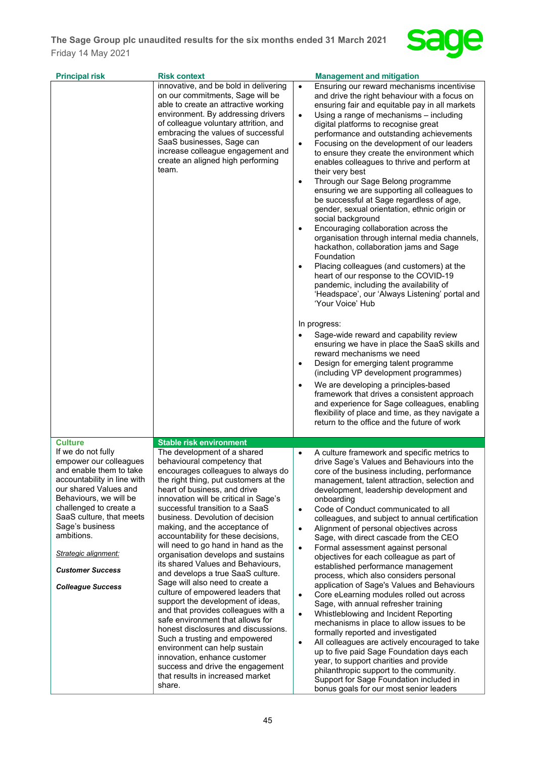

| <b>Principal risk</b>                                                                                                                                                                                                                                                                                                                                    | <b>Risk context</b>                                                                                                                                                                                                                                                                                                                                                                                                                                                                                                                                                                                                                                                                                                                                                                                                                                                                                                                                                          | <b>Management and mitigation</b>                                                                                                                                                                                                                                                                                                                                                                                                                                                                                                                                                                                                                                                                                                                                                                                                                                                                                                                                                                                                                                                                                                                                                                                                                                                                                                                                                                                                                                                                                                                                                                   |
|----------------------------------------------------------------------------------------------------------------------------------------------------------------------------------------------------------------------------------------------------------------------------------------------------------------------------------------------------------|------------------------------------------------------------------------------------------------------------------------------------------------------------------------------------------------------------------------------------------------------------------------------------------------------------------------------------------------------------------------------------------------------------------------------------------------------------------------------------------------------------------------------------------------------------------------------------------------------------------------------------------------------------------------------------------------------------------------------------------------------------------------------------------------------------------------------------------------------------------------------------------------------------------------------------------------------------------------------|----------------------------------------------------------------------------------------------------------------------------------------------------------------------------------------------------------------------------------------------------------------------------------------------------------------------------------------------------------------------------------------------------------------------------------------------------------------------------------------------------------------------------------------------------------------------------------------------------------------------------------------------------------------------------------------------------------------------------------------------------------------------------------------------------------------------------------------------------------------------------------------------------------------------------------------------------------------------------------------------------------------------------------------------------------------------------------------------------------------------------------------------------------------------------------------------------------------------------------------------------------------------------------------------------------------------------------------------------------------------------------------------------------------------------------------------------------------------------------------------------------------------------------------------------------------------------------------------------|
|                                                                                                                                                                                                                                                                                                                                                          | innovative, and be bold in delivering<br>on our commitments, Sage will be<br>able to create an attractive working<br>environment. By addressing drivers<br>of colleague voluntary attrition, and<br>embracing the values of successful<br>SaaS businesses, Sage can<br>increase colleague engagement and<br>create an aligned high performing<br>team.                                                                                                                                                                                                                                                                                                                                                                                                                                                                                                                                                                                                                       | Ensuring our reward mechanisms incentivise<br>$\bullet$<br>and drive the right behaviour with a focus on<br>ensuring fair and equitable pay in all markets<br>Using a range of mechanisms - including<br>$\bullet$<br>digital platforms to recognise great<br>performance and outstanding achievements<br>Focusing on the development of our leaders<br>$\bullet$<br>to ensure they create the environment which<br>enables colleagues to thrive and perform at<br>their very best<br>Through our Sage Belong programme<br>$\bullet$<br>ensuring we are supporting all colleagues to<br>be successful at Sage regardless of age,<br>gender, sexual orientation, ethnic origin or<br>social background<br>Encouraging collaboration across the<br>$\bullet$<br>organisation through internal media channels,<br>hackathon, collaboration jams and Sage<br>Foundation<br>Placing colleagues (and customers) at the<br>$\bullet$<br>heart of our response to the COVID-19<br>pandemic, including the availability of<br>'Headspace', our 'Always Listening' portal and<br>'Your Voice' Hub<br>In progress:<br>Sage-wide reward and capability review<br>$\bullet$<br>ensuring we have in place the SaaS skills and<br>reward mechanisms we need<br>Design for emerging talent programme<br>$\bullet$<br>(including VP development programmes)<br>We are developing a principles-based<br>$\bullet$<br>framework that drives a consistent approach<br>and experience for Sage colleagues, enabling<br>flexibility of place and time, as they navigate a<br>return to the office and the future of work |
|                                                                                                                                                                                                                                                                                                                                                          |                                                                                                                                                                                                                                                                                                                                                                                                                                                                                                                                                                                                                                                                                                                                                                                                                                                                                                                                                                              |                                                                                                                                                                                                                                                                                                                                                                                                                                                                                                                                                                                                                                                                                                                                                                                                                                                                                                                                                                                                                                                                                                                                                                                                                                                                                                                                                                                                                                                                                                                                                                                                    |
| <b>Culture</b><br>If we do not fully<br>empower our colleagues<br>and enable them to take<br>accountability in line with<br>our shared Values and<br>Behaviours, we will be<br>challenged to create a<br>SaaS culture, that meets<br>Sage's business<br>ambitions.<br><b>Strategic alignment:</b><br><b>Customer Success</b><br><b>Colleague Success</b> | <b>Stable risk environment</b><br>The development of a shared<br>behavioural competency that<br>encourages colleagues to always do<br>the right thing, put customers at the<br>heart of business, and drive<br>innovation will be critical in Sage's<br>successful transition to a SaaS<br>business. Devolution of decision<br>making, and the acceptance of<br>accountability for these decisions,<br>will need to go hand in hand as the<br>organisation develops and sustains<br>its shared Values and Behaviours,<br>and develops a true SaaS culture.<br>Sage will also need to create a<br>culture of empowered leaders that<br>support the development of ideas,<br>and that provides colleagues with a<br>safe environment that allows for<br>honest disclosures and discussions.<br>Such a trusting and empowered<br>environment can help sustain<br>innovation, enhance customer<br>success and drive the engagement<br>that results in increased market<br>share. | A culture framework and specific metrics to<br>drive Sage's Values and Behaviours into the<br>core of the business including, performance<br>management, talent attraction, selection and<br>development, leadership development and<br>onboarding<br>Code of Conduct communicated to all<br>$\bullet$<br>colleagues, and subject to annual certification<br>Alignment of personal objectives across<br>$\bullet$<br>Sage, with direct cascade from the CEO<br>Formal assessment against personal<br>$\bullet$<br>objectives for each colleague as part of<br>established performance management<br>process, which also considers personal<br>application of Sage's Values and Behaviours<br>Core eLearning modules rolled out across<br>$\bullet$<br>Sage, with annual refresher training<br>Whistleblowing and Incident Reporting<br>$\bullet$<br>mechanisms in place to allow issues to be<br>formally reported and investigated<br>All colleagues are actively encouraged to take<br>$\bullet$<br>up to five paid Sage Foundation days each<br>year, to support charities and provide<br>philanthropic support to the community.<br>Support for Sage Foundation included in<br>bonus goals for our most senior leaders                                                                                                                                                                                                                                                                                                                                                                         |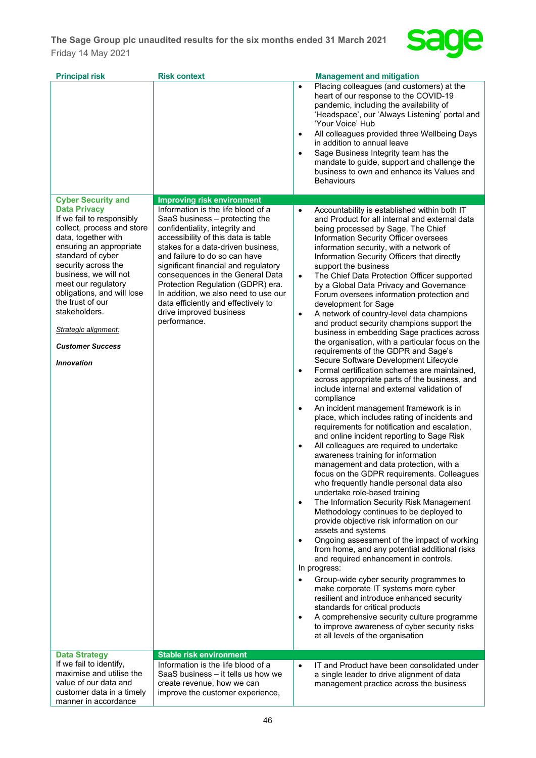

| <b>Principal risk</b>                                                                                                                                                                                                                                                                                                                                                   | <b>Risk context</b>                                                                                                                                                                                                                                                                                                                                                                                                                                             | <b>Management and mitigation</b>                                                                                                                                                                                                                                                                                                                                                                                                                                                                                                                                                                                                                                                                                                                                                                                                                                                                                                                                                                                                                                                                                                                                                                                                                                                                                                                                                                                                                                                                                                                                                                                                                                                                                                                                                                                                                                                                                                                                                                                                                                                                                       |
|-------------------------------------------------------------------------------------------------------------------------------------------------------------------------------------------------------------------------------------------------------------------------------------------------------------------------------------------------------------------------|-----------------------------------------------------------------------------------------------------------------------------------------------------------------------------------------------------------------------------------------------------------------------------------------------------------------------------------------------------------------------------------------------------------------------------------------------------------------|------------------------------------------------------------------------------------------------------------------------------------------------------------------------------------------------------------------------------------------------------------------------------------------------------------------------------------------------------------------------------------------------------------------------------------------------------------------------------------------------------------------------------------------------------------------------------------------------------------------------------------------------------------------------------------------------------------------------------------------------------------------------------------------------------------------------------------------------------------------------------------------------------------------------------------------------------------------------------------------------------------------------------------------------------------------------------------------------------------------------------------------------------------------------------------------------------------------------------------------------------------------------------------------------------------------------------------------------------------------------------------------------------------------------------------------------------------------------------------------------------------------------------------------------------------------------------------------------------------------------------------------------------------------------------------------------------------------------------------------------------------------------------------------------------------------------------------------------------------------------------------------------------------------------------------------------------------------------------------------------------------------------------------------------------------------------------------------------------------------------|
|                                                                                                                                                                                                                                                                                                                                                                         |                                                                                                                                                                                                                                                                                                                                                                                                                                                                 | Placing colleagues (and customers) at the<br>$\bullet$<br>heart of our response to the COVID-19<br>pandemic, including the availability of<br>'Headspace', our 'Always Listening' portal and<br>'Your Voice' Hub<br>All colleagues provided three Wellbeing Days<br>$\bullet$<br>in addition to annual leave<br>Sage Business Integrity team has the<br>$\bullet$<br>mandate to guide, support and challenge the<br>business to own and enhance its Values and<br><b>Behaviours</b>                                                                                                                                                                                                                                                                                                                                                                                                                                                                                                                                                                                                                                                                                                                                                                                                                                                                                                                                                                                                                                                                                                                                                                                                                                                                                                                                                                                                                                                                                                                                                                                                                                    |
| <b>Cyber Security and</b>                                                                                                                                                                                                                                                                                                                                               | <b>Improving risk environment</b>                                                                                                                                                                                                                                                                                                                                                                                                                               |                                                                                                                                                                                                                                                                                                                                                                                                                                                                                                                                                                                                                                                                                                                                                                                                                                                                                                                                                                                                                                                                                                                                                                                                                                                                                                                                                                                                                                                                                                                                                                                                                                                                                                                                                                                                                                                                                                                                                                                                                                                                                                                        |
| <b>Data Privacy</b><br>If we fail to responsibly<br>collect, process and store<br>data, together with<br>ensuring an appropriate<br>standard of cyber<br>security across the<br>business, we will not<br>meet our regulatory<br>obligations, and will lose<br>the trust of our<br>stakeholders.<br>Strategic alignment:<br><b>Customer Success</b><br><b>Innovation</b> | Information is the life blood of a<br>SaaS business - protecting the<br>confidentiality, integrity and<br>accessibility of this data is table<br>stakes for a data-driven business,<br>and failure to do so can have<br>significant financial and regulatory<br>consequences in the General Data<br>Protection Regulation (GDPR) era.<br>In addition, we also need to use our<br>data efficiently and effectively to<br>drive improved business<br>performance. | Accountability is established within both IT<br>$\bullet$<br>and Product for all internal and external data<br>being processed by Sage. The Chief<br>Information Security Officer oversees<br>information security, with a network of<br>Information Security Officers that directly<br>support the business<br>The Chief Data Protection Officer supported<br>$\bullet$<br>by a Global Data Privacy and Governance<br>Forum oversees information protection and<br>development for Sage<br>A network of country-level data champions<br>$\bullet$<br>and product security champions support the<br>business in embedding Sage practices across<br>the organisation, with a particular focus on the<br>requirements of the GDPR and Sage's<br>Secure Software Development Lifecycle<br>Formal certification schemes are maintained,<br>$\bullet$<br>across appropriate parts of the business, and<br>include internal and external validation of<br>compliance<br>An incident management framework is in<br>$\bullet$<br>place, which includes rating of incidents and<br>requirements for notification and escalation,<br>and online incident reporting to Sage Risk<br>All colleagues are required to undertake<br>$\bullet$<br>awareness training for information<br>management and data protection, with a<br>focus on the GDPR requirements. Colleagues<br>who frequently handle personal data also<br>undertake role-based training<br>The Information Security Risk Management<br>$\bullet$<br>Methodology continues to be deployed to<br>provide objective risk information on our<br>assets and systems<br>Ongoing assessment of the impact of working<br>$\bullet$<br>from home, and any potential additional risks<br>and required enhancement in controls.<br>In progress:<br>Group-wide cyber security programmes to<br>$\bullet$<br>make corporate IT systems more cyber<br>resilient and introduce enhanced security<br>standards for critical products<br>A comprehensive security culture programme<br>$\bullet$<br>to improve awareness of cyber security risks<br>at all levels of the organisation |
| <b>Data Strategy</b>                                                                                                                                                                                                                                                                                                                                                    | <b>Stable risk environment</b>                                                                                                                                                                                                                                                                                                                                                                                                                                  |                                                                                                                                                                                                                                                                                                                                                                                                                                                                                                                                                                                                                                                                                                                                                                                                                                                                                                                                                                                                                                                                                                                                                                                                                                                                                                                                                                                                                                                                                                                                                                                                                                                                                                                                                                                                                                                                                                                                                                                                                                                                                                                        |
| If we fail to identify,<br>maximise and utilise the<br>value of our data and<br>customer data in a timely<br>manner in accordance                                                                                                                                                                                                                                       | Information is the life blood of a<br>SaaS business - it tells us how we<br>create revenue, how we can<br>improve the customer experience,                                                                                                                                                                                                                                                                                                                      | IT and Product have been consolidated under<br>$\bullet$<br>a single leader to drive alignment of data<br>management practice across the business                                                                                                                                                                                                                                                                                                                                                                                                                                                                                                                                                                                                                                                                                                                                                                                                                                                                                                                                                                                                                                                                                                                                                                                                                                                                                                                                                                                                                                                                                                                                                                                                                                                                                                                                                                                                                                                                                                                                                                      |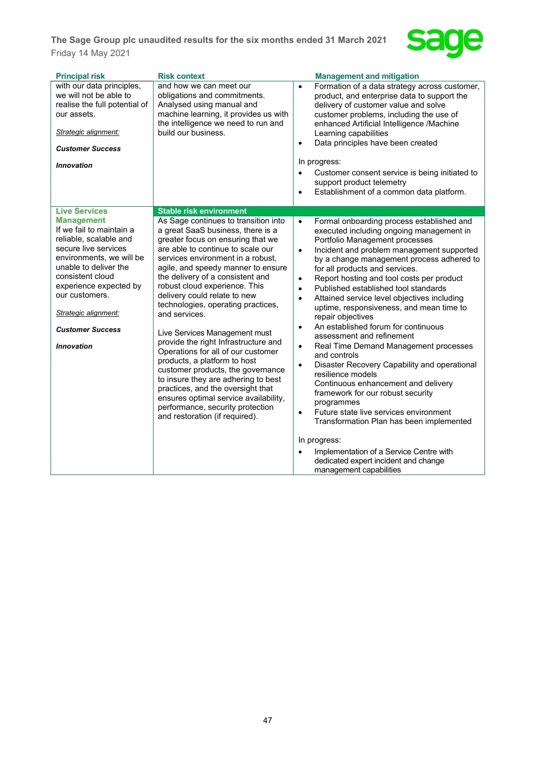

| <b>Principal risk</b>                                                                                                                                                                                                                                                                        | <b>Risk context</b>                                                                                                                                                                                                                                                                                                                                                                                                                                                                                                                                                                                                                                                                                                                                                       | <b>Management and mitigation</b>                                                                                                                                                                                                                                                                                                                                                                                                                                                                                                                                                                                                                                                                                                                                                                                                                                                                                                                                                |
|----------------------------------------------------------------------------------------------------------------------------------------------------------------------------------------------------------------------------------------------------------------------------------------------|---------------------------------------------------------------------------------------------------------------------------------------------------------------------------------------------------------------------------------------------------------------------------------------------------------------------------------------------------------------------------------------------------------------------------------------------------------------------------------------------------------------------------------------------------------------------------------------------------------------------------------------------------------------------------------------------------------------------------------------------------------------------------|---------------------------------------------------------------------------------------------------------------------------------------------------------------------------------------------------------------------------------------------------------------------------------------------------------------------------------------------------------------------------------------------------------------------------------------------------------------------------------------------------------------------------------------------------------------------------------------------------------------------------------------------------------------------------------------------------------------------------------------------------------------------------------------------------------------------------------------------------------------------------------------------------------------------------------------------------------------------------------|
| with our data principles,<br>we will not be able to<br>realise the full potential of<br>our assets.<br>Strategic alignment:<br><b>Customer Success</b><br>Innovation                                                                                                                         | and how we can meet our<br>obligations and commitments.<br>Analysed using manual and<br>machine learning, it provides us with<br>the intelligence we need to run and<br>build our business.                                                                                                                                                                                                                                                                                                                                                                                                                                                                                                                                                                               | Formation of a data strategy across customer,<br>$\bullet$<br>product, and enterprise data to support the<br>delivery of customer value and solve<br>customer problems, including the use of<br>enhanced Artificial Intelligence /Machine<br>Learning capabilities<br>Data principles have been created<br>$\bullet$<br>In progress:<br>Customer consent service is being initiated to<br>support product telemetry<br>Establishment of a common data platform.<br>$\bullet$                                                                                                                                                                                                                                                                                                                                                                                                                                                                                                    |
| <b>Live Services</b>                                                                                                                                                                                                                                                                         | <b>Stable risk environment</b>                                                                                                                                                                                                                                                                                                                                                                                                                                                                                                                                                                                                                                                                                                                                            |                                                                                                                                                                                                                                                                                                                                                                                                                                                                                                                                                                                                                                                                                                                                                                                                                                                                                                                                                                                 |
| <b>Management</b><br>If we fail to maintain a<br>reliable, scalable and<br>secure live services<br>environments, we will be<br>unable to deliver the<br>consistent cloud<br>experience expected by<br>our customers.<br>Strategic alignment:<br><b>Customer Success</b><br><b>Innovation</b> | As Sage continues to transition into<br>a great SaaS business, there is a<br>greater focus on ensuring that we<br>are able to continue to scale our<br>services environment in a robust,<br>agile, and speedy manner to ensure<br>the delivery of a consistent and<br>robust cloud experience. This<br>delivery could relate to new<br>technologies, operating practices,<br>and services.<br>Live Services Management must<br>provide the right Infrastructure and<br>Operations for all of our customer<br>products, a platform to host<br>customer products, the governance<br>to insure they are adhering to best<br>practices, and the oversight that<br>ensures optimal service availability,<br>performance, security protection<br>and restoration (if required). | Formal onboarding process established and<br>$\bullet$<br>executed including ongoing management in<br>Portfolio Management processes<br>Incident and problem management supported<br>$\bullet$<br>by a change management process adhered to<br>for all products and services.<br>Report hosting and tool costs per product<br>$\bullet$<br>Published established tool standards<br>$\bullet$<br>Attained service level objectives including<br>$\bullet$<br>uptime, responsiveness, and mean time to<br>repair objectives<br>An established forum for continuous<br>$\bullet$<br>assessment and refinement<br>Real Time Demand Management processes<br>$\bullet$<br>and controls<br>Disaster Recovery Capability and operational<br>$\bullet$<br>resilience models<br>Continuous enhancement and delivery<br>framework for our robust security<br>programmes<br>Future state live services environment<br>$\bullet$<br>Transformation Plan has been implemented<br>In progress: |
|                                                                                                                                                                                                                                                                                              |                                                                                                                                                                                                                                                                                                                                                                                                                                                                                                                                                                                                                                                                                                                                                                           | Implementation of a Service Centre with<br>$\bullet$<br>dedicated expert incident and change<br>management capabilities                                                                                                                                                                                                                                                                                                                                                                                                                                                                                                                                                                                                                                                                                                                                                                                                                                                         |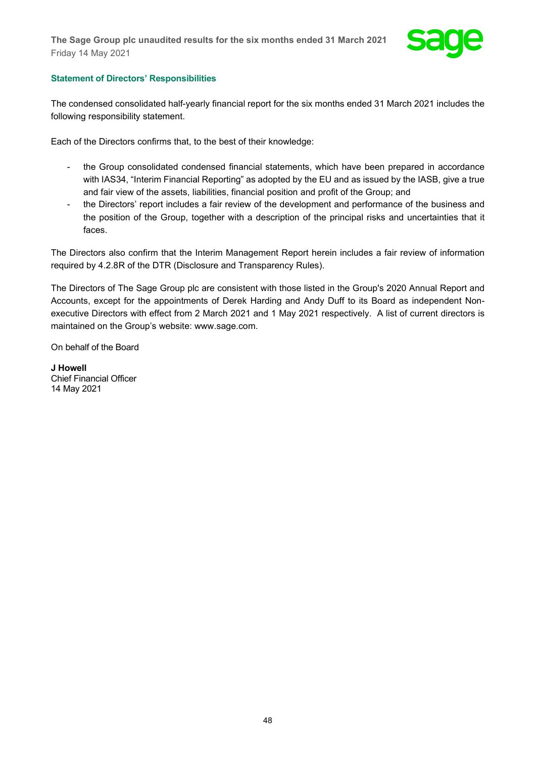

## **Statement of Directors' Responsibilities**

The condensed consolidated half-yearly financial report for the six months ended 31 March 2021 includes the following responsibility statement.

Each of the Directors confirms that, to the best of their knowledge:

- the Group consolidated condensed financial statements, which have been prepared in accordance with IAS34, "Interim Financial Reporting" as adopted by the EU and as issued by the IASB, give a true and fair view of the assets, liabilities, financial position and profit of the Group; and
- the Directors' report includes a fair review of the development and performance of the business and the position of the Group, together with a description of the principal risks and uncertainties that it faces.

The Directors also confirm that the Interim Management Report herein includes a fair review of information required by 4.2.8R of the DTR (Disclosure and Transparency Rules).

The Directors of The Sage Group plc are consistent with those listed in the Group's 2020 Annual Report and Accounts, except for the appointments of Derek Harding and Andy Duff to its Board as independent Nonexecutive Directors with effect from 2 March 2021 and 1 May 2021 respectively. A list of current directors is maintained on the Group's website: [www.sage.com.](http://www.sage.com/)

On behalf of the Board

**J Howell** Chief Financial Officer 14 May 2021